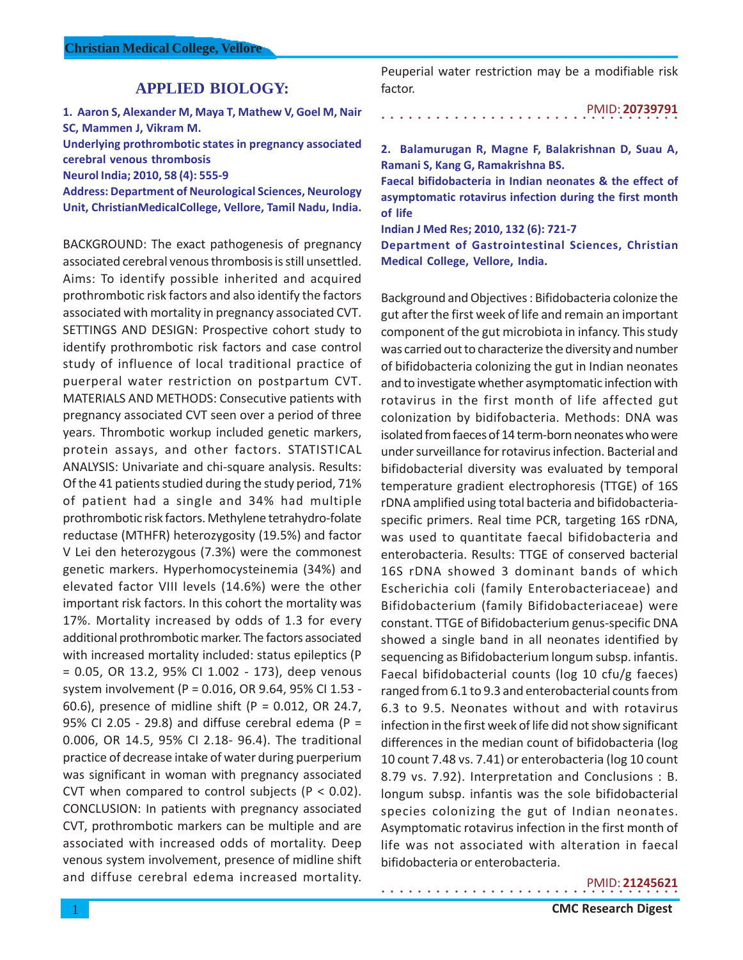# **APPLIED BIOLOGY:**

**1. Aaron S, Alexander M, Maya T, Mathew V, Goel M, Nair SC, Mammen J, Vikram M.**

**Underlying prothrombotic states in pregnancy associated cerebral venous thrombosis**

**Neurol India; 2010, 58 (4): 555-9**

**Address: Department of Neurological Sciences, Neurology Unit, ChristianMedicalCollege, Vellore, Tamil Nadu, India.**

BACKGROUND: The exact pathogenesis of pregnancy associated cerebral venous thrombosis is still unsettled. Aims: To identify possible inherited and acquired prothrombotic risk factors and also identify the factors associated with mortality in pregnancy associated CVT. SETTINGS AND DESIGN: Prospective cohort study to identify prothrombotic risk factors and case control study of influence of local traditional practice of puerperal water restriction on postpartum CVT. MATERIALS AND METHODS: Consecutive patients with pregnancy associated CVT seen over a period of three years. Thrombotic workup included genetic markers, protein assays, and other factors. STATISTICAL ANALYSIS: Univariate and chi-square analysis. Results: Of the 41 patients studied during the study period, 71% of patient had a single and 34% had multiple prothrombotic risk factors. Methylene tetrahydro-folate reductase (MTHFR) heterozygosity (19.5%) and factor V Lei den heterozygous (7.3%) were the commonest genetic markers. Hyperhomocysteinemia (34%) and elevated factor VIII levels (14.6%) were the other important risk factors. In this cohort the mortality was 17%. Mortality increased by odds of 1.3 for every additional prothrombotic marker. The factors associated with increased mortality included: status epileptics (P = 0.05, OR 13.2, 95% CI 1.002 - 173), deep venous system involvement (P = 0.016, OR 9.64, 95% CI 1.53 - 60.6), presence of midline shift ( $P = 0.012$ , OR 24.7, 95% CI 2.05 - 29.8) and diffuse cerebral edema (P = 0.006, OR 14.5, 95% CI 2.18- 96.4). The traditional practice of decrease intake of water during puerperium was significant in woman with pregnancy associated CVT when compared to control subjects ( $P < 0.02$ ). CONCLUSION: In patients with pregnancy associated CVT, prothrombotic markers can be multiple and are associated with increased odds of mortality. Deep venous system involvement, presence of midline shift and diffuse cerebral edema increased mortality.

Peuperial water restriction may be a modifiable risk factor.

○○○○○○○○○○○○○○○○○○○○○○○○○○○○○○○○○ PMID: **20739791**

**2. Balamurugan R, Magne F, Balakrishnan D, Suau A, Ramani S, Kang G, Ramakrishna BS.**

**Faecal bifidobacteria in Indian neonates & the effect of asymptomatic rotavirus infection during the first month of life**

**Indian J Med Res; 2010, 132 (6): 721-7**

**Department of Gastrointestinal Sciences, Christian Medical College, Vellore, India.**

Background and Objectives : Bifidobacteria colonize the gut after the first week of life and remain an important component of the gut microbiota in infancy. This study was carried out to characterize the diversity and number of bifidobacteria colonizing the gut in Indian neonates and to investigate whether asymptomatic infection with rotavirus in the first month of life affected gut colonization by bidifobacteria. Methods: DNA was isolated from faeces of 14 term-born neonates who were under surveillance for rotavirus infection. Bacterial and bifidobacterial diversity was evaluated by temporal temperature gradient electrophoresis (TTGE) of 16S rDNA amplified using total bacteria and bifidobacteriaspecific primers. Real time PCR, targeting 16S rDNA, was used to quantitate faecal bifidobacteria and enterobacteria. Results: TTGE of conserved bacterial 16S rDNA showed 3 dominant bands of which Escherichia coli (family Enterobacteriaceae) and Bifidobacterium (family Bifidobacteriaceae) were constant. TTGE of Bifidobacterium genus-specific DNA showed a single band in all neonates identified by sequencing as Bifidobacterium longum subsp. infantis. Faecal bifidobacterial counts (log 10 cfu/g faeces) ranged from 6.1 to 9.3 and enterobacterial counts from 6.3 to 9.5. Neonates without and with rotavirus infection in the first week of life did not show significant differences in the median count of bifidobacteria (log 10 count 7.48 vs. 7.41) or enterobacteria (log 10 count 8.79 vs. 7.92). Interpretation and Conclusions : B. longum subsp. infantis was the sole bifidobacterial species colonizing the gut of Indian neonates. Asymptomatic rotavirus infection in the first month of life was not associated with alteration in faecal bifidobacteria or enterobacteria.

○○○○○○○○○○○○○○○○○○○○○○○○○○○○○○○○○

PMID: **21245621**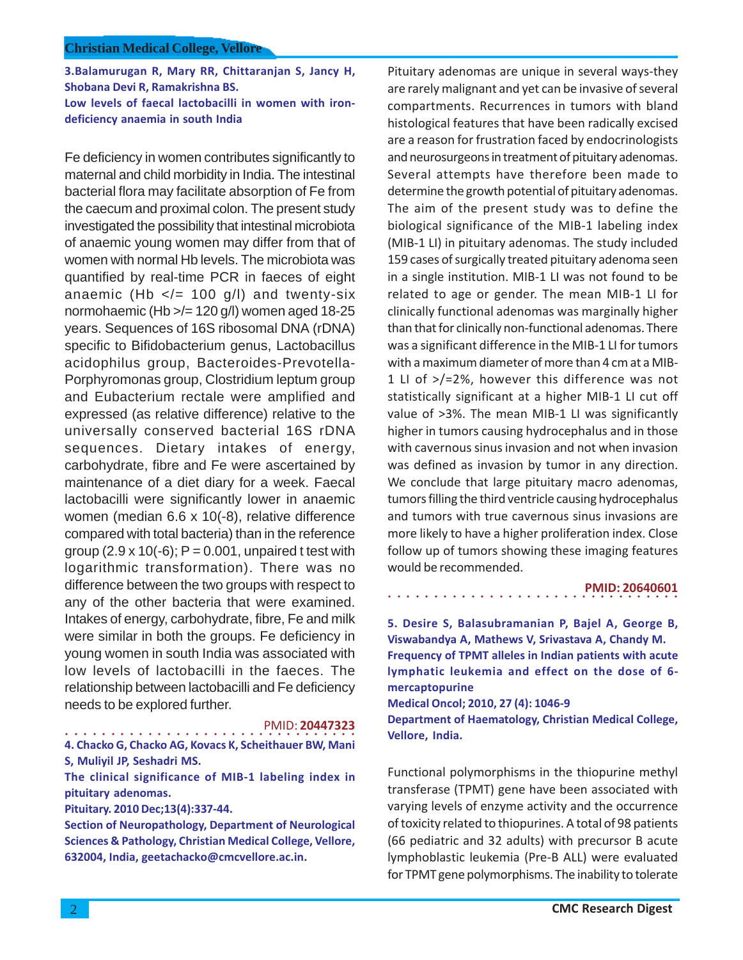**3.Balamurugan R, Mary RR, Chittaranjan S, Jancy H, Shobana Devi R, Ramakrishna BS. Low levels of faecal lactobacilli in women with irondeficiency anaemia in south India**

Fe deficiency in women contributes significantly to maternal and child morbidity in India. The intestinal bacterial flora may facilitate absorption of Fe from the caecum and proximal colon. The present study investigated the possibility that intestinal microbiota of anaemic young women may differ from that of women with normal Hb levels. The microbiota was quantified by real-time PCR in faeces of eight anaemic (Hb  $\lt$ /= 100 g/l) and twenty-six normohaemic (Hb >/= 120 g/l) women aged 18-25 years. Sequences of 16S ribosomal DNA (rDNA) specific to Bifidobacterium genus, Lactobacillus acidophilus group, Bacteroides-Prevotella-Porphyromonas group, Clostridium leptum group and Eubacterium rectale were amplified and expressed (as relative difference) relative to the universally conserved bacterial 16S rDNA sequences. Dietary intakes of energy, carbohydrate, fibre and Fe were ascertained by maintenance of a diet diary for a week. Faecal lactobacilli were significantly lower in anaemic women (median 6.6 x 10(-8), relative difference compared with total bacteria) than in the reference group  $(2.9 \times 10(-6))$ ; P = 0.001, unpaired t test with logarithmic transformation). There was no difference between the two groups with respect to any of the other bacteria that were examined. Intakes of energy, carbohydrate, fibre, Fe and milk were similar in both the groups. Fe deficiency in young women in south India was associated with low levels of lactobacilli in the faeces. The relationship between lactobacilli and Fe deficiency needs to be explored further.

PMID: **20447323**

○○○○○○○○○○○○○○○○ ○○○○○○○○○○○○○○○○ **4. Chacko G, Chacko AG, Kovacs K, Scheithauer BW, Mani S, Muliyil JP, Seshadri MS.**

**The clinical significance of MIB-1 labeling index in pituitary adenomas.**

**Pituitary. 2010 Dec;13(4):337-44.**

**Section of Neuropathology, Department of Neurological Sciences & Pathology, Christian Medical College, Vellore, 632004, India, geetachacko@cmcvellore.ac.in.**

Pituitary adenomas are unique in several ways-they are rarely malignant and yet can be invasive of several compartments. Recurrences in tumors with bland histological features that have been radically excised are a reason for frustration faced by endocrinologists and neurosurgeons in treatment of pituitary adenomas. Several attempts have therefore been made to determine the growth potential of pituitary adenomas. The aim of the present study was to define the biological significance of the MIB-1 labeling index (MIB-1 LI) in pituitary adenomas. The study included 159 cases of surgically treated pituitary adenoma seen in a single institution. MIB-1 LI was not found to be related to age or gender. The mean MIB-1 LI for clinically functional adenomas was marginally higher than that for clinically non-functional adenomas. There was a significant difference in the MIB-1 LI for tumors with a maximum diameter of more than 4 cm at a MIB-1 LI of >/=2%, however this difference was not statistically significant at a higher MIB-1 LI cut off value of >3%. The mean MIB-1 LI was significantly higher in tumors causing hydrocephalus and in those with cavernous sinus invasion and not when invasion was defined as invasion by tumor in any direction. We conclude that large pituitary macro adenomas, tumors filling the third ventricle causing hydrocephalus and tumors with true cavernous sinus invasions are more likely to have a higher proliferation index. Close follow up of tumors showing these imaging features would be recommended.

**PMID: 20640601**

**5. Desire S, Balasubramanian P, Bajel A, George B, Viswabandya A, Mathews V, Srivastava A, Chandy M. Frequency of TPMT alleles in Indian patients with acute lymphatic leukemia and effect on the dose of 6 mercaptopurine**

○○○○○○○○○○○○○○○○ ○○○○○○○○○○○○○○○○

**Medical Oncol; 2010, 27 (4): 1046-9 Department of Haematology, Christian Medical College, Vellore, India.**

Functional polymorphisms in the thiopurine methyl transferase (TPMT) gene have been associated with varying levels of enzyme activity and the occurrence of toxicity related to thiopurines. A total of 98 patients (66 pediatric and 32 adults) with precursor B acute lymphoblastic leukemia (Pre-B ALL) were evaluated for TPMT gene polymorphisms. The inability to tolerate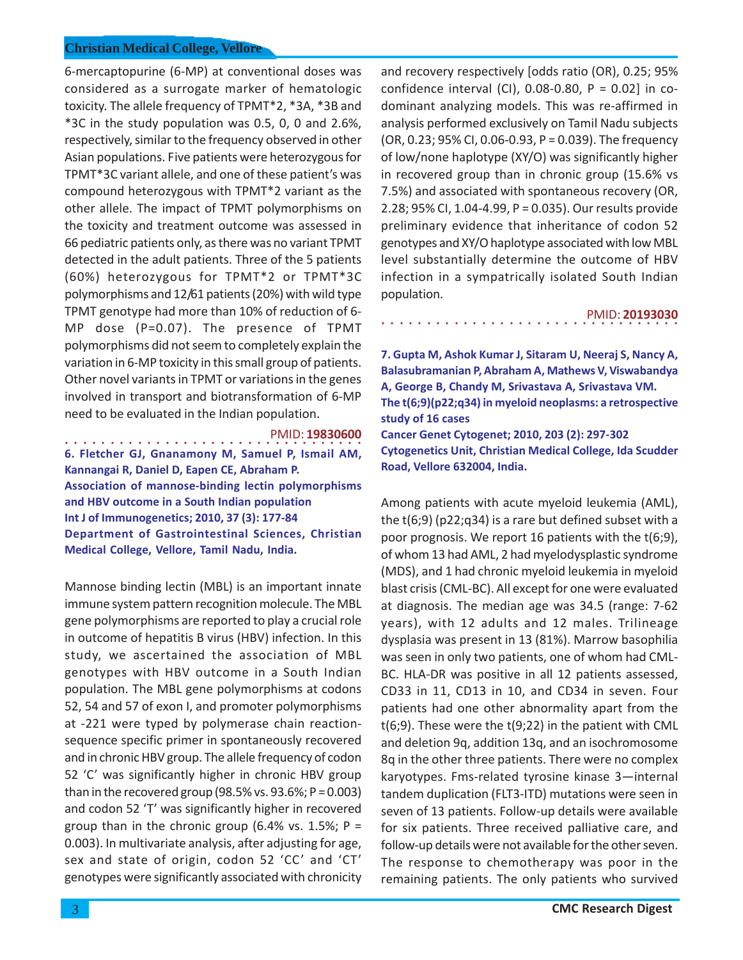6-mercaptopurine (6-MP) at conventional doses was considered as a surrogate marker of hematologic toxicity. The allele frequency of TPMT\*2, \*3A, \*3B and \*3C in the study population was 0.5, 0, 0 and 2.6%, respectively, similar to the frequency observed in other Asian populations. Five patients were heterozygous for TPMT\*3C variant allele, and one of these patient's was compound heterozygous with TPMT\*2 variant as the other allele. The impact of TPMT polymorphisms on the toxicity and treatment outcome was assessed in 66 pediatric patients only, as there was no variant TPMT detected in the adult patients. Three of the 5 patients (60%) heterozygous for TPMT\*2 or TPMT\*3C polymorphisms and 12/61 patients (20%) with wild type TPMT genotype had more than 10% of reduction of 6- MP dose (P=0.07). The presence of TPMT polymorphisms did not seem to completely explain the variation in 6-MP toxicity in this small group of patients. Other novel variants in TPMT or variations in the genes involved in transport and biotransformation of 6-MP need to be evaluated in the Indian population.

# ○○○○○○○○○○○○○○○○○○○○○○○○○○○○ ○○○○○ PMID: **19830600 6. Fletcher GJ, Gnanamony M, Samuel P, Ismail AM, Kannangai R, Daniel D, Eapen CE, Abraham P.**

**Association of mannose-binding lectin polymorphisms and HBV outcome in a South Indian population Int J of Immunogenetics; 2010, 37 (3): 177-84 Department of Gastrointestinal Sciences, Christian Medical College, Vellore, Tamil Nadu, India.**

Mannose binding lectin (MBL) is an important innate immune system pattern recognition molecule. The MBL gene polymorphisms are reported to play a crucial role in outcome of hepatitis B virus (HBV) infection. In this study, we ascertained the association of MBL genotypes with HBV outcome in a South Indian population. The MBL gene polymorphisms at codons 52, 54 and 57 of exon I, and promoter polymorphisms at -221 were typed by polymerase chain reactionsequence specific primer in spontaneously recovered and in chronic HBV group. The allele frequency of codon 52 'C' was significantly higher in chronic HBV group than in the recovered group (98.5% vs. 93.6%;  $P = 0.003$ ) and codon 52 'T' was significantly higher in recovered group than in the chronic group (6.4% vs. 1.5%;  $P =$ 0.003). In multivariate analysis, after adjusting for age, sex and state of origin, codon 52 'CC' and 'CT' genotypes were significantly associated with chronicity

and recovery respectively [odds ratio (OR), 0.25; 95% confidence interval (CI),  $0.08-0.80$ , P =  $0.02$ ] in codominant analyzing models. This was re-affirmed in analysis performed exclusively on Tamil Nadu subjects (OR, 0.23; 95% CI, 0.06-0.93, P = 0.039). The frequency of low/none haplotype (XY/O) was significantly higher in recovered group than in chronic group (15.6% vs 7.5%) and associated with spontaneous recovery (OR, 2.28; 95% CI, 1.04-4.99, P = 0.035). Our results provide preliminary evidence that inheritance of codon 52 genotypes and XY/O haplotype associated with low MBL level substantially determine the outcome of HBV infection in a sympatrically isolated South Indian population.

#### PMID: **20193030**

**7. Gupta M, Ashok Kumar J, Sitaram U, Neeraj S, Nancy A, Balasubramanian P, Abraham A, Mathews V, Viswabandya A, George B, Chandy M, Srivastava A, Srivastava VM. The t(6;9)(p22;q34) in myeloid neoplasms: a retrospective study of 16 cases Cancer Genet Cytogenet; 2010, 203 (2): 297-302 Cytogenetics Unit, Christian Medical College, Ida Scudder Road, Vellore 632004, India.**

○○○○○○○○○○○○○○○○○○○○○○○○○○○○○○○○○

Among patients with acute myeloid leukemia (AML), the t(6;9) (p22;q34) is a rare but defined subset with a poor prognosis. We report 16 patients with the t(6;9), of whom 13 had AML, 2 had myelodysplastic syndrome (MDS), and 1 had chronic myeloid leukemia in myeloid blast crisis (CML-BC). All except for one were evaluated at diagnosis. The median age was 34.5 (range: 7-62 years), with 12 adults and 12 males. Trilineage dysplasia was present in 13 (81%). Marrow basophilia was seen in only two patients, one of whom had CML-BC. HLA-DR was positive in all 12 patients assessed, CD33 in 11, CD13 in 10, and CD34 in seven. Four patients had one other abnormality apart from the t(6;9). These were the t(9;22) in the patient with CML and deletion 9q, addition 13q, and an isochromosome 8q in the other three patients. There were no complex karyotypes. Fms-related tyrosine kinase 3—internal tandem duplication (FLT3-ITD) mutations were seen in seven of 13 patients. Follow-up details were available for six patients. Three received palliative care, and follow-up details were not available for the other seven. The response to chemotherapy was poor in the remaining patients. The only patients who survived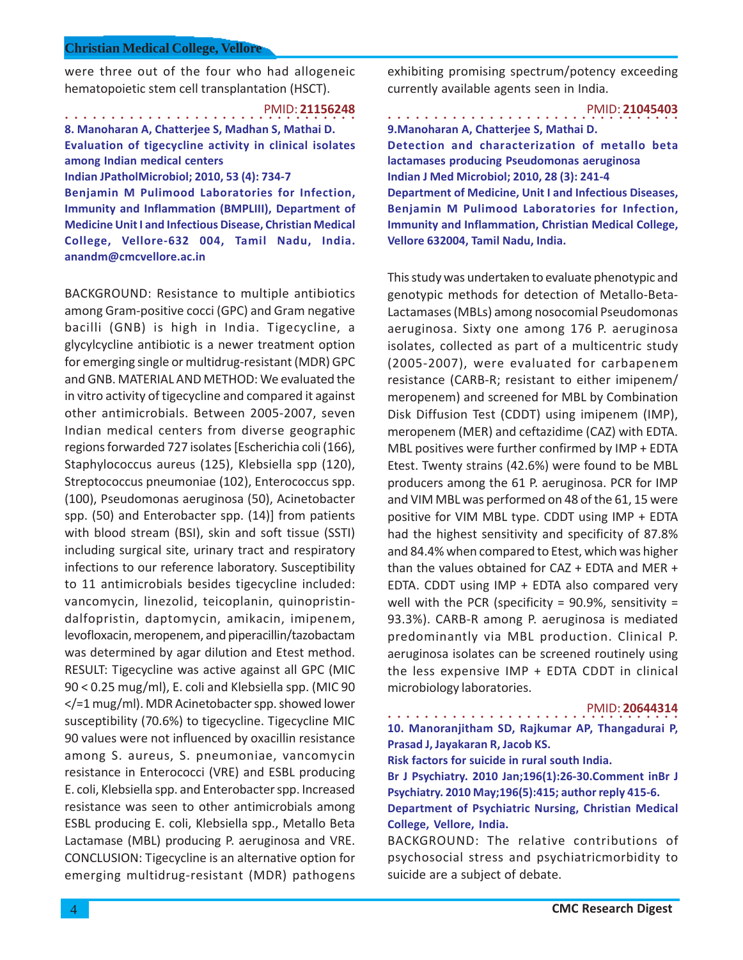were three out of the four who had allogeneic hematopoietic stem cell transplantation (HSCT).

○○○○○○○○○○○○○○○○ ○○○○○○○○○○○○○○○○ PMID: **21156248 8. Manoharan A, Chatterjee S, Madhan S, Mathai D.**

**Evaluation of tigecycline activity in clinical isolates among Indian medical centers**

**Indian JPatholMicrobiol; 2010, 53 (4): 734-7**

**Benjamin M Pulimood Laboratories for Infection, Immunity and Inflammation (BMPLIII), Department of Medicine Unit I and Infectious Disease, Christian Medical College, Vellore-632 004, Tamil Nadu, India. anandm@cmcvellore.ac.in**

BACKGROUND: Resistance to multiple antibiotics among Gram-positive cocci (GPC) and Gram negative bacilli (GNB) is high in India. Tigecycline, a glycylcycline antibiotic is a newer treatment option for emerging single or multidrug-resistant (MDR) GPC and GNB. MATERIAL AND METHOD: We evaluated the in vitro activity of tigecycline and compared it against other antimicrobials. Between 2005-2007, seven Indian medical centers from diverse geographic regions forwarded 727 isolates [Escherichia coli (166), Staphylococcus aureus (125), Klebsiella spp (120), Streptococcus pneumoniae (102), Enterococcus spp. (100), Pseudomonas aeruginosa (50), Acinetobacter spp. (50) and Enterobacter spp. (14)] from patients with blood stream (BSI), skin and soft tissue (SSTI) including surgical site, urinary tract and respiratory infections to our reference laboratory. Susceptibility to 11 antimicrobials besides tigecycline included: vancomycin, linezolid, teicoplanin, quinopristindalfopristin, daptomycin, amikacin, imipenem, levofloxacin, meropenem, and piperacillin/tazobactam was determined by agar dilution and Etest method. RESULT: Tigecycline was active against all GPC (MIC 90 < 0.25 mug/ml), E. coli and Klebsiella spp. (MIC 90 </=1 mug/ml). MDR Acinetobacter spp. showed lower susceptibility (70.6%) to tigecycline. Tigecycline MIC 90 values were not influenced by oxacillin resistance among S. aureus, S. pneumoniae, vancomycin resistance in Enterococci (VRE) and ESBL producing E. coli, Klebsiella spp. and Enterobacter spp. Increased resistance was seen to other antimicrobials among ESBL producing E. coli, Klebsiella spp., Metallo Beta Lactamase (MBL) producing P. aeruginosa and VRE. CONCLUSION: Tigecycline is an alternative option for emerging multidrug-resistant (MDR) pathogens

exhibiting promising spectrum/potency exceeding currently available agents seen in India.

○○○○○○○○○○○○○○○○ ○○○○○○○○○○○○○○○○ PMID: **21045403 9.Manoharan A, Chatterjee S, Mathai D. Detection and characterization of metallo beta lactamases producing Pseudomonas aeruginosa Indian J Med Microbiol; 2010, 28 (3): 241-4 Department of Medicine, Unit I and Infectious Diseases, Benjamin M Pulimood Laboratories for Infection, Immunity and Inflammation, Christian Medical College, Vellore 632004, Tamil Nadu, India.**

This study was undertaken to evaluate phenotypic and genotypic methods for detection of Metallo-Beta-Lactamases (MBLs) among nosocomial Pseudomonas aeruginosa. Sixty one among 176 P. aeruginosa isolates, collected as part of a multicentric study (2005-2007), were evaluated for carbapenem resistance (CARB-R; resistant to either imipenem/ meropenem) and screened for MBL by Combination Disk Diffusion Test (CDDT) using imipenem (IMP), meropenem (MER) and ceftazidime (CAZ) with EDTA. MBL positives were further confirmed by IMP + EDTA Etest. Twenty strains (42.6%) were found to be MBL producers among the 61 P. aeruginosa. PCR for IMP and VIM MBL was performed on 48 of the 61, 15 were positive for VIM MBL type. CDDT using IMP + EDTA had the highest sensitivity and specificity of 87.8% and 84.4% when compared to Etest, which was higher than the values obtained for CAZ + EDTA and MER + EDTA. CDDT using IMP + EDTA also compared very well with the PCR (specificity =  $90.9\%$ , sensitivity = 93.3%). CARB-R among P. aeruginosa is mediated predominantly via MBL production. Clinical P. aeruginosa isolates can be screened routinely using the less expensive IMP + EDTA CDDT in clinical microbiology laboratories.

PMID: **20644314**

○○○○○○○○○○○○○○○○ ○○○○○○○○○○○○○○○○ **10. Manoranjitham SD, Rajkumar AP, Thangadurai P, Prasad J, Jayakaran R, Jacob KS.**

**Risk factors for suicide in rural south India.**

**Br J Psychiatry. 2010 Jan;196(1):26-30.Comment inBr J Psychiatry. 2010 May;196(5):415; author reply 415-6. Department of Psychiatric Nursing, Christian Medical**

**College, Vellore, India.**

BACKGROUND: The relative contributions of psychosocial stress and psychiatricmorbidity to suicide are a subject of debate.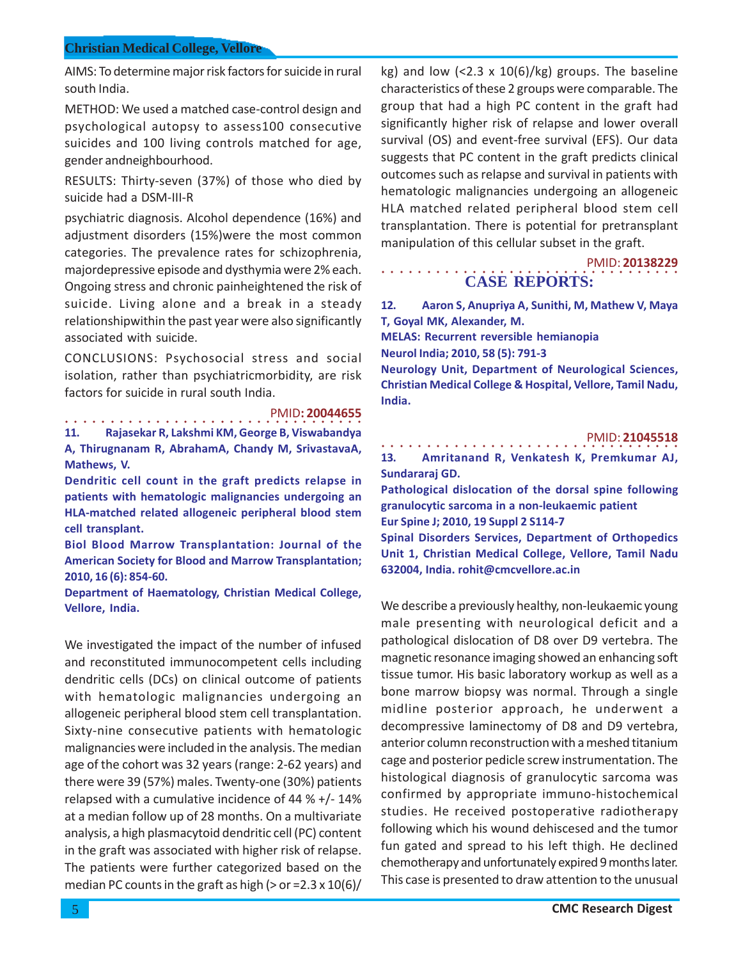AIMS: To determine major risk factors for suicide in rural south India.

METHOD: We used a matched case-control design and psychological autopsy to assess100 consecutive suicides and 100 living controls matched for age, gender andneighbourhood.

RESULTS: Thirty-seven (37%) of those who died by suicide had a DSM-III-R

psychiatric diagnosis. Alcohol dependence (16%) and adjustment disorders (15%)were the most common categories. The prevalence rates for schizophrenia, majordepressive episode and dysthymia were 2% each. Ongoing stress and chronic painheightened the risk of suicide. Living alone and a break in a steady relationshipwithin the past year were also significantly associated with suicide.

CONCLUSIONS: Psychosocial stress and social isolation, rather than psychiatricmorbidity, are risk factors for suicide in rural south India.

> ○○○○○○○○○○○○○○○○○○○○○○○○○○○○ ○○○○○ PMID**: 20044655**

**11. Rajasekar R, Lakshmi KM, George B, Viswabandya A, Thirugnanam R, AbrahamA, Chandy M, SrivastavaA, Mathews, V.**

**Dendritic cell count in the graft predicts relapse in patients with hematologic malignancies undergoing an HLA-matched related allogeneic peripheral blood stem cell transplant.**

**Biol Blood Marrow Transplantation: Journal of the American Society for Blood and Marrow Transplantation; 2010, 16 (6): 854-60.**

**Department of Haematology, Christian Medical College, Vellore, India.**

We investigated the impact of the number of infused and reconstituted immunocompetent cells including dendritic cells (DCs) on clinical outcome of patients with hematologic malignancies undergoing an allogeneic peripheral blood stem cell transplantation. Sixty-nine consecutive patients with hematologic malignancies were included in the analysis. The median age of the cohort was 32 years (range: 2-62 years) and there were 39 (57%) males. Twenty-one (30%) patients relapsed with a cumulative incidence of 44 % +/- 14% at a median follow up of 28 months. On a multivariate analysis, a high plasmacytoid dendritic cell (PC) content in the graft was associated with higher risk of relapse. The patients were further categorized based on the median PC counts in the graft as high ( $>$  or =2.3 x 10(6)/

kg) and low  $\left($  <2.3 x 10(6)/kg) groups. The baseline characteristics of these 2 groups were comparable. The group that had a high PC content in the graft had significantly higher risk of relapse and lower overall survival (OS) and event-free survival (EFS). Our data suggests that PC content in the graft predicts clinical outcomes such as relapse and survival in patients with hematologic malignancies undergoing an allogeneic HLA matched related peripheral blood stem cell transplantation. There is potential for pretransplant manipulation of this cellular subset in the graft.

○○○○○○○○○○○○○○○○○○○○○○○○○○○○○○○○○ PMID: **20138229 CASE REPORTS:**

**12. Aaron S, Anupriya A, Sunithi, M, Mathew V, Maya T, Goyal MK, Alexander, M.**

**MELAS: Recurrent reversible hemianopia Neurol India; 2010, 58 (5): 791-3**

**Neurology Unit, Department of Neurological Sciences, Christian Medical College & Hospital, Vellore, Tamil Nadu, India.**

# ○○○○○○○○○○○○○○○○○○○○○○○○○○○○○○○○○ PMID: **21045518 13. Amritanand R, Venkatesh K, Premkumar AJ, Sundararaj GD. Pathological dislocation of the dorsal spine following granulocytic sarcoma in a non-leukaemic patient Eur Spine J; 2010, 19 Suppl 2 S114-7**

**Spinal Disorders Services, Department of Orthopedics Unit 1, Christian Medical College, Vellore, Tamil Nadu 632004, India. rohit@cmcvellore.ac.in**

We describe a previously healthy, non-leukaemic young male presenting with neurological deficit and a pathological dislocation of D8 over D9 vertebra. The magnetic resonance imaging showed an enhancing soft tissue tumor. His basic laboratory workup as well as a bone marrow biopsy was normal. Through a single midline posterior approach, he underwent a decompressive laminectomy of D8 and D9 vertebra, anterior column reconstruction with a meshed titanium cage and posterior pedicle screw instrumentation. The histological diagnosis of granulocytic sarcoma was confirmed by appropriate immuno-histochemical studies. He received postoperative radiotherapy following which his wound dehiscesed and the tumor fun gated and spread to his left thigh. He declined chemotherapy and unfortunately expired 9 months later. This case is presented to draw attention to the unusual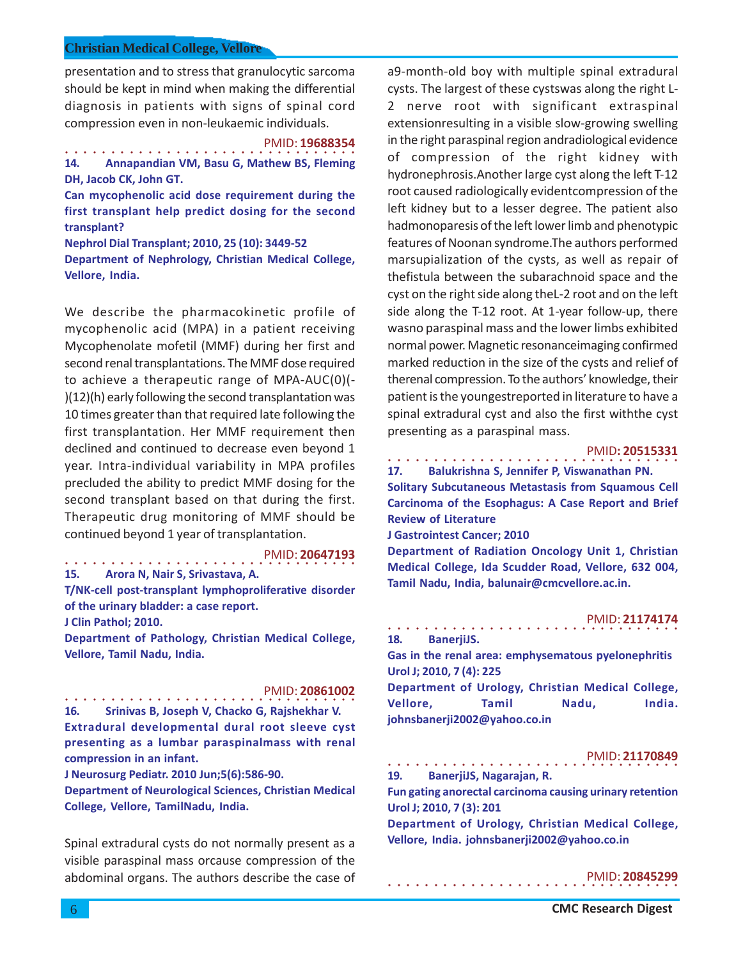presentation and to stress that granulocytic sarcoma should be kept in mind when making the differential diagnosis in patients with signs of spinal cord compression even in non-leukaemic individuals.

○○○○○○○○○○○○○○○○ ○○○○○○○○○○○○○○○○ PMID: **19688354 14. Annapandian VM, Basu G, Mathew BS, Fleming DH, Jacob CK, John GT.**

**Can mycophenolic acid dose requirement during the first transplant help predict dosing for the second transplant?**

**Nephrol Dial Transplant; 2010, 25 (10): 3449-52 Department of Nephrology, Christian Medical College, Vellore, India.**

We describe the pharmacokinetic profile of mycophenolic acid (MPA) in a patient receiving Mycophenolate mofetil (MMF) during her first and second renal transplantations. The MMF dose required to achieve a therapeutic range of MPA-AUC(0)(- )(12)(h) early following the second transplantation was 10 times greater than that required late following the first transplantation. Her MMF requirement then declined and continued to decrease even beyond 1 year. Intra-individual variability in MPA profiles precluded the ability to predict MMF dosing for the second transplant based on that during the first. Therapeutic drug monitoring of MMF should be continued beyond 1 year of transplantation.

# ○○○○○○○○○○○○○○○○ ○○○○○○○○○○○○○○○○ PMID: **20647193**

**15. Arora N, Nair S, Srivastava, A. T/NK-cell post-transplant lymphoproliferative disorder**

**of the urinary bladder: a case report.**

**J Clin Pathol; 2010.**

**Department of Pathology, Christian Medical College, Vellore, Tamil Nadu, India.**

#### ○○○○○○○○○○○○○○○○ ○○○○○○○○○○○○○○○○ PMID: **20861002 16. Srinivas B, Joseph V, Chacko G, Rajshekhar V. Extradural developmental dural root sleeve cyst**

**presenting as a lumbar paraspinalmass with renal compression in an infant.**

**J Neurosurg Pediatr. 2010 Jun;5(6):586-90.**

**Department of Neurological Sciences, Christian Medical College, Vellore, TamilNadu, India.**

Spinal extradural cysts do not normally present as a visible paraspinal mass orcause compression of the abdominal organs. The authors describe the case of a9-month-old boy with multiple spinal extradural cysts. The largest of these cystswas along the right L-2 nerve root with significant extraspinal extensionresulting in a visible slow-growing swelling in the right paraspinal region andradiological evidence of compression of the right kidney with hydronephrosis.Another large cyst along the left T-12 root caused radiologically evidentcompression of the left kidney but to a lesser degree. The patient also hadmonoparesis of the left lower limb and phenotypic features of Noonan syndrome.The authors performed marsupialization of the cysts, as well as repair of thefistula between the subarachnoid space and the cyst on the right side along theL-2 root and on the left side along the T-12 root. At 1-year follow-up, there wasno paraspinal mass and the lower limbs exhibited normal power. Magnetic resonanceimaging confirmed marked reduction in the size of the cysts and relief of therenal compression. To the authors' knowledge, their patient is the youngestreported in literature to have a spinal extradural cyst and also the first withthe cyst presenting as a paraspinal mass.

# ○○○○○○○○○○○○○○○○ ○○○○○○○○○○○○○○○○ PMID**: 20515331**

**17. Balukrishna S, Jennifer P, Viswanathan PN.**

**Solitary Subcutaneous Metastasis from Squamous Cell Carcinoma of the Esophagus: A Case Report and Brief Review of Literature**

**J Gastrointest Cancer; 2010**

**Department of Radiation Oncology Unit 1, Christian Medical College, Ida Scudder Road, Vellore, 632 004, Tamil Nadu, India, balunair@cmcvellore.ac.in.**

#### ○○○○○○○○○○○○○○○○ ○○○○○○○○○○○○○○○○ PMID: **21174174**

**18. BanerjiJS.**

**Gas in the renal area: emphysematous pyelonephritis Urol J; 2010, 7 (4): 225**

**Department of Urology, Christian Medical College, Vellore, Tamil Nadu, India. johnsbanerji2002@yahoo.co.in**

#### PMID: **21170849**

○○○○○○○○○○○○○○○○ ○○○○○○○○○○○○○○○○ **19. BanerjiJS, Nagarajan, R.**

○○○○○○○○○○○○○○○○ ○○○○○○○○○○○○○○○○

**Fun gating anorectal carcinoma causing urinary retention Urol J; 2010, 7 (3): 201**

**Department of Urology, Christian Medical College, Vellore, India. johnsbanerji2002@yahoo.co.in**

# PMID: **20845299**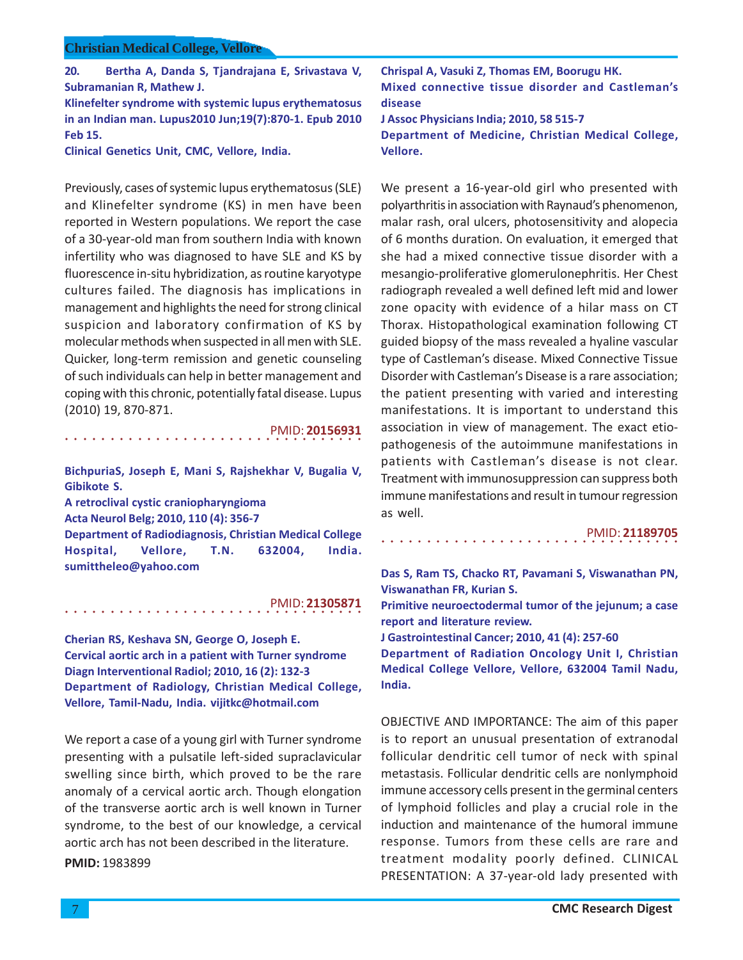**20. Bertha A, Danda S, Tjandrajana E, Srivastava V, Subramanian R, Mathew J. Klinefelter syndrome with systemic lupus erythematosus**

**in an Indian man. Lupus2010 Jun;19(7):870-1. Epub 2010 Feb 15.**

**Clinical Genetics Unit, CMC, Vellore, India.**

Previously, cases of systemic lupus erythematosus (SLE) and Klinefelter syndrome (KS) in men have been reported in Western populations. We report the case of a 30-year-old man from southern India with known infertility who was diagnosed to have SLE and KS by fluorescence in-situ hybridization, as routine karyotype cultures failed. The diagnosis has implications in management and highlights the need for strong clinical suspicion and laboratory confirmation of KS by molecular methods when suspected in all men with SLE. Quicker, long-term remission and genetic counseling of such individuals can help in better management and coping with this chronic, potentially fatal disease. Lupus (2010) 19, 870-871.

○○○○○○○○○○○○○○○○○○○○○○○○○○○○ ○○○○○ **BichpuriaS, Joseph E, Mani S, Rajshekhar V, Bugalia V, Gibikote S.**

PMID: **20156931**

**A retroclival cystic craniopharyngioma Acta Neurol Belg; 2010, 110 (4): 356-7 Department of Radiodiagnosis, Christian Medical College Hospital, Vellore, T.N. 632004, India. sumittheleo@yahoo.com**

○○○○○○○○○○○○○○○○○○○○○○○○○○○○ ○○○○○ PMID: **21305871**

**Cherian RS, Keshava SN, George O, Joseph E. Cervical aortic arch in a patient with Turner syndrome Diagn Interventional Radiol; 2010, 16 (2): 132-3 Department of Radiology, Christian Medical College, Vellore, Tamil-Nadu, India. vijitkc@hotmail.com**

We report a case of a young girl with Turner syndrome presenting with a pulsatile left-sided supraclavicular swelling since birth, which proved to be the rare anomaly of a cervical aortic arch. Though elongation of the transverse aortic arch is well known in Turner syndrome, to the best of our knowledge, a cervical aortic arch has not been described in the literature. **PMID:** 1983899

**Chrispal A, Vasuki Z, Thomas EM, Boorugu HK. Mixed connective tissue disorder and Castleman's disease**

**J Assoc Physicians India; 2010, 58 515-7**

**Department of Medicine, Christian Medical College, Vellore.**

We present a 16-year-old girl who presented with polyarthritis in association with Raynaud's phenomenon, malar rash, oral ulcers, photosensitivity and alopecia of 6 months duration. On evaluation, it emerged that she had a mixed connective tissue disorder with a mesangio-proliferative glomerulonephritis. Her Chest radiograph revealed a well defined left mid and lower zone opacity with evidence of a hilar mass on CT Thorax. Histopathological examination following CT guided biopsy of the mass revealed a hyaline vascular type of Castleman's disease. Mixed Connective Tissue Disorder with Castleman's Disease is a rare association; the patient presenting with varied and interesting manifestations. It is important to understand this association in view of management. The exact etiopathogenesis of the autoimmune manifestations in patients with Castleman's disease is not clear. Treatment with immunosuppression can suppress both immune manifestations and result in tumour regression as well.

PMID: **21189705**

**Das S, Ram TS, Chacko RT, Pavamani S, Viswanathan PN, Viswanathan FR, Kurian S.**

**Primitive neuroectodermal tumor of the jejunum; a case report and literature review.**

**J Gastrointestinal Cancer; 2010, 41 (4): 257-60**

○○○○○○○○○○○○○○○○○○○○○○○○○○○○○○○○○

**Department of Radiation Oncology Unit I, Christian Medical College Vellore, Vellore, 632004 Tamil Nadu, India.**

OBJECTIVE AND IMPORTANCE: The aim of this paper is to report an unusual presentation of extranodal follicular dendritic cell tumor of neck with spinal metastasis. Follicular dendritic cells are nonlymphoid immune accessory cells present in the germinal centers of lymphoid follicles and play a crucial role in the induction and maintenance of the humoral immune response. Tumors from these cells are rare and treatment modality poorly defined. CLINICAL PRESENTATION: A 37-year-old lady presented with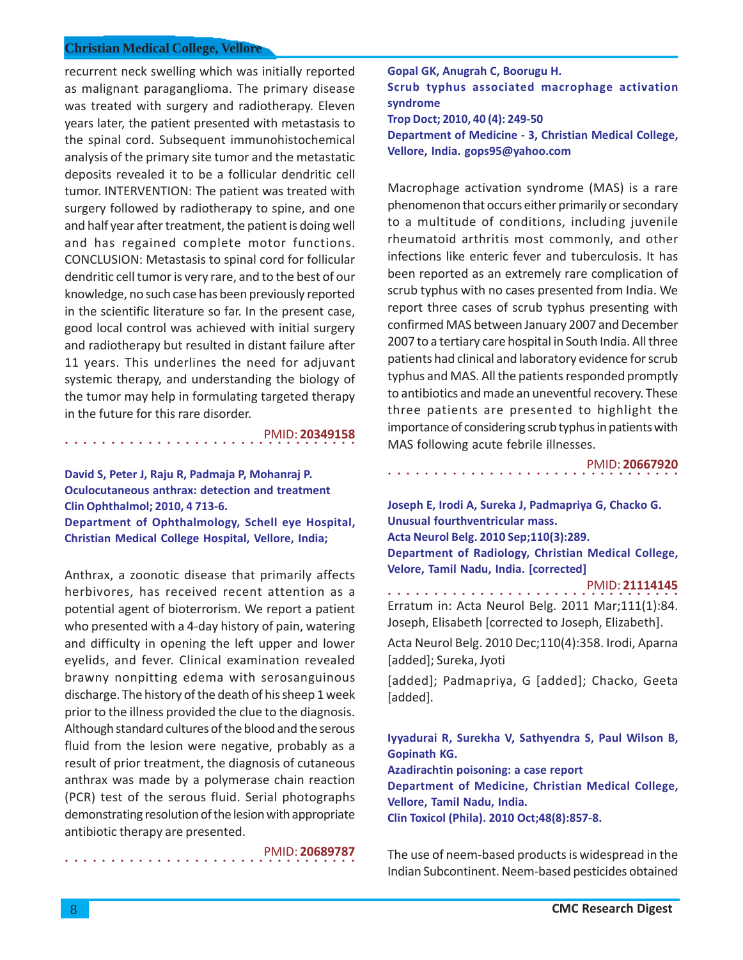recurrent neck swelling which was initially reported as malignant paraganglioma. The primary disease was treated with surgery and radiotherapy. Eleven years later, the patient presented with metastasis to the spinal cord. Subsequent immunohistochemical analysis of the primary site tumor and the metastatic deposits revealed it to be a follicular dendritic cell tumor. INTERVENTION: The patient was treated with surgery followed by radiotherapy to spine, and one and half year after treatment, the patient is doing well and has regained complete motor functions. CONCLUSION: Metastasis to spinal cord for follicular dendritic cell tumor is very rare, and to the best of our knowledge, no such case has been previously reported in the scientific literature so far. In the present case, good local control was achieved with initial surgery and radiotherapy but resulted in distant failure after 11 years. This underlines the need for adjuvant systemic therapy, and understanding the biology of the tumor may help in formulating targeted therapy in the future for this rare disorder.

○○○○○○○○○○○○○○○○ ○○○○○○○○○○○○○○○○ PMID: **20349158**

**David S, Peter J, Raju R, Padmaja P, Mohanraj P. Oculocutaneous anthrax: detection and treatment Clin Ophthalmol; 2010, 4 713-6.**

**Department of Ophthalmology, Schell eye Hospital, Christian Medical College Hospital, Vellore, India;**

Anthrax, a zoonotic disease that primarily affects herbivores, has received recent attention as a potential agent of bioterrorism. We report a patient who presented with a 4-day history of pain, watering and difficulty in opening the left upper and lower eyelids, and fever. Clinical examination revealed brawny nonpitting edema with serosanguinous discharge. The history of the death of his sheep 1 week prior to the illness provided the clue to the diagnosis. Although standard cultures of the blood and the serous fluid from the lesion were negative, probably as a result of prior treatment, the diagnosis of cutaneous anthrax was made by a polymerase chain reaction (PCR) test of the serous fluid. Serial photographs demonstrating resolution of the lesion with appropriate antibiotic therapy are presented.

PMID: **20689787**

**Gopal GK, Anugrah C, Boorugu H.**

**Scrub typhus associated macrophage activation syndrome**

**Trop Doct; 2010, 40 (4): 249-50**

**Department of Medicine - 3, Christian Medical College, Vellore, India. gops95@yahoo.com**

Macrophage activation syndrome (MAS) is a rare phenomenon that occurs either primarily or secondary to a multitude of conditions, including juvenile rheumatoid arthritis most commonly, and other infections like enteric fever and tuberculosis. It has been reported as an extremely rare complication of scrub typhus with no cases presented from India. We report three cases of scrub typhus presenting with confirmed MAS between January 2007 and December 2007 to a tertiary care hospital in South India. All three patients had clinical and laboratory evidence for scrub typhus and MAS. All the patients responded promptly to antibiotics and made an uneventful recovery. These three patients are presented to highlight the importance of considering scrub typhus in patients with MAS following acute febrile illnesses.

PMID: **20667920**

**Joseph E, Irodi A, Sureka J, Padmapriya G, Chacko G. Unusual fourthventricular mass. Acta Neurol Belg. 2010 Sep;110(3):289. Department of Radiology, Christian Medical College, Velore, Tamil Nadu, India. [corrected]**

○○○○○○○○○○○○○○○○ ○○○○○○○○○○○○○○○○

○○○○○○○○○○○○○○○○ ○○○○○○○○○○○○○○○○ PMID: **21114145**

Erratum in: Acta Neurol Belg. 2011 Mar;111(1):84. Joseph, Elisabeth [corrected to Joseph, Elizabeth].

Acta Neurol Belg. 2010 Dec;110(4):358. Irodi, Aparna [added]; Sureka, Jyoti

[added]; Padmapriya, G [added]; Chacko, Geeta [added].

**Iyyadurai R, Surekha V, Sathyendra S, Paul Wilson B, Gopinath KG. Azadirachtin poisoning: a case report Department of Medicine, Christian Medical College, Vellore, Tamil Nadu, India. Clin Toxicol (Phila). 2010 Oct;48(8):857-8.**

The use of neem-based products is widespread in the Indian Subcontinent. Neem-based pesticides obtained

○○○○○○○○○○○○○○○○ ○○○○○○○○○○○○○○○○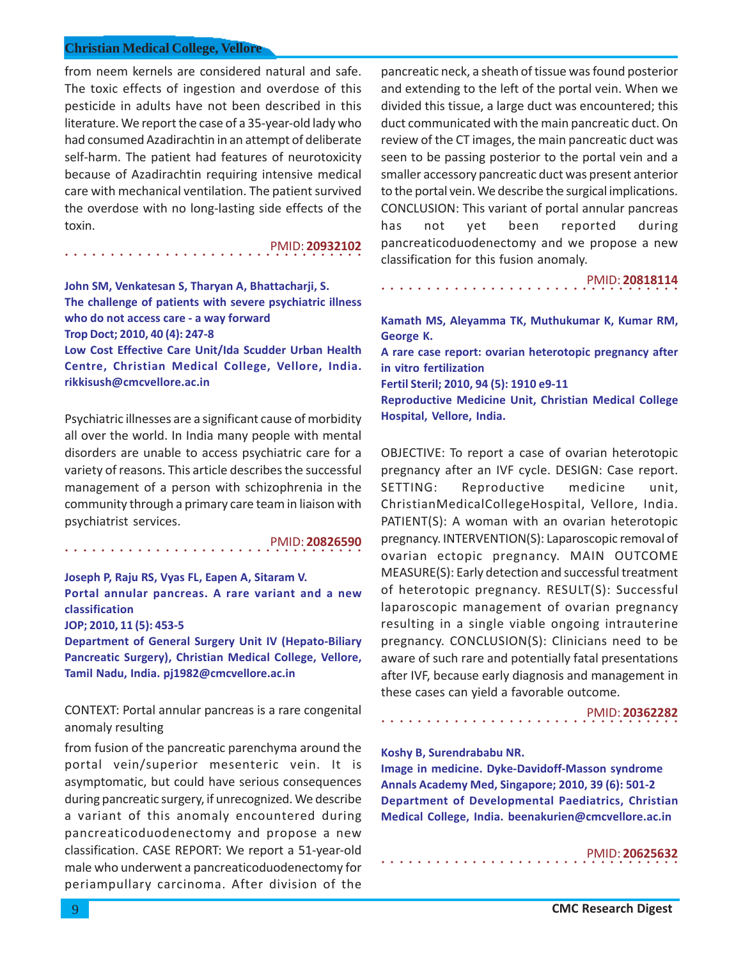from neem kernels are considered natural and safe. The toxic effects of ingestion and overdose of this pesticide in adults have not been described in this literature. We report the case of a 35-year-old lady who had consumed Azadirachtin in an attempt of deliberate self-harm. The patient had features of neurotoxicity because of Azadirachtin requiring intensive medical care with mechanical ventilation. The patient survived the overdose with no long-lasting side effects of the toxin.

○○○○○○○○○○○○○○○○○○○○○○○○○○○○ ○○○○○ PMID: **20932102**

**John SM, Venkatesan S, Tharyan A, Bhattacharji, S. The challenge of patients with severe psychiatric illness who do not access care - a way forward Trop Doct; 2010, 40 (4): 247-8 Low Cost Effective Care Unit/Ida Scudder Urban Health**

**Centre, Christian Medical College, Vellore, India. rikkisush@cmcvellore.ac.in**

Psychiatric illnesses are a significant cause of morbidity all over the world. In India many people with mental disorders are unable to access psychiatric care for a variety of reasons. This article describes the successful management of a person with schizophrenia in the community through a primary care team in liaison with psychiatrist services.

PMID: **20826590**

**Joseph P, Raju RS, Vyas FL, Eapen A, Sitaram V. Portal annular pancreas. A rare variant and a new classification**

○○○○○○○○○○○○○○○○○○○○○○○○○○○○ ○○○○○

**JOP; 2010, 11 (5): 453-5**

**Department of General Surgery Unit IV (Hepato-Biliary Pancreatic Surgery), Christian Medical College, Vellore, Tamil Nadu, India. pj1982@cmcvellore.ac.in**

CONTEXT: Portal annular pancreas is a rare congenital anomaly resulting

from fusion of the pancreatic parenchyma around the portal vein/superior mesenteric vein. It is asymptomatic, but could have serious consequences during pancreatic surgery, if unrecognized. We describe a variant of this anomaly encountered during pancreaticoduodenectomy and propose a new classification. CASE REPORT: We report a 51-year-old male who underwent a pancreaticoduodenectomy for periampullary carcinoma. After division of the pancreatic neck, a sheath of tissue was found posterior and extending to the left of the portal vein. When we divided this tissue, a large duct was encountered; this duct communicated with the main pancreatic duct. On review of the CT images, the main pancreatic duct was seen to be passing posterior to the portal vein and a smaller accessory pancreatic duct was present anterior to the portal vein. We describe the surgical implications. CONCLUSION: This variant of portal annular pancreas has not yet been reported during pancreaticoduodenectomy and we propose a new classification for this fusion anomaly.

○○○○○○○○○○○○○○○○○○○○○○○○○○○○○○○○○ PMID: **20818114**

**Kamath MS, Aleyamma TK, Muthukumar K, Kumar RM, George K.**

**A rare case report: ovarian heterotopic pregnancy after in vitro fertilization**

**Fertil Steril; 2010, 94 (5): 1910 e9-11**

**Reproductive Medicine Unit, Christian Medical College Hospital, Vellore, India.**

OBJECTIVE: To report a case of ovarian heterotopic pregnancy after an IVF cycle. DESIGN: Case report. SETTING: Reproductive medicine unit, ChristianMedicalCollegeHospital, Vellore, India. PATIENT(S): A woman with an ovarian heterotopic pregnancy. INTERVENTION(S): Laparoscopic removal of ovarian ectopic pregnancy. MAIN OUTCOME MEASURE(S): Early detection and successful treatment of heterotopic pregnancy. RESULT(S): Successful laparoscopic management of ovarian pregnancy resulting in a single viable ongoing intrauterine pregnancy. CONCLUSION(S): Clinicians need to be aware of such rare and potentially fatal presentations after IVF, because early diagnosis and management in these cases can yield a favorable outcome.

PMID: **20362282**

#### **Koshy B, Surendrababu NR.**

○○○○○○○○○○○○○○○○○○○○○○○○○○○○○○○○○

○○○○○○○○○○○○○○○○○○○○○○○○○○○○○○○○○

**Image in medicine. Dyke-Davidoff-Masson syndrome Annals Academy Med, Singapore; 2010, 39 (6): 501-2 Department of Developmental Paediatrics, Christian Medical College, India. beenakurien@cmcvellore.ac.in**

PMID: **20625632**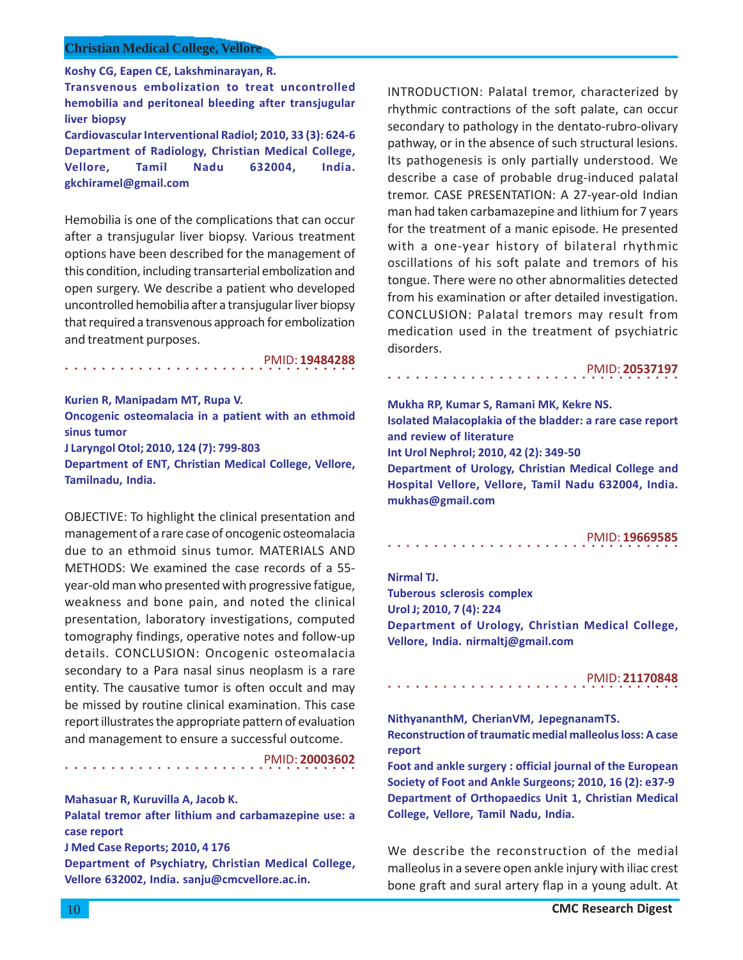**Koshy CG, Eapen CE, Lakshminarayan, R.**

**Transvenous embolization to treat uncontrolled hemobilia and peritoneal bleeding after transjugular liver biopsy Cardiovascular Interventional Radiol; 2010, 33 (3): 624-6 Department of Radiology, Christian Medical College, Vellore, Tamil Nadu 632004, India. gkchiramel@gmail.com**

Hemobilia is one of the complications that can occur after a transjugular liver biopsy. Various treatment options have been described for the management of this condition, including transarterial embolization and open surgery. We describe a patient who developed uncontrolled hemobilia after a transjugular liver biopsy that required a transvenous approach for embolization and treatment purposes.

PMID: **19484288**

**Kurien R, Manipadam MT, Rupa V. Oncogenic osteomalacia in a patient with an ethmoid sinus tumor J Laryngol Otol; 2010, 124 (7): 799-803 Department of ENT, Christian Medical College, Vellore, Tamilnadu, India.**

○○○○○○○○○○○○○○○○ ○○○○○○○○○○○○○○○○

OBJECTIVE: To highlight the clinical presentation and management of a rare case of oncogenic osteomalacia due to an ethmoid sinus tumor. MATERIALS AND METHODS: We examined the case records of a 55 year-old man who presented with progressive fatigue, weakness and bone pain, and noted the clinical presentation, laboratory investigations, computed tomography findings, operative notes and follow-up details. CONCLUSION: Oncogenic osteomalacia secondary to a Para nasal sinus neoplasm is a rare entity. The causative tumor is often occult and may be missed by routine clinical examination. This case report illustrates the appropriate pattern of evaluation and management to ensure a successful outcome.

○○○○○○○○○○○○○○○○ ○○○○○○○○○○○○○○○○ PMID: **20003602**

### **Mahasuar R, Kuruvilla A, Jacob K.**

**Palatal tremor after lithium and carbamazepine use: a case report**

**J Med Case Reports; 2010, 4 176**

**Department of Psychiatry, Christian Medical College, Vellore 632002, India. sanju@cmcvellore.ac.in.**

INTRODUCTION: Palatal tremor, characterized by rhythmic contractions of the soft palate, can occur secondary to pathology in the dentato-rubro-olivary pathway, or in the absence of such structural lesions. Its pathogenesis is only partially understood. We describe a case of probable drug-induced palatal tremor. CASE PRESENTATION: A 27-year-old Indian man had taken carbamazepine and lithium for 7 years for the treatment of a manic episode. He presented with a one-year history of bilateral rhythmic oscillations of his soft palate and tremors of his tongue. There were no other abnormalities detected from his examination or after detailed investigation. CONCLUSION: Palatal tremors may result from medication used in the treatment of psychiatric disorders.

○○○○○○○○○○○○○○○○ ○○○○○○○○○○○○○○○○ PMID: **20537197**

**Mukha RP, Kumar S, Ramani MK, Kekre NS. Isolated Malacoplakia of the bladder: a rare case report and review of literature Int Urol Nephrol; 2010, 42 (2): 349-50 Department of Urology, Christian Medical College and Hospital Vellore, Vellore, Tamil Nadu 632004, India. mukhas@gmail.com**

○○○○○○○○○○○○○○○○ ○○○○○○○○○○○○○○○○ PMID: **19669585**

**Nirmal TJ.**

**Tuberous sclerosis complex Urol J; 2010, 7 (4): 224 Department of Urology, Christian Medical College, Vellore, India. nirmaltj@gmail.com**

#### ○○○○○○○○○○○○○○○○ ○○○○○○○○○○○○○○○○ PMID: **21170848**

**NithyananthM, CherianVM, JepegnanamTS. Reconstruction of traumatic medial malleolus loss: A case report**

**Foot and ankle surgery : official journal of the European Society of Foot and Ankle Surgeons; 2010, 16 (2): e37-9 Department of Orthopaedics Unit 1, Christian Medical College, Vellore, Tamil Nadu, India.**

We describe the reconstruction of the medial malleolus in a severe open ankle injury with iliac crest bone graft and sural artery flap in a young adult. At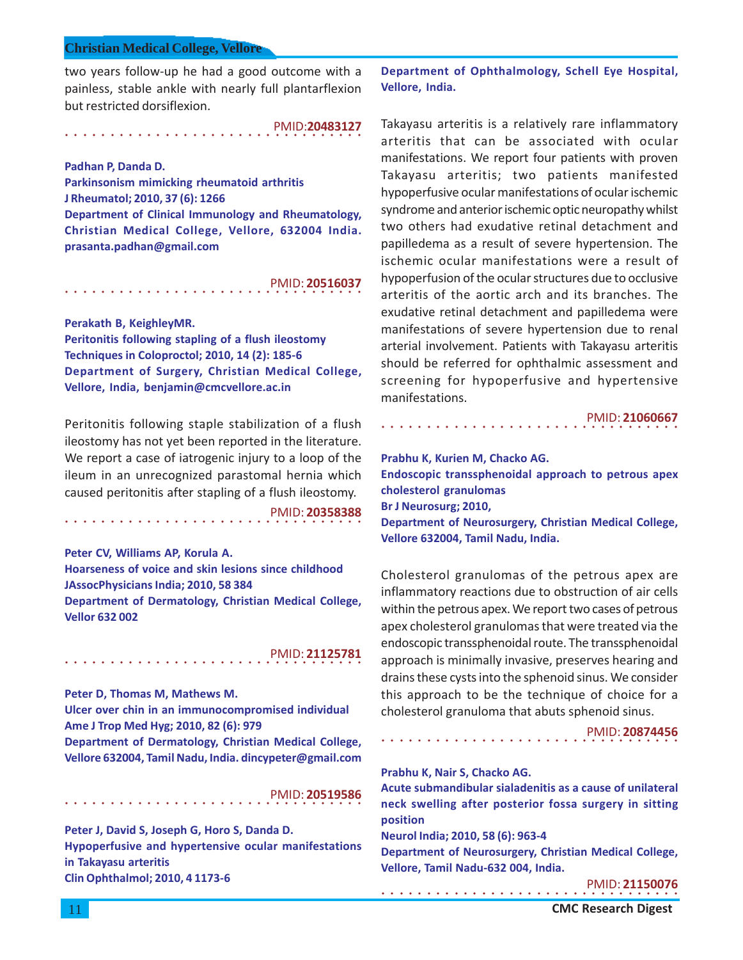two years follow-up he had a good outcome with a painless, stable ankle with nearly full plantarflexion but restricted dorsiflexion.

○○○○○○○○○○○○○○○○○○○○○○○○○○○○ ○○○○○ PMID:**20483127**

**Padhan P, Danda D. Parkinsonism mimicking rheumatoid arthritis J Rheumatol; 2010, 37 (6): 1266 Department of Clinical Immunology and Rheumatology, Christian Medical College, Vellore, 632004 India. prasanta.padhan@gmail.com**

○○○○○○○○○○○○○○○○○○○○○○○○○○○○ ○○○○○ PMID: **20516037**

**Perakath B, KeighleyMR. Peritonitis following stapling of a flush ileostomy Techniques in Coloproctol; 2010, 14 (2): 185-6 Department of Surgery, Christian Medical College, Vellore, India, benjamin@cmcvellore.ac.in**

Peritonitis following staple stabilization of a flush ileostomy has not yet been reported in the literature. We report a case of iatrogenic injury to a loop of the ileum in an unrecognized parastomal hernia which caused peritonitis after stapling of a flush ileostomy.

PMID: **20358388**

**Peter CV, Williams AP, Korula A. Hoarseness of voice and skin lesions since childhood JAssocPhysicians India; 2010, 58 384 Department of Dermatology, Christian Medical College, Vellor 632 002**

# PMID: **21125781**

**Peter D, Thomas M, Mathews M.**

○○○○○○○○○○○○○○○○○○○○○○○○○○○○ ○○○○○

○○○○○○○○○○○○○○○○○○○○○○○○○○○○ ○○○○○

**Ulcer over chin in an immunocompromised individual Ame J Trop Med Hyg; 2010, 82 (6): 979**

**Department of Dermatology, Christian Medical College, Vellore 632004, Tamil Nadu, India. dincypeter@gmail.com**

○○○○○○○○○○○○○○○○○○○○○○○○○○○○ ○○○○○ PMID: **20519586**

**Peter J, David S, Joseph G, Horo S, Danda D. Hypoperfusive and hypertensive ocular manifestations in Takayasu arteritis Clin Ophthalmol; 2010, 4 1173-6**

**Department of Ophthalmology, Schell Eye Hospital, Vellore, India.**

Takayasu arteritis is a relatively rare inflammatory arteritis that can be associated with ocular manifestations. We report four patients with proven Takayasu arteritis; two patients manifested hypoperfusive ocular manifestations of ocular ischemic syndrome and anterior ischemic optic neuropathy whilst two others had exudative retinal detachment and papilledema as a result of severe hypertension. The ischemic ocular manifestations were a result of hypoperfusion of the ocular structures due to occlusive arteritis of the aortic arch and its branches. The exudative retinal detachment and papilledema were manifestations of severe hypertension due to renal arterial involvement. Patients with Takayasu arteritis should be referred for ophthalmic assessment and screening for hypoperfusive and hypertensive manifestations.

PMID: **21060667**

**Prabhu K, Kurien M, Chacko AG.**

○○○○○○○○○○○○○○○○○○○○○○○○○○○○○○○○○

**Endoscopic transsphenoidal approach to petrous apex cholesterol granulomas Br J Neurosurg; 2010, Department of Neurosurgery, Christian Medical College,**

**Vellore 632004, Tamil Nadu, India.**

Cholesterol granulomas of the petrous apex are inflammatory reactions due to obstruction of air cells within the petrous apex. We report two cases of petrous apex cholesterol granulomas that were treated via the endoscopic transsphenoidal route. The transsphenoidal approach is minimally invasive, preserves hearing and drains these cysts into the sphenoid sinus. We consider this approach to be the technique of choice for a cholesterol granuloma that abuts sphenoid sinus.

PMID: **20874456**

**Prabhu K, Nair S, Chacko AG.**

**Acute submandibular sialadenitis as a cause of unilateral neck swelling after posterior fossa surgery in sitting position**

○○○○○○○○○○○○○○○○○○○○○○○○○○○○○○○○○

**Neurol India; 2010, 58 (6): 963-4**

○○○○○○○○○○○○○○○○○○○○○○○○○○○○○○○○○

**Department of Neurosurgery, Christian Medical College, Vellore, Tamil Nadu-632 004, India.**

PMID: **21150076**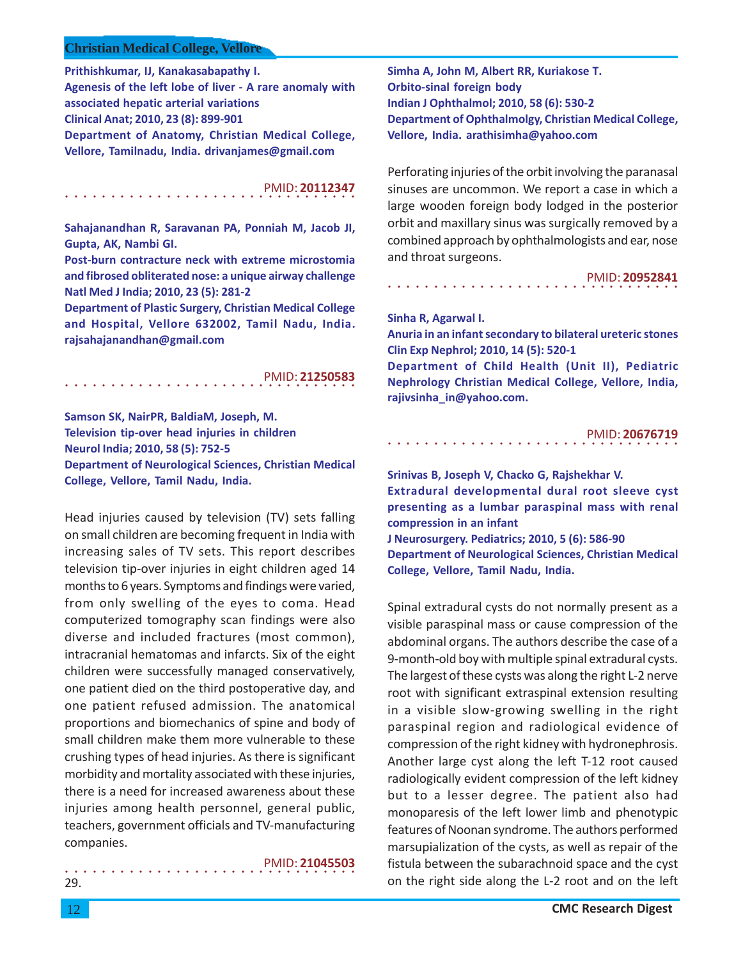**Prithishkumar, IJ, Kanakasabapathy I.**

**Agenesis of the left lobe of liver - A rare anomaly with associated hepatic arterial variations Clinical Anat; 2010, 23 (8): 899-901 Department of Anatomy, Christian Medical College, Vellore, Tamilnadu, India. drivanjames@gmail.com**

#### ○○○○○○○○○○○○○○○○ ○○○○○○○○○○○○○○○○ PMID: **20112347**

**Sahajanandhan R, Saravanan PA, Ponniah M, Jacob JI, Gupta, AK, Nambi GI.**

**Post-burn contracture neck with extreme microstomia and fibrosed obliterated nose: a unique airway challenge Natl Med J India; 2010, 23 (5): 281-2**

**Department of Plastic Surgery, Christian Medical College and Hospital, Vellore 632002, Tamil Nadu, India. rajsahajanandhan@gmail.com**

#### ○○○○○○○○○○○○○○○○ ○○○○○○○○○○○○○○○○ PMID: **21250583**

**Samson SK, NairPR, BaldiaM, Joseph, M. Television tip-over head injuries in children Neurol India; 2010, 58 (5): 752-5 Department of Neurological Sciences, Christian Medical College, Vellore, Tamil Nadu, India.**

Head injuries caused by television (TV) sets falling on small children are becoming frequent in India with increasing sales of TV sets. This report describes television tip-over injuries in eight children aged 14 months to 6 years. Symptoms and findings were varied, from only swelling of the eyes to coma. Head computerized tomography scan findings were also diverse and included fractures (most common), intracranial hematomas and infarcts. Six of the eight children were successfully managed conservatively, one patient died on the third postoperative day, and one patient refused admission. The anatomical proportions and biomechanics of spine and body of small children make them more vulnerable to these crushing types of head injuries. As there is significant morbidity and mortality associated with these injuries, there is a need for increased awareness about these injuries among health personnel, general public, teachers, government officials and TV-manufacturing companies.

#### ○○○○○○○○○○○○○○○○ ○○○○○○○○○○○○○○○○ PMID: **21045503**

**Simha A, John M, Albert RR, Kuriakose T. Orbito-sinal foreign body Indian J Ophthalmol; 2010, 58 (6): 530-2 Department of Ophthalmolgy, Christian Medical College, Vellore, India. arathisimha@yahoo.com**

Perforating injuries of the orbit involving the paranasal sinuses are uncommon. We report a case in which a large wooden foreign body lodged in the posterior orbit and maxillary sinus was surgically removed by a combined approach by ophthalmologists and ear, nose and throat surgeons.

#### ○○○○○○○○○○○○○○○○ ○○○○○○○○○○○○○○○○ PMID: **20952841**

### **Sinha R, Agarwal I.**

**Anuria in an infant secondary to bilateral ureteric stones Clin Exp Nephrol; 2010, 14 (5): 520-1**

**Department of Child Health (Unit II), Pediatric Nephrology Christian Medical College, Vellore, India, rajivsinha\_in@yahoo.com.**

|  |  |  |  |  |  |  |  |  |  |  |  |  |  |  | PMID: 20676719 |  |
|--|--|--|--|--|--|--|--|--|--|--|--|--|--|--|----------------|--|
|  |  |  |  |  |  |  |  |  |  |  |  |  |  |  |                |  |

**Srinivas B, Joseph V, Chacko G, Rajshekhar V. Extradural developmental dural root sleeve cyst presenting as a lumbar paraspinal mass with renal compression in an infant J Neurosurgery. Pediatrics; 2010, 5 (6): 586-90**

**Department of Neurological Sciences, Christian Medical College, Vellore, Tamil Nadu, India.**

Spinal extradural cysts do not normally present as a visible paraspinal mass or cause compression of the abdominal organs. The authors describe the case of a 9-month-old boy with multiple spinal extradural cysts. The largest of these cysts was along the right L-2 nerve root with significant extraspinal extension resulting in a visible slow-growing swelling in the right paraspinal region and radiological evidence of compression of the right kidney with hydronephrosis. Another large cyst along the left T-12 root caused radiologically evident compression of the left kidney but to a lesser degree. The patient also had monoparesis of the left lower limb and phenotypic features of Noonan syndrome. The authors performed marsupialization of the cysts, as well as repair of the fistula between the subarachnoid space and the cyst on the right side along the L-2 root and on the left

29.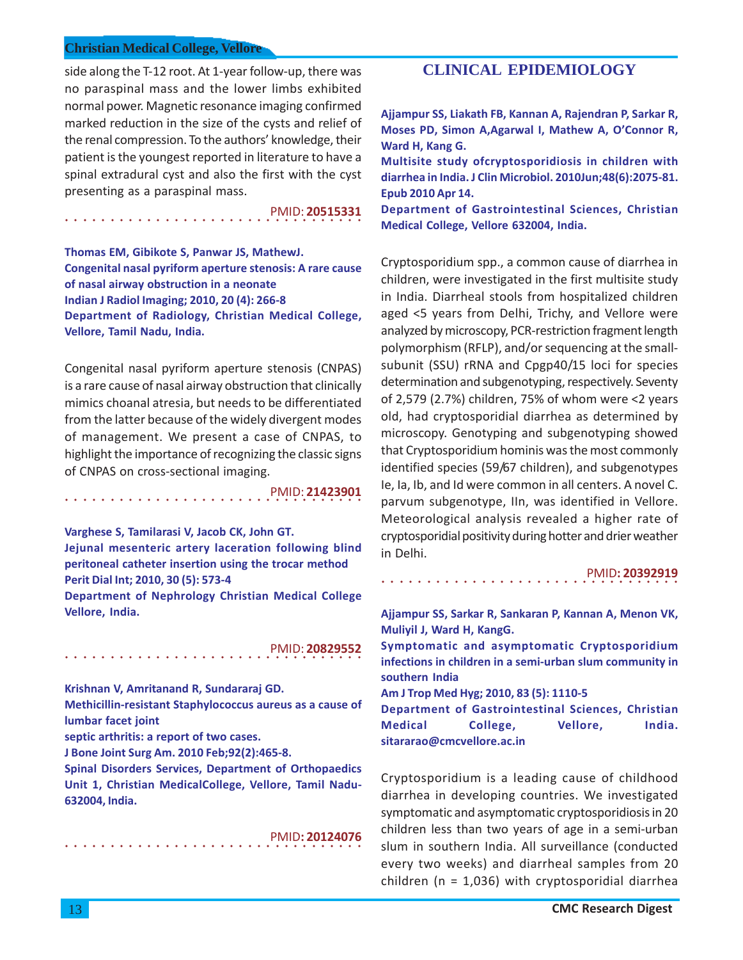○○○○○○○○○○○○○○○○○○○○○○○○○○○○ ○○○○○

side along the T-12 root. At 1-year follow-up, there was no paraspinal mass and the lower limbs exhibited normal power. Magnetic resonance imaging confirmed marked reduction in the size of the cysts and relief of the renal compression. To the authors' knowledge, their patient is the youngest reported in literature to have a spinal extradural cyst and also the first with the cyst presenting as a paraspinal mass.

PMID: **20515331**

**Thomas EM, Gibikote S, Panwar JS, MathewJ. Congenital nasal pyriform aperture stenosis: A rare cause of nasal airway obstruction in a neonate Indian J Radiol Imaging; 2010, 20 (4): 266-8 Department of Radiology, Christian Medical College, Vellore, Tamil Nadu, India.**

Congenital nasal pyriform aperture stenosis (CNPAS) is a rare cause of nasal airway obstruction that clinically mimics choanal atresia, but needs to be differentiated from the latter because of the widely divergent modes of management. We present a case of CNPAS, to highlight the importance of recognizing the classic signs of CNPAS on cross-sectional imaging.

○○○○○○○○○○○○○○○○○○○○○○○○○○○○ ○○○○○ PMID: **21423901**

**Varghese S, Tamilarasi V, Jacob CK, John GT.**

**Jejunal mesenteric artery laceration following blind peritoneal catheter insertion using the trocar method Perit Dial Int; 2010, 30 (5): 573-4**

**Department of Nephrology Christian Medical College Vellore, India.**

PMID: **20829552**

**Krishnan V, Amritanand R, Sundararaj GD.**

○○○○○○○○○○○○○○○○○○○○○○○○○○○○ ○○○○○

**Methicillin-resistant Staphylococcus aureus as a cause of lumbar facet joint**

**septic arthritis: a report of two cases.**

○○○○○○○○○○○○○○○○○○○○○○○○○○○○ ○○○○○

**J Bone Joint Surg Am. 2010 Feb;92(2):465-8.**

**Spinal Disorders Services, Department of Orthopaedics Unit 1, Christian MedicalCollege, Vellore, Tamil Nadu-632004, India.**

PMID**: 20124076**

# **CLINICAL EPIDEMIOLOGY**

**Ajjampur SS, Liakath FB, Kannan A, Rajendran P, Sarkar R, Moses PD, Simon A,Agarwal I, Mathew A, O'Connor R, Ward H, Kang G.**

**Multisite study ofcryptosporidiosis in children with diarrhea in India. J Clin Microbiol. 2010Jun;48(6):2075-81. Epub 2010 Apr 14.**

**Department of Gastrointestinal Sciences, Christian Medical College, Vellore 632004, India.**

Cryptosporidium spp., a common cause of diarrhea in children, were investigated in the first multisite study in India. Diarrheal stools from hospitalized children aged <5 years from Delhi, Trichy, and Vellore were analyzed by microscopy, PCR-restriction fragment length polymorphism (RFLP), and/or sequencing at the smallsubunit (SSU) rRNA and Cpgp40/15 loci for species determination and subgenotyping, respectively. Seventy of 2,579 (2.7%) children, 75% of whom were <2 years old, had cryptosporidial diarrhea as determined by microscopy. Genotyping and subgenotyping showed that Cryptosporidium hominis was the most commonly identified species (59/67 children), and subgenotypes Ie, Ia, Ib, and Id were common in all centers. A novel C. parvum subgenotype, IIn, was identified in Vellore. Meteorological analysis revealed a higher rate of cryptosporidial positivity during hotter and drier weather in Delhi.

PMID**: 20392919**

**Ajjampur SS, Sarkar R, Sankaran P, Kannan A, Menon VK, Muliyil J, Ward H, KangG.**

**Symptomatic and asymptomatic Cryptosporidium infections in children in a semi-urban slum community in southern India**

**Am J Trop Med Hyg; 2010, 83 (5): 1110-5**

○○○○○○○○○○○○○○○○○○○○○○○○○○○○○○○○○

**Department of Gastrointestinal Sciences, Christian Medical College, Vellore, India. sitararao@cmcvellore.ac.in**

Cryptosporidium is a leading cause of childhood diarrhea in developing countries. We investigated symptomatic and asymptomatic cryptosporidiosis in 20 children less than two years of age in a semi-urban slum in southern India. All surveillance (conducted every two weeks) and diarrheal samples from 20 children ( $n = 1,036$ ) with cryptosporidial diarrhea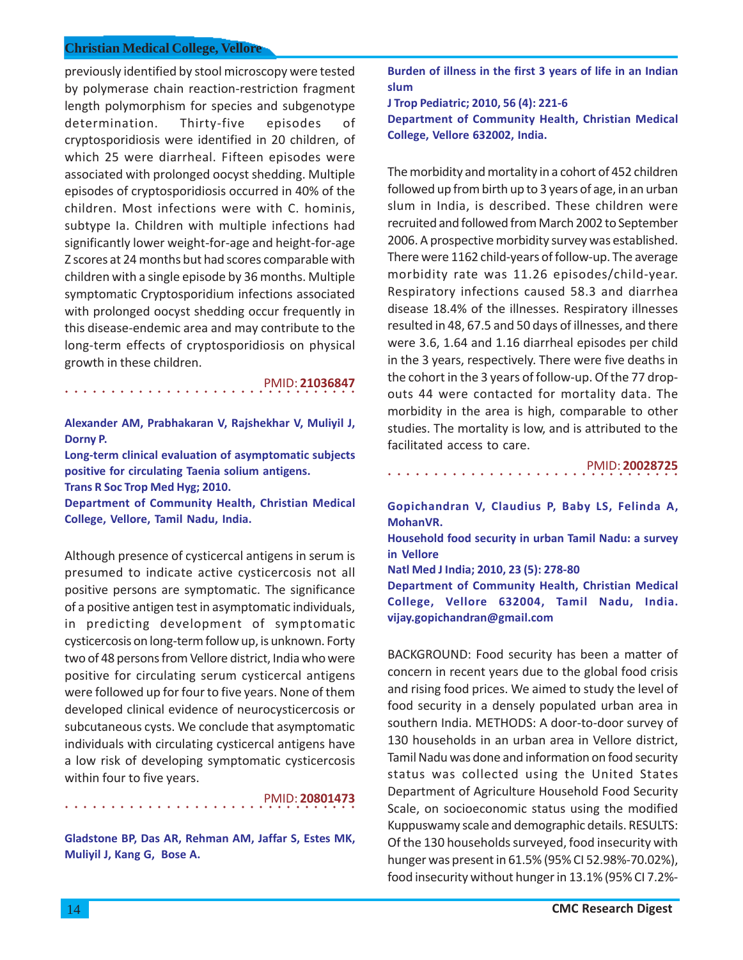previously identified by stool microscopy were tested by polymerase chain reaction-restriction fragment length polymorphism for species and subgenotype determination. Thirty-five episodes of cryptosporidiosis were identified in 20 children, of which 25 were diarrheal. Fifteen episodes were associated with prolonged oocyst shedding. Multiple episodes of cryptosporidiosis occurred in 40% of the children. Most infections were with C. hominis, subtype Ia. Children with multiple infections had significantly lower weight-for-age and height-for-age Z scores at 24 months but had scores comparable with children with a single episode by 36 months. Multiple symptomatic Cryptosporidium infections associated with prolonged oocyst shedding occur frequently in this disease-endemic area and may contribute to the long-term effects of cryptosporidiosis on physical growth in these children.

○○○○○○○○○○○○○○○○ ○○○○○○○○○○○○○○○○ PMID: **21036847**

**Alexander AM, Prabhakaran V, Rajshekhar V, Muliyil J, Dorny P.**

**Long-term clinical evaluation of asymptomatic subjects positive for circulating Taenia solium antigens. Trans R Soc Trop Med Hyg; 2010.**

**Department of Community Health, Christian Medical College, Vellore, Tamil Nadu, India.**

Although presence of cysticercal antigens in serum is presumed to indicate active cysticercosis not all positive persons are symptomatic. The significance of a positive antigen test in asymptomatic individuals, in predicting development of symptomatic cysticercosis on long-term follow up, is unknown. Forty two of 48 persons from Vellore district, India who were positive for circulating serum cysticercal antigens were followed up for four to five years. None of them developed clinical evidence of neurocysticercosis or subcutaneous cysts. We conclude that asymptomatic individuals with circulating cysticercal antigens have a low risk of developing symptomatic cysticercosis within four to five years.

PMID: **20801473**

**Gladstone BP, Das AR, Rehman AM, Jaffar S, Estes MK, Muliyil J, Kang G, Bose A.**

○○○○○○○○○○○○○○○○ ○○○○○○○○○○○○○○○○

**Burden of illness in the first 3 years of life in an Indian slum**

**J Trop Pediatric; 2010, 56 (4): 221-6 Department of Community Health, Christian Medical College, Vellore 632002, India.**

The morbidity and mortality in a cohort of 452 children followed up from birth up to 3 years of age, in an urban slum in India, is described. These children were recruited and followed from March 2002 to September 2006. A prospective morbidity survey was established. There were 1162 child-years of follow-up. The average morbidity rate was 11.26 episodes/child-year. Respiratory infections caused 58.3 and diarrhea disease 18.4% of the illnesses. Respiratory illnesses resulted in 48, 67.5 and 50 days of illnesses, and there were 3.6, 1.64 and 1.16 diarrheal episodes per child in the 3 years, respectively. There were five deaths in the cohort in the 3 years of follow-up. Of the 77 dropouts 44 were contacted for mortality data. The morbidity in the area is high, comparable to other studies. The mortality is low, and is attributed to the facilitated access to care.

PMID: **20028725**

**Gopichandran V, Claudius P, Baby LS, Felinda A, MohanVR.**

○○○○○○○○○○○○○○○○ ○○○○○○○○○○○○○○○○

**Household food security in urban Tamil Nadu: a survey in Vellore**

**Natl Med J India; 2010, 23 (5): 278-80**

**Department of Community Health, Christian Medical College, Vellore 632004, Tamil Nadu, India. vijay.gopichandran@gmail.com**

BACKGROUND: Food security has been a matter of concern in recent years due to the global food crisis and rising food prices. We aimed to study the level of food security in a densely populated urban area in southern India. METHODS: A door-to-door survey of 130 households in an urban area in Vellore district, Tamil Nadu was done and information on food security status was collected using the United States Department of Agriculture Household Food Security Scale, on socioeconomic status using the modified Kuppuswamy scale and demographic details. RESULTS: Of the 130 households surveyed, food insecurity with hunger was present in 61.5% (95% CI 52.98%-70.02%), food insecurity without hunger in 13.1% (95% CI 7.2%-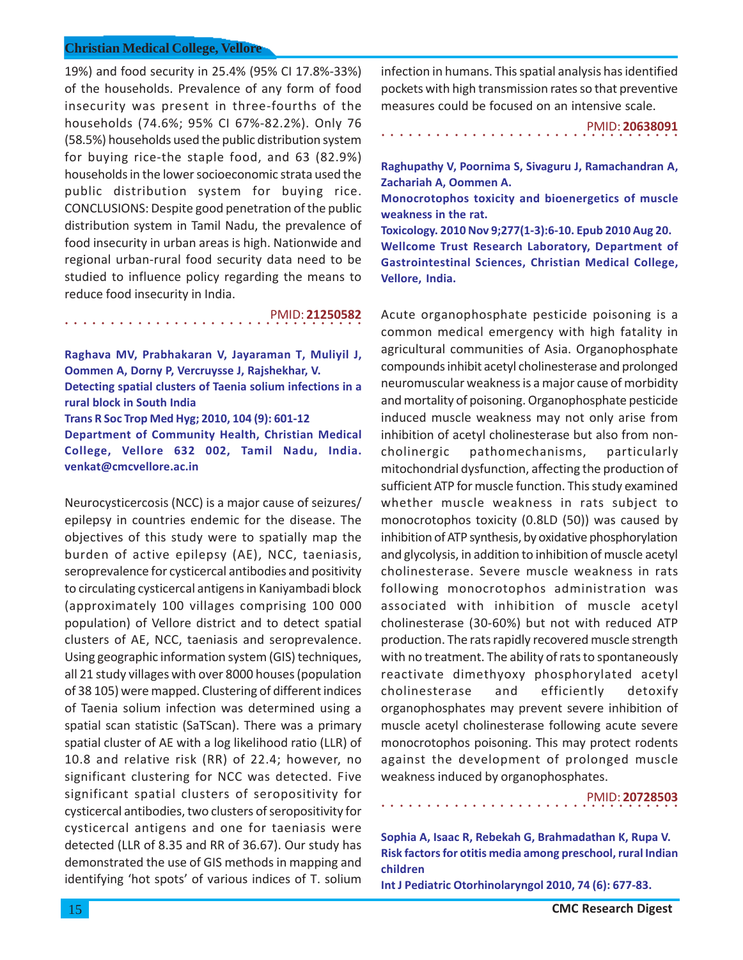○○○○○○○○○○○○○○○○○○○○○○○○○○○○ ○○○○○

19%) and food security in 25.4% (95% CI 17.8%-33%) of the households. Prevalence of any form of food insecurity was present in three-fourths of the households (74.6%; 95% CI 67%-82.2%). Only 76 (58.5%) households used the public distribution system for buying rice-the staple food, and 63 (82.9%) households in the lower socioeconomic strata used the public distribution system for buying rice. CONCLUSIONS: Despite good penetration of the public distribution system in Tamil Nadu, the prevalence of food insecurity in urban areas is high. Nationwide and regional urban-rural food security data need to be studied to influence policy regarding the means to reduce food insecurity in India.

**Raghava MV, Prabhakaran V, Jayaraman T, Muliyil J, Oommen A, Dorny P, Vercruysse J, Rajshekhar, V. Detecting spatial clusters of Taenia solium infections in a rural block in South India Trans R Soc Trop Med Hyg; 2010, 104 (9): 601-12 Department of Community Health, Christian Medical College, Vellore 632 002, Tamil Nadu, India. venkat@cmcvellore.ac.in**

PMID: **21250582**

Neurocysticercosis (NCC) is a major cause of seizures/ epilepsy in countries endemic for the disease. The objectives of this study were to spatially map the burden of active epilepsy (AE), NCC, taeniasis, seroprevalence for cysticercal antibodies and positivity to circulating cysticercal antigens in Kaniyambadi block (approximately 100 villages comprising 100 000 population) of Vellore district and to detect spatial clusters of AE, NCC, taeniasis and seroprevalence. Using geographic information system (GIS) techniques, all 21 study villages with over 8000 houses (population of 38 105) were mapped. Clustering of different indices of Taenia solium infection was determined using a spatial scan statistic (SaTScan). There was a primary spatial cluster of AE with a log likelihood ratio (LLR) of 10.8 and relative risk (RR) of 22.4; however, no significant clustering for NCC was detected. Five significant spatial clusters of seropositivity for cysticercal antibodies, two clusters of seropositivity for cysticercal antigens and one for taeniasis were detected (LLR of 8.35 and RR of 36.67). Our study has demonstrated the use of GIS methods in mapping and identifying 'hot spots' of various indices of T. solium

infection in humans. This spatial analysis has identified pockets with high transmission rates so that preventive measures could be focused on an intensive scale.

○○○○○○○○○○○○○○○○○○○○○○○○○○○○○○○○○ PMID: **20638091**

**Raghupathy V, Poornima S, Sivaguru J, Ramachandran A, Zachariah A, Oommen A.**

**Monocrotophos toxicity and bioenergetics of muscle weakness in the rat.**

**Toxicology. 2010 Nov 9;277(1-3):6-10. Epub 2010 Aug 20. Wellcome Trust Research Laboratory, Department of Gastrointestinal Sciences, Christian Medical College, Vellore, India.**

Acute organophosphate pesticide poisoning is a common medical emergency with high fatality in agricultural communities of Asia. Organophosphate compounds inhibit acetyl cholinesterase and prolonged neuromuscular weakness is a major cause of morbidity and mortality of poisoning. Organophosphate pesticide induced muscle weakness may not only arise from inhibition of acetyl cholinesterase but also from noncholinergic pathomechanisms, particularly mitochondrial dysfunction, affecting the production of sufficient ATP for muscle function. This study examined whether muscle weakness in rats subject to monocrotophos toxicity (0.8LD (50)) was caused by inhibition of ATP synthesis, by oxidative phosphorylation and glycolysis, in addition to inhibition of muscle acetyl cholinesterase. Severe muscle weakness in rats following monocrotophos administration was associated with inhibition of muscle acetyl cholinesterase (30-60%) but not with reduced ATP production. The rats rapidly recovered muscle strength with no treatment. The ability of rats to spontaneously reactivate dimethyoxy phosphorylated acetyl cholinesterase and efficiently detoxify organophosphates may prevent severe inhibition of muscle acetyl cholinesterase following acute severe monocrotophos poisoning. This may protect rodents against the development of prolonged muscle weakness induced by organophosphates.

#### ○○○○○○○○○○○○○○○○○○○○○○○○○○○○○○○○○ PMID: **20728503**

**Sophia A, Isaac R, Rebekah G, Brahmadathan K, Rupa V. Risk factors for otitis media among preschool, rural Indian children**

**Int J Pediatric Otorhinolaryngol 2010, 74 (6): 677-83.**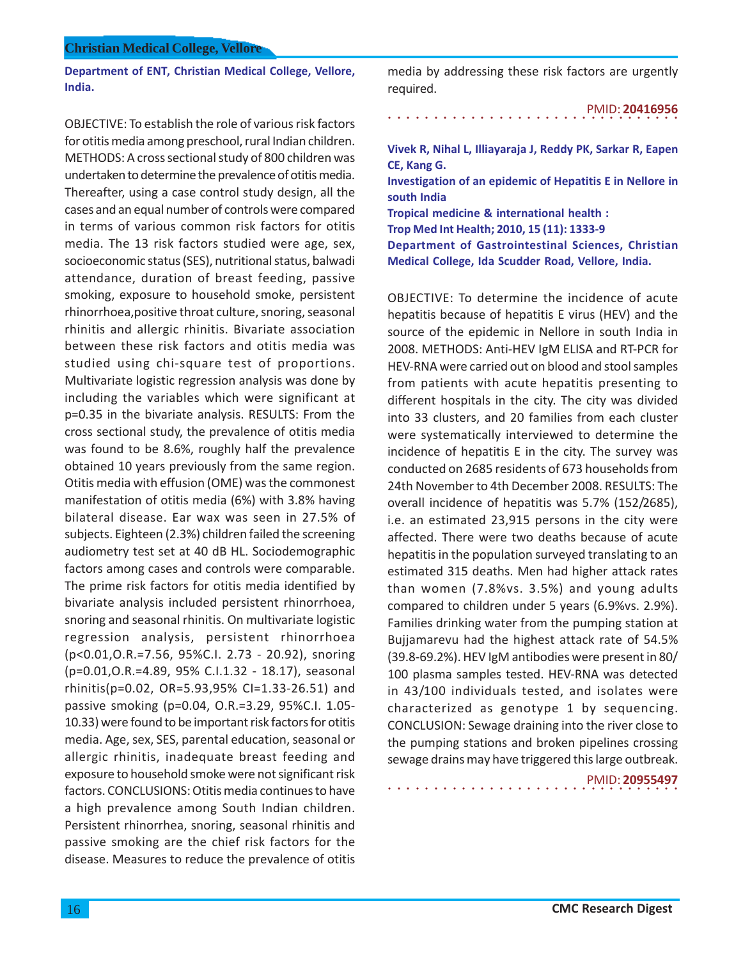**Department of ENT, Christian Medical College, Vellore, India.**

OBJECTIVE: To establish the role of various risk factors for otitis media among preschool, rural Indian children. METHODS: A cross sectional study of 800 children was undertaken to determine the prevalence of otitis media. Thereafter, using a case control study design, all the cases and an equal number of controls were compared in terms of various common risk factors for otitis media. The 13 risk factors studied were age, sex, socioeconomic status (SES), nutritional status, balwadi attendance, duration of breast feeding, passive smoking, exposure to household smoke, persistent rhinorrhoea,positive throat culture, snoring, seasonal rhinitis and allergic rhinitis. Bivariate association between these risk factors and otitis media was studied using chi-square test of proportions. Multivariate logistic regression analysis was done by including the variables which were significant at p=0.35 in the bivariate analysis. RESULTS: From the cross sectional study, the prevalence of otitis media was found to be 8.6%, roughly half the prevalence obtained 10 years previously from the same region. Otitis media with effusion (OME) was the commonest manifestation of otitis media (6%) with 3.8% having bilateral disease. Ear wax was seen in 27.5% of subjects. Eighteen (2.3%) children failed the screening audiometry test set at 40 dB HL. Sociodemographic factors among cases and controls were comparable. The prime risk factors for otitis media identified by bivariate analysis included persistent rhinorrhoea, snoring and seasonal rhinitis. On multivariate logistic regression analysis, persistent rhinorrhoea (p<0.01,O.R.=7.56, 95%C.I. 2.73 - 20.92), snoring (p=0.01,O.R.=4.89, 95% C.I.1.32 - 18.17), seasonal rhinitis(p=0.02, OR=5.93,95% CI=1.33-26.51) and passive smoking (p=0.04, O.R.=3.29, 95%C.I. 1.05- 10.33) were found to be important risk factors for otitis media. Age, sex, SES, parental education, seasonal or allergic rhinitis, inadequate breast feeding and exposure to household smoke were not significant risk factors. CONCLUSIONS: Otitis media continues to have a high prevalence among South Indian children. Persistent rhinorrhea, snoring, seasonal rhinitis and passive smoking are the chief risk factors for the disease. Measures to reduce the prevalence of otitis

media by addressing these risk factors are urgently required.

○○○○○○○○○○○○○○○○ ○○○○○○○○○○○○○○○○ PMID: **20416956**

**Vivek R, Nihal L, Illiayaraja J, Reddy PK, Sarkar R, Eapen CE, Kang G.**

**Investigation of an epidemic of Hepatitis E in Nellore in south India**

**Tropical medicine & international health :**

**Trop Med Int Health; 2010, 15 (11): 1333-9**

**Department of Gastrointestinal Sciences, Christian Medical College, Ida Scudder Road, Vellore, India.**

OBJECTIVE: To determine the incidence of acute hepatitis because of hepatitis E virus (HEV) and the source of the epidemic in Nellore in south India in 2008. METHODS: Anti-HEV IgM ELISA and RT-PCR for HEV-RNA were carried out on blood and stool samples from patients with acute hepatitis presenting to different hospitals in the city. The city was divided into 33 clusters, and 20 families from each cluster were systematically interviewed to determine the incidence of hepatitis E in the city. The survey was conducted on 2685 residents of 673 households from 24th November to 4th December 2008. RESULTS: The overall incidence of hepatitis was 5.7% (152/2685), i.e. an estimated 23,915 persons in the city were affected. There were two deaths because of acute hepatitis in the population surveyed translating to an estimated 315 deaths. Men had higher attack rates than women (7.8%vs. 3.5%) and young adults compared to children under 5 years (6.9%vs. 2.9%). Families drinking water from the pumping station at Bujjamarevu had the highest attack rate of 54.5% (39.8-69.2%). HEV IgM antibodies were present in 80/ 100 plasma samples tested. HEV-RNA was detected in 43/100 individuals tested, and isolates were characterized as genotype 1 by sequencing. CONCLUSION: Sewage draining into the river close to the pumping stations and broken pipelines crossing sewage drains may have triggered this large outbreak.

○○○○○○○○○○○○○○○○ ○○○○○○○○○○○○○○○○

PMID: **20955497**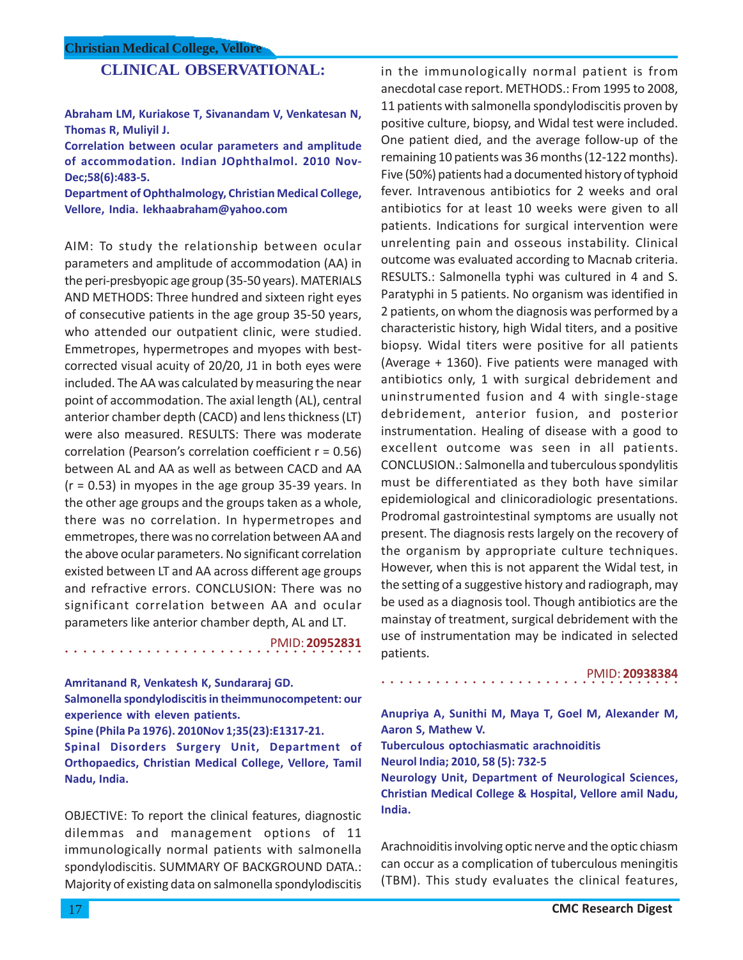# **CLINICAL OBSERVATIONAL:**

**Abraham LM, Kuriakose T, Sivanandam V, Venkatesan N, Thomas R, Muliyil J.**

**Correlation between ocular parameters and amplitude of accommodation. Indian JOphthalmol. 2010 Nov-Dec;58(6):483-5.**

**Department of Ophthalmology, Christian Medical College, Vellore, India. lekhaabraham@yahoo.com**

AIM: To study the relationship between ocular parameters and amplitude of accommodation (AA) in the peri-presbyopic age group (35-50 years). MATERIALS AND METHODS: Three hundred and sixteen right eyes of consecutive patients in the age group 35-50 years, who attended our outpatient clinic, were studied. Emmetropes, hypermetropes and myopes with bestcorrected visual acuity of 20/20, J1 in both eyes were included. The AA was calculated by measuring the near point of accommodation. The axial length (AL), central anterior chamber depth (CACD) and lens thickness (LT) were also measured. RESULTS: There was moderate correlation (Pearson's correlation coefficient r = 0.56) between AL and AA as well as between CACD and AA  $(r = 0.53)$  in myopes in the age group 35-39 years. In the other age groups and the groups taken as a whole, there was no correlation. In hypermetropes and emmetropes, there was no correlation between AA and the above ocular parameters. No significant correlation existed between LT and AA across different age groups and refractive errors. CONCLUSION: There was no significant correlation between AA and ocular parameters like anterior chamber depth, AL and LT.

○○○○○○○○○○○○○○○○○○○○○○○○○○○○ ○○○○○ PMID: **20952831**

**Amritanand R, Venkatesh K, Sundararaj GD. Salmonella spondylodiscitis in theimmunocompetent: our**

**experience with eleven patients. Spine (Phila Pa 1976). 2010Nov 1;35(23):E1317-21.**

**Spinal Disorders Surgery Unit, Department of Orthopaedics, Christian Medical College, Vellore, Tamil Nadu, India.**

OBJECTIVE: To report the clinical features, diagnostic dilemmas and management options of 11 immunologically normal patients with salmonella spondylodiscitis. SUMMARY OF BACKGROUND DATA.: Majority of existing data on salmonella spondylodiscitis

in the immunologically normal patient is from anecdotal case report. METHODS.: From 1995 to 2008, 11 patients with salmonella spondylodiscitis proven by positive culture, biopsy, and Widal test were included. One patient died, and the average follow-up of the remaining 10 patients was 36 months (12-122 months). Five (50%) patients had a documented history of typhoid fever. Intravenous antibiotics for 2 weeks and oral antibiotics for at least 10 weeks were given to all patients. Indications for surgical intervention were unrelenting pain and osseous instability. Clinical outcome was evaluated according to Macnab criteria. RESULTS.: Salmonella typhi was cultured in 4 and S. Paratyphi in 5 patients. No organism was identified in 2 patients, on whom the diagnosis was performed by a characteristic history, high Widal titers, and a positive biopsy. Widal titers were positive for all patients (Average + 1360). Five patients were managed with antibiotics only, 1 with surgical debridement and uninstrumented fusion and 4 with single-stage debridement, anterior fusion, and posterior instrumentation. Healing of disease with a good to excellent outcome was seen in all patients. CONCLUSION.: Salmonella and tuberculous spondylitis must be differentiated as they both have similar epidemiological and clinicoradiologic presentations. Prodromal gastrointestinal symptoms are usually not present. The diagnosis rests largely on the recovery of the organism by appropriate culture techniques. However, when this is not apparent the Widal test, in the setting of a suggestive history and radiograph, may be used as a diagnosis tool. Though antibiotics are the mainstay of treatment, surgical debridement with the use of instrumentation may be indicated in selected patients.

PMID: **20938384**

**Anupriya A, Sunithi M, Maya T, Goel M, Alexander M, Aaron S, Mathew V. Tuberculous optochiasmatic arachnoiditis**

○○○○○○○○○○○○○○○○○○○○○○○○○○○○○○○○○

**Neurol India; 2010, 58 (5): 732-5 Neurology Unit, Department of Neurological Sciences, Christian Medical College & Hospital, Vellore amil Nadu, India.**

Arachnoiditis involving optic nerve and the optic chiasm can occur as a complication of tuberculous meningitis (TBM). This study evaluates the clinical features,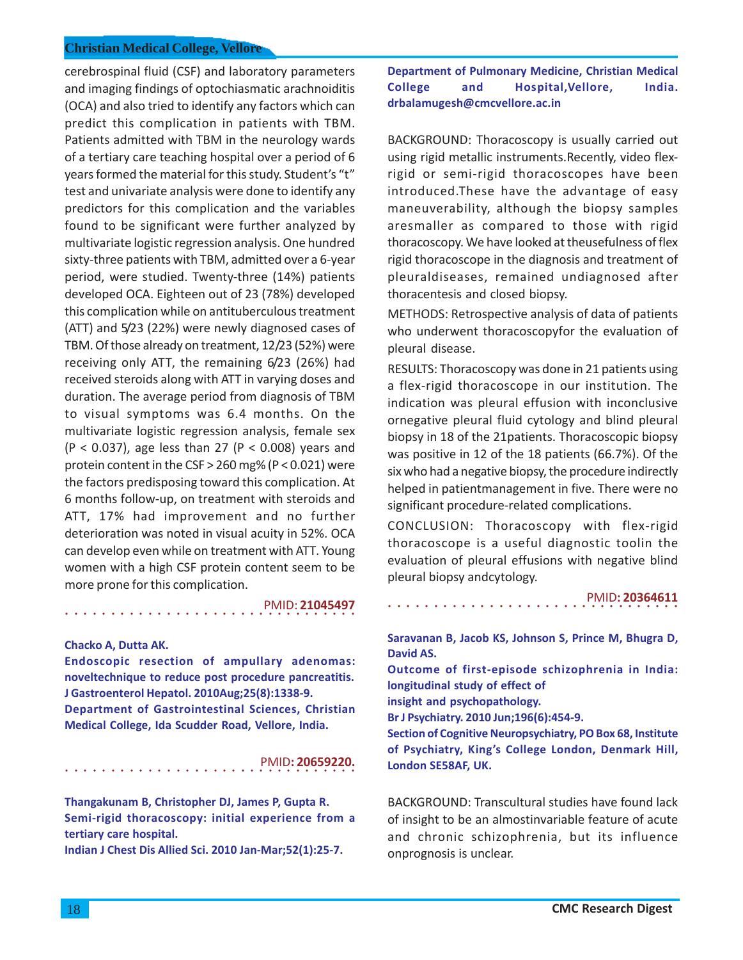cerebrospinal fluid (CSF) and laboratory parameters and imaging findings of optochiasmatic arachnoiditis (OCA) and also tried to identify any factors which can predict this complication in patients with TBM. Patients admitted with TBM in the neurology wards of a tertiary care teaching hospital over a period of 6 years formed the material for this study. Student's "t" test and univariate analysis were done to identify any predictors for this complication and the variables found to be significant were further analyzed by multivariate logistic regression analysis. One hundred sixty-three patients with TBM, admitted over a 6-year period, were studied. Twenty-three (14%) patients developed OCA. Eighteen out of 23 (78%) developed this complication while on antituberculous treatment (ATT) and 5/23 (22%) were newly diagnosed cases of TBM. Of those already on treatment, 12/23 (52%) were receiving only ATT, the remaining 6/23 (26%) had received steroids along with ATT in varying doses and duration. The average period from diagnosis of TBM to visual symptoms was 6.4 months. On the multivariate logistic regression analysis, female sex  $(P < 0.037)$ , age less than 27 (P < 0.008) years and protein content in the CSF > 260 mg% (P < 0.021) were the factors predisposing toward this complication. At 6 months follow-up, on treatment with steroids and ATT, 17% had improvement and no further deterioration was noted in visual acuity in 52%. OCA can develop even while on treatment with ATT. Young women with a high CSF protein content seem to be more prone for this complication.

○○○○○○○○○○○○○○○○ ○○○○○○○○○○○○○○○○ PMID: **21045497**

#### **Chacko A, Dutta AK.**

**Endoscopic resection of ampullary adenomas: noveltechnique to reduce post procedure pancreatitis. J Gastroenterol Hepatol. 2010Aug;25(8):1338-9. Department of Gastrointestinal Sciences, Christian Medical College, Ida Scudder Road, Vellore, India.**

○○○○○○○○○○○○○○○○ ○○○○○○○○○○○○○○○○ PMID**: 20659220.**

**Thangakunam B, Christopher DJ, James P, Gupta R. Semi-rigid thoracoscopy: initial experience from a tertiary care hospital.**

**Indian J Chest Dis Allied Sci. 2010 Jan-Mar;52(1):25-7.**

**Department of Pulmonary Medicine, Christian Medical College and Hospital,Vellore, India. drbalamugesh@cmcvellore.ac.in**

BACKGROUND: Thoracoscopy is usually carried out using rigid metallic instruments.Recently, video flexrigid or semi-rigid thoracoscopes have been introduced.These have the advantage of easy maneuverability, although the biopsy samples aresmaller as compared to those with rigid thoracoscopy. We have looked at theusefulness of flex rigid thoracoscope in the diagnosis and treatment of pleuraldiseases, remained undiagnosed after thoracentesis and closed biopsy.

METHODS: Retrospective analysis of data of patients who underwent thoracoscopyfor the evaluation of pleural disease.

RESULTS: Thoracoscopy was done in 21 patients using a flex-rigid thoracoscope in our institution. The indication was pleural effusion with inconclusive ornegative pleural fluid cytology and blind pleural biopsy in 18 of the 21patients. Thoracoscopic biopsy was positive in 12 of the 18 patients (66.7%). Of the six who had a negative biopsy, the procedure indirectly helped in patientmanagement in five. There were no significant procedure-related complications.

CONCLUSION: Thoracoscopy with flex-rigid thoracoscope is a useful diagnostic toolin the evaluation of pleural effusions with negative blind pleural biopsy andcytology.

○○○○○○○○○○○○○○○○ ○○○○○○○○○○○○○○○○

PMID**: 20364611**

**Saravanan B, Jacob KS, Johnson S, Prince M, Bhugra D, David AS. Outcome of first-episode schizophrenia in India: longitudinal study of effect of insight and psychopathology. Br J Psychiatry. 2010 Jun;196(6):454-9. Section of Cognitive Neuropsychiatry, PO Box 68, Institute of Psychiatry, King's College London, Denmark Hill, London SE58AF, UK.**

BACKGROUND: Transcultural studies have found lack of insight to be an almostinvariable feature of acute and chronic schizophrenia, but its influence onprognosis is unclear.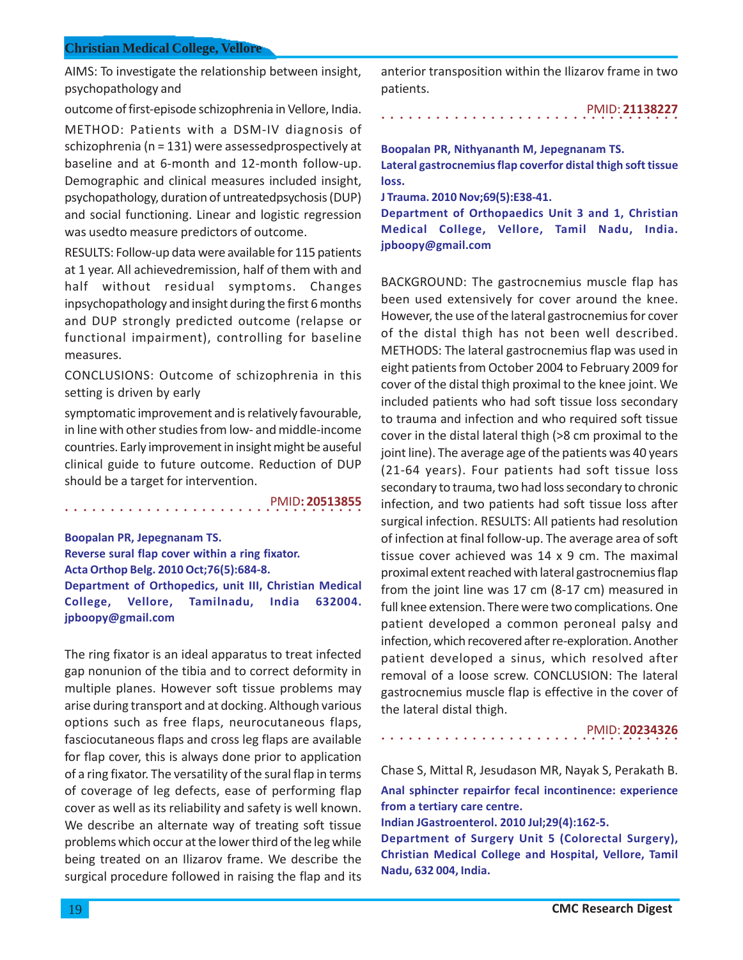AIMS: To investigate the relationship between insight, psychopathology and

outcome of first-episode schizophrenia in Vellore, India.

METHOD: Patients with a DSM-IV diagnosis of schizophrenia (n = 131) were assessedprospectively at baseline and at 6-month and 12-month follow-up. Demographic and clinical measures included insight, psychopathology, duration of untreatedpsychosis (DUP) and social functioning. Linear and logistic regression was usedto measure predictors of outcome.

RESULTS: Follow-up data were available for 115 patients at 1 year. All achievedremission, half of them with and half without residual symptoms. Changes inpsychopathology and insight during the first 6 months and DUP strongly predicted outcome (relapse or functional impairment), controlling for baseline measures.

CONCLUSIONS: Outcome of schizophrenia in this setting is driven by early

symptomatic improvement and is relatively favourable, in line with other studies from low- and middle-income countries. Early improvement in insight might be auseful clinical guide to future outcome. Reduction of DUP should be a target for intervention.

○○○○○○○○○○○○○○○○○○○○○○○○○○○○ ○○○○○ PMID**: 20513855**

**Boopalan PR, Jepegnanam TS. Reverse sural flap cover within a ring fixator. Acta Orthop Belg. 2010 Oct;76(5):684-8. Department of Orthopedics, unit III, Christian Medical College, Vellore, Tamilnadu, India 632004. jpboopy@gmail.com**

The ring fixator is an ideal apparatus to treat infected gap nonunion of the tibia and to correct deformity in multiple planes. However soft tissue problems may arise during transport and at docking. Although various options such as free flaps, neurocutaneous flaps, fasciocutaneous flaps and cross leg flaps are available for flap cover, this is always done prior to application of a ring fixator. The versatility of the sural flap in terms of coverage of leg defects, ease of performing flap cover as well as its reliability and safety is well known. We describe an alternate way of treating soft tissue problems which occur at the lower third of the leg while being treated on an Ilizarov frame. We describe the surgical procedure followed in raising the flap and its

anterior transposition within the Ilizarov frame in two patients.

○○○○○○○○○○○○○○○○○○○○○○○○○○○○○○○○○ PMID: **21138227**

**Boopalan PR, Nithyananth M, Jepegnanam TS. Lateral gastrocnemius flap coverfor distal thigh soft tissue loss.**

**J Trauma. 2010 Nov;69(5):E38-41.**

**Department of Orthopaedics Unit 3 and 1, Christian Medical College, Vellore, Tamil Nadu, India. jpboopy@gmail.com**

BACKGROUND: The gastrocnemius muscle flap has been used extensively for cover around the knee. However, the use of the lateral gastrocnemius for cover of the distal thigh has not been well described. METHODS: The lateral gastrocnemius flap was used in eight patients from October 2004 to February 2009 for cover of the distal thigh proximal to the knee joint. We included patients who had soft tissue loss secondary to trauma and infection and who required soft tissue cover in the distal lateral thigh (>8 cm proximal to the joint line). The average age of the patients was 40 years (21-64 years). Four patients had soft tissue loss secondary to trauma, two had loss secondary to chronic infection, and two patients had soft tissue loss after surgical infection. RESULTS: All patients had resolution of infection at final follow-up. The average area of soft tissue cover achieved was 14 x 9 cm. The maximal proximal extent reached with lateral gastrocnemius flap from the joint line was 17 cm (8-17 cm) measured in full knee extension. There were two complications. One patient developed a common peroneal palsy and infection, which recovered after re-exploration. Another patient developed a sinus, which resolved after removal of a loose screw. CONCLUSION: The lateral gastrocnemius muscle flap is effective in the cover of the lateral distal thigh.

PMID: **20234326**

Chase S, Mittal R, Jesudason MR, Nayak S, Perakath B. **Anal sphincter repairfor fecal incontinence: experience from a tertiary care centre.**

**Indian JGastroenterol. 2010 Jul;29(4):162-5.**

○○○○○○○○○○○○○○○○○○○○○○○○○○○○○○○○○

**Department of Surgery Unit 5 (Colorectal Surgery), Christian Medical College and Hospital, Vellore, Tamil Nadu, 632 004, India.**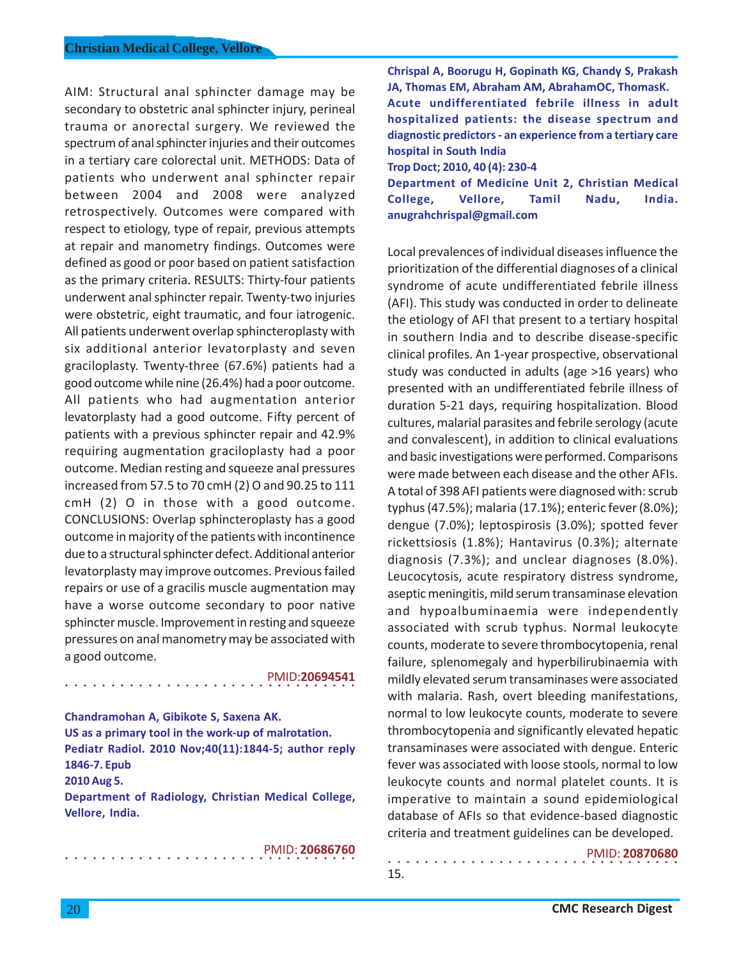AIM: Structural anal sphincter damage may be secondary to obstetric anal sphincter injury, perineal trauma or anorectal surgery. We reviewed the spectrum of anal sphincter injuries and their outcomes in a tertiary care colorectal unit. METHODS: Data of patients who underwent anal sphincter repair between 2004 and 2008 were analyzed retrospectively. Outcomes were compared with respect to etiology, type of repair, previous attempts at repair and manometry findings. Outcomes were defined as good or poor based on patient satisfaction as the primary criteria. RESULTS: Thirty-four patients underwent anal sphincter repair. Twenty-two injuries were obstetric, eight traumatic, and four iatrogenic. All patients underwent overlap sphincteroplasty with six additional anterior levatorplasty and seven graciloplasty. Twenty-three (67.6%) patients had a good outcome while nine (26.4%) had a poor outcome. All patients who had augmentation anterior levatorplasty had a good outcome. Fifty percent of patients with a previous sphincter repair and 42.9% requiring augmentation graciloplasty had a poor outcome. Median resting and squeeze anal pressures increased from 57.5 to 70 cmH (2) O and 90.25 to 111 cmH (2) O in those with a good outcome. CONCLUSIONS: Overlap sphincteroplasty has a good outcome in majority of the patients with incontinence due to a structural sphincter defect. Additional anterior levatorplasty may improve outcomes. Previous failed repairs or use of a gracilis muscle augmentation may have a worse outcome secondary to poor native sphincter muscle. Improvement in resting and squeeze pressures on anal manometry may be associated with a good outcome.

### PMID:**20694541**

**Chandramohan A, Gibikote S, Saxena AK. US as a primary tool in the work-up of malrotation. Pediatr Radiol. 2010 Nov;40(11):1844-5; author reply 1846-7. Epub 2010 Aug 5.**

○○○○○○○○○○○○○○○○ ○○○○○○○○○○○○○○○○

**Department of Radiology, Christian Medical College, Vellore, India.**

○○○○○○○○○○○○○○○○ ○○○○○○○○○○○○○○○○

## PMID: **20686760**

15.

**Chrispal A, Boorugu H, Gopinath KG, Chandy S, Prakash JA, Thomas EM, Abraham AM, AbrahamOC, ThomasK. Acute undifferentiated febrile illness in adult hospitalized patients: the disease spectrum and diagnostic predictors - an experience from a tertiary care hospital in South India Trop Doct; 2010, 40 (4): 230-4 Department of Medicine Unit 2, Christian Medical**

**College, Vellore, Tamil Nadu, India. anugrahchrispal@gmail.com**

Local prevalences of individual diseases influence the prioritization of the differential diagnoses of a clinical syndrome of acute undifferentiated febrile illness (AFI). This study was conducted in order to delineate the etiology of AFI that present to a tertiary hospital in southern India and to describe disease-specific clinical profiles. An 1-year prospective, observational study was conducted in adults (age >16 years) who presented with an undifferentiated febrile illness of duration 5-21 days, requiring hospitalization. Blood cultures, malarial parasites and febrile serology (acute and convalescent), in addition to clinical evaluations and basic investigations were performed. Comparisons were made between each disease and the other AFIs. A total of 398 AFI patients were diagnosed with: scrub typhus (47.5%); malaria (17.1%); enteric fever (8.0%); dengue (7.0%); leptospirosis (3.0%); spotted fever rickettsiosis (1.8%); Hantavirus (0.3%); alternate diagnosis (7.3%); and unclear diagnoses (8.0%). Leucocytosis, acute respiratory distress syndrome, aseptic meningitis, mild serum transaminase elevation and hypoalbuminaemia were independently associated with scrub typhus. Normal leukocyte counts, moderate to severe thrombocytopenia, renal failure, splenomegaly and hyperbilirubinaemia with mildly elevated serum transaminases were associated with malaria. Rash, overt bleeding manifestations, normal to low leukocyte counts, moderate to severe thrombocytopenia and significantly elevated hepatic transaminases were associated with dengue. Enteric fever was associated with loose stools, normal to low leukocyte counts and normal platelet counts. It is imperative to maintain a sound epidemiological database of AFIs so that evidence-based diagnostic criteria and treatment guidelines can be developed.

○○○○○○○○○○○○○○○○ ○○○○○○○○○○○○○○○○ PMID: **20870680**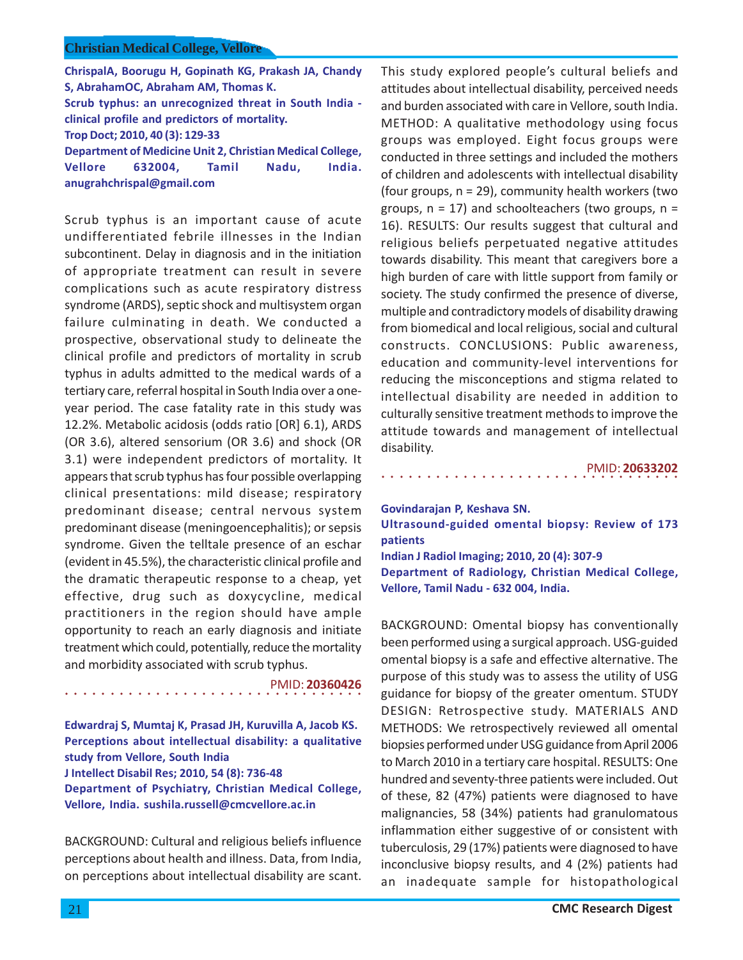**ChrispalA, Boorugu H, Gopinath KG, Prakash JA, Chandy S, AbrahamOC, Abraham AM, Thomas K. Scrub typhus: an unrecognized threat in South India clinical profile and predictors of mortality. Trop Doct; 2010, 40 (3): 129-33 Department of Medicine Unit 2, Christian Medical College, Vellore 632004, Tamil Nadu, India.**

**anugrahchrispal@gmail.com**

Scrub typhus is an important cause of acute undifferentiated febrile illnesses in the Indian subcontinent. Delay in diagnosis and in the initiation of appropriate treatment can result in severe complications such as acute respiratory distress syndrome (ARDS), septic shock and multisystem organ failure culminating in death. We conducted a prospective, observational study to delineate the clinical profile and predictors of mortality in scrub typhus in adults admitted to the medical wards of a tertiary care, referral hospital in South India over a oneyear period. The case fatality rate in this study was 12.2%. Metabolic acidosis (odds ratio [OR] 6.1), ARDS (OR 3.6), altered sensorium (OR 3.6) and shock (OR 3.1) were independent predictors of mortality. It appears that scrub typhus has four possible overlapping clinical presentations: mild disease; respiratory predominant disease; central nervous system predominant disease (meningoencephalitis); or sepsis syndrome. Given the telltale presence of an eschar (evident in 45.5%), the characteristic clinical profile and the dramatic therapeutic response to a cheap, yet effective, drug such as doxycycline, medical practitioners in the region should have ample opportunity to reach an early diagnosis and initiate treatment which could, potentially, reduce the mortality and morbidity associated with scrub typhus.

○○○○○○○○○○○○○○○○○○○○○○○○○○○○ ○○○○○ PMID: **20360426**

**Edwardraj S, Mumtaj K, Prasad JH, Kuruvilla A, Jacob KS. Perceptions about intellectual disability: a qualitative study from Vellore, South India J Intellect Disabil Res; 2010, 54 (8): 736-48 Department of Psychiatry, Christian Medical College, Vellore, India. sushila.russell@cmcvellore.ac.in**

BACKGROUND: Cultural and religious beliefs influence perceptions about health and illness. Data, from India, on perceptions about intellectual disability are scant.

This study explored people's cultural beliefs and attitudes about intellectual disability, perceived needs and burden associated with care in Vellore, south India. METHOD: A qualitative methodology using focus groups was employed. Eight focus groups were conducted in three settings and included the mothers of children and adolescents with intellectual disability (four groups, n = 29), community health workers (two groups,  $n = 17$ ) and schoolteachers (two groups,  $n =$ 16). RESULTS: Our results suggest that cultural and religious beliefs perpetuated negative attitudes towards disability. This meant that caregivers bore a high burden of care with little support from family or society. The study confirmed the presence of diverse, multiple and contradictory models of disability drawing from biomedical and local religious, social and cultural constructs. CONCLUSIONS: Public awareness, education and community-level interventions for reducing the misconceptions and stigma related to intellectual disability are needed in addition to culturally sensitive treatment methods to improve the attitude towards and management of intellectual disability.

○○○○○○○○○○○○○○○○○○○○○○○○○○○○○○○○○ PMID: **20633202**

**Govindarajan P, Keshava SN. Ultrasound-guided omental biopsy: Review of 173 patients Indian J Radiol Imaging; 2010, 20 (4): 307-9 Department of Radiology, Christian Medical College, Vellore, Tamil Nadu - 632 004, India.**

BACKGROUND: Omental biopsy has conventionally been performed using a surgical approach. USG-guided omental biopsy is a safe and effective alternative. The purpose of this study was to assess the utility of USG guidance for biopsy of the greater omentum. STUDY DESIGN: Retrospective study. MATERIALS AND METHODS: We retrospectively reviewed all omental biopsies performed under USG guidance from April 2006 to March 2010 in a tertiary care hospital. RESULTS: One hundred and seventy-three patients were included. Out of these, 82 (47%) patients were diagnosed to have malignancies, 58 (34%) patients had granulomatous inflammation either suggestive of or consistent with tuberculosis, 29 (17%) patients were diagnosed to have inconclusive biopsy results, and 4 (2%) patients had an inadequate sample for histopathological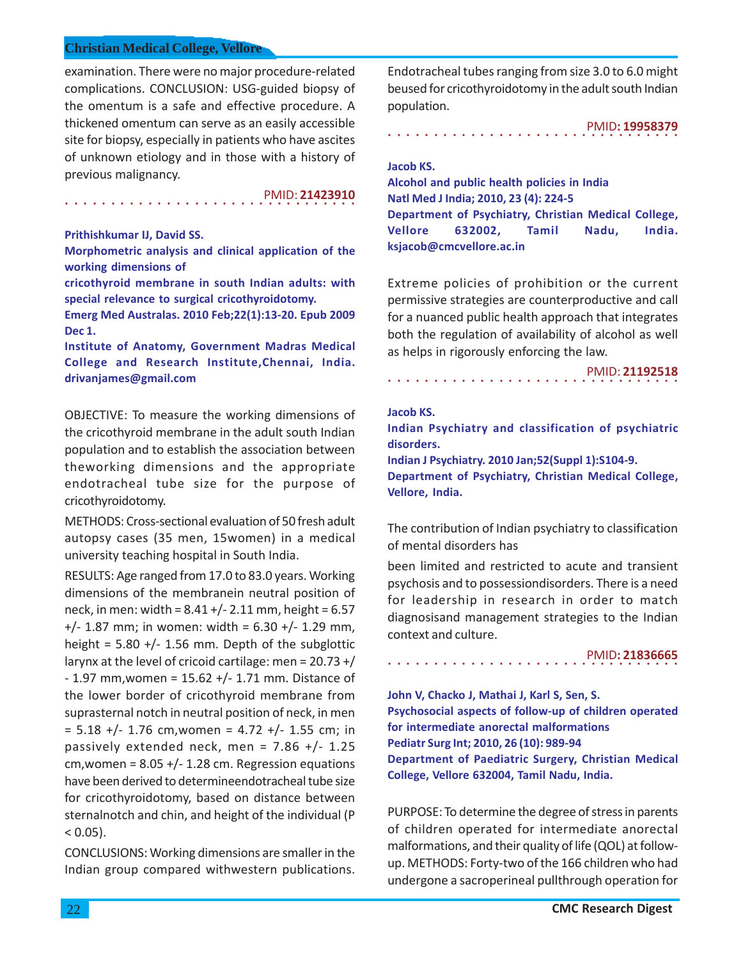examination. There were no major procedure-related complications. CONCLUSION: USG-guided biopsy of the omentum is a safe and effective procedure. A thickened omentum can serve as an easily accessible site for biopsy, especially in patients who have ascites of unknown etiology and in those with a history of previous malignancy.

PMID: **21423910**

## **Prithishkumar IJ, David SS.**

**Morphometric analysis and clinical application of the working dimensions of**

○○○○○○○○○○○○○○○○ ○○○○○○○○○○○○○○○○

**cricothyroid membrane in south Indian adults: with special relevance to surgical cricothyroidotomy.**

**Emerg Med Australas. 2010 Feb;22(1):13-20. Epub 2009 Dec 1.**

**Institute of Anatomy, Government Madras Medical College and Research Institute,Chennai, India. drivanjames@gmail.com**

OBJECTIVE: To measure the working dimensions of the cricothyroid membrane in the adult south Indian population and to establish the association between theworking dimensions and the appropriate endotracheal tube size for the purpose of cricothyroidotomy.

METHODS: Cross-sectional evaluation of 50 fresh adult autopsy cases (35 men, 15women) in a medical university teaching hospital in South India.

RESULTS: Age ranged from 17.0 to 83.0 years. Working dimensions of the membranein neutral position of neck, in men: width =  $8.41 +/- 2.11$  mm, height =  $6.57$  $+/- 1.87$  mm; in women: width = 6.30  $+/- 1.29$  mm, height =  $5.80 +/- 1.56$  mm. Depth of the subglottic larynx at the level of cricoid cartilage: men =  $20.73 + /$  $- 1.97$  mm, women = 15.62 +/ $- 1.71$  mm. Distance of the lower border of cricothyroid membrane from suprasternal notch in neutral position of neck, in men  $= 5.18 +/- 1.76$  cm, women = 4.72 +/- 1.55 cm; in passively extended neck, men =  $7.86$  +/- 1.25 cm, women =  $8.05 +/- 1.28$  cm. Regression equations have been derived to determineendotracheal tube size for cricothyroidotomy, based on distance between sternalnotch and chin, and height of the individual (P  $< 0.05$ ).

CONCLUSIONS: Working dimensions are smaller in the Indian group compared withwestern publications.

Endotracheal tubes ranging from size 3.0 to 6.0 might beused for cricothyroidotomy in the adult south Indian population.

○○○○○○○○○○○○○○○○ ○○○○○○○○○○○○○○○○ PMID**: 19958379**

# **Jacob KS.**

**Alcohol and public health policies in India Natl Med J India; 2010, 23 (4): 224-5 Department of Psychiatry, Christian Medical College, Vellore 632002, Tamil Nadu, India. ksjacob@cmcvellore.ac.in**

Extreme policies of prohibition or the current permissive strategies are counterproductive and call for a nuanced public health approach that integrates both the regulation of availability of alcohol as well as helps in rigorously enforcing the law.

PMID: **21192518**

#### **Jacob KS.**

**Indian Psychiatry and classification of psychiatric disorders.**

○○○○○○○○○○○○○○○○ ○○○○○○○○○○○○○○○○

**Indian J Psychiatry. 2010 Jan;52(Suppl 1):S104-9. Department of Psychiatry, Christian Medical College, Vellore, India.**

The contribution of Indian psychiatry to classification of mental disorders has

been limited and restricted to acute and transient psychosis and to possessiondisorders. There is a need for leadership in research in order to match diagnosisand management strategies to the Indian context and culture.

○○○○○○○○○○○○○○○○ ○○○○○○○○○○○○○○○○ PMID**: 21836665**

**John V, Chacko J, Mathai J, Karl S, Sen, S. Psychosocial aspects of follow-up of children operated for intermediate anorectal malformations Pediatr Surg Int; 2010, 26 (10): 989-94 Department of Paediatric Surgery, Christian Medical College, Vellore 632004, Tamil Nadu, India.**

PURPOSE: To determine the degree of stress in parents of children operated for intermediate anorectal malformations, and their quality of life (QOL) at followup. METHODS: Forty-two of the 166 children who had undergone a sacroperineal pullthrough operation for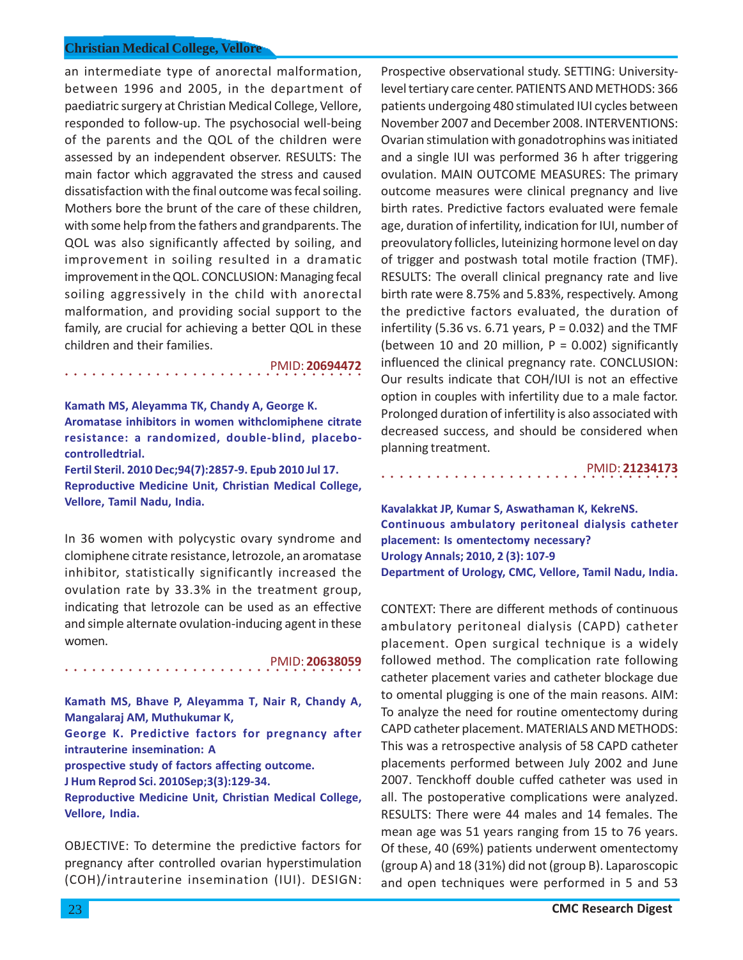an intermediate type of anorectal malformation, between 1996 and 2005, in the department of paediatric surgery at Christian Medical College, Vellore, responded to follow-up. The psychosocial well-being of the parents and the QOL of the children were assessed by an independent observer. RESULTS: The main factor which aggravated the stress and caused dissatisfaction with the final outcome was fecal soiling. Mothers bore the brunt of the care of these children, with some help from the fathers and grandparents. The QOL was also significantly affected by soiling, and improvement in soiling resulted in a dramatic improvement in the QOL. CONCLUSION: Managing fecal soiling aggressively in the child with anorectal malformation, and providing social support to the family, are crucial for achieving a better QOL in these children and their families.

○○○○○○○○○○○○○○○○○○○○○○○○○○○○ ○○○○○ PMID: **20694472**

**Kamath MS, Aleyamma TK, Chandy A, George K. Aromatase inhibitors in women withclomiphene citrate resistance: a randomized, double-blind, placebocontrolledtrial. Fertil Steril. 2010 Dec;94(7):2857-9. Epub 2010 Jul 17. Reproductive Medicine Unit, Christian Medical College, Vellore, Tamil Nadu, India.**

In 36 women with polycystic ovary syndrome and clomiphene citrate resistance, letrozole, an aromatase inhibitor, statistically significantly increased the ovulation rate by 33.3% in the treatment group, indicating that letrozole can be used as an effective and simple alternate ovulation-inducing agent in these women.

○○○○○○○○○○○○○○○○○○○○○○○○○○○○ ○○○○○ PMID: **20638059 Kamath MS, Bhave P, Aleyamma T, Nair R, Chandy A,**

**Mangalaraj AM, Muthukumar K, George K. Predictive factors for pregnancy after intrauterine insemination: A prospective study of factors affecting outcome. J Hum Reprod Sci. 2010Sep;3(3):129-34.**

**Reproductive Medicine Unit, Christian Medical College, Vellore, India.**

OBJECTIVE: To determine the predictive factors for pregnancy after controlled ovarian hyperstimulation (COH)/intrauterine insemination (IUI). DESIGN:

Prospective observational study. SETTING: Universitylevel tertiary care center. PATIENTS AND METHODS: 366 patients undergoing 480 stimulated IUI cycles between November 2007 and December 2008. INTERVENTIONS: Ovarian stimulation with gonadotrophins was initiated and a single IUI was performed 36 h after triggering ovulation. MAIN OUTCOME MEASURES: The primary outcome measures were clinical pregnancy and live birth rates. Predictive factors evaluated were female age, duration of infertility, indication for IUI, number of preovulatory follicles, luteinizing hormone level on day of trigger and postwash total motile fraction (TMF). RESULTS: The overall clinical pregnancy rate and live birth rate were 8.75% and 5.83%, respectively. Among the predictive factors evaluated, the duration of infertility (5.36 vs. 6.71 years,  $P = 0.032$ ) and the TMF (between 10 and 20 million,  $P = 0.002$ ) significantly influenced the clinical pregnancy rate. CONCLUSION: Our results indicate that COH/IUI is not an effective option in couples with infertility due to a male factor. Prolonged duration of infertility is also associated with decreased success, and should be considered when planning treatment.

PMID: **21234173**

**Kavalakkat JP, Kumar S, Aswathaman K, KekreNS. Continuous ambulatory peritoneal dialysis catheter placement: Is omentectomy necessary? Urology Annals; 2010, 2 (3): 107-9 Department of Urology, CMC, Vellore, Tamil Nadu, India.**

○○○○○○○○○○○○○○○○○○○○○○○○○○○○○○○○○

CONTEXT: There are different methods of continuous ambulatory peritoneal dialysis (CAPD) catheter placement. Open surgical technique is a widely followed method. The complication rate following catheter placement varies and catheter blockage due to omental plugging is one of the main reasons. AIM: To analyze the need for routine omentectomy during CAPD catheter placement. MATERIALS AND METHODS: This was a retrospective analysis of 58 CAPD catheter placements performed between July 2002 and June 2007. Tenckhoff double cuffed catheter was used in all. The postoperative complications were analyzed. RESULTS: There were 44 males and 14 females. The mean age was 51 years ranging from 15 to 76 years. Of these, 40 (69%) patients underwent omentectomy (group A) and 18 (31%) did not (group B). Laparoscopic and open techniques were performed in 5 and 53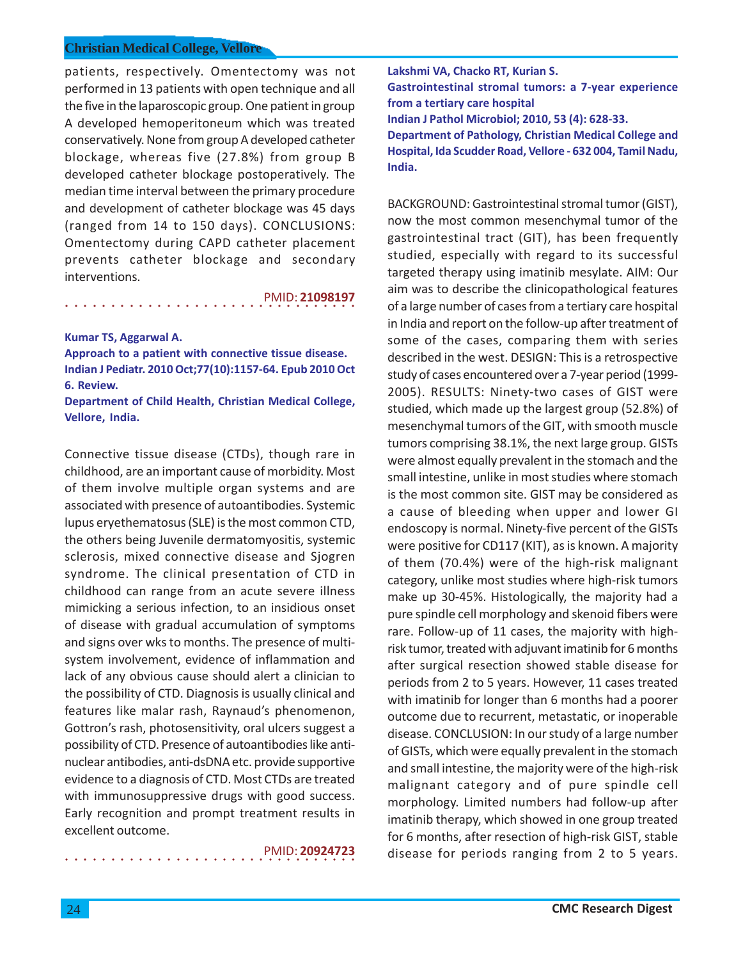patients, respectively. Omentectomy was not performed in 13 patients with open technique and all the five in the laparoscopic group. One patient in group A developed hemoperitoneum which was treated conservatively. None from group A developed catheter blockage, whereas five (27.8%) from group B developed catheter blockage postoperatively. The median time interval between the primary procedure and development of catheter blockage was 45 days (ranged from 14 to 150 days). CONCLUSIONS: Omentectomy during CAPD catheter placement prevents catheter blockage and secondary interventions.

PMID: **21098197**

**Kumar TS, Aggarwal A.**

**Approach to a patient with connective tissue disease. Indian J Pediatr. 2010 Oct;77(10):1157-64. Epub 2010 Oct 6. Review.**

○○○○○○○○○○○○○○○○ ○○○○○○○○○○○○○○○○

**Department of Child Health, Christian Medical College, Vellore, India.**

Connective tissue disease (CTDs), though rare in childhood, are an important cause of morbidity. Most of them involve multiple organ systems and are associated with presence of autoantibodies. Systemic lupus eryethematosus (SLE) is the most common CTD, the others being Juvenile dermatomyositis, systemic sclerosis, mixed connective disease and Sjogren syndrome. The clinical presentation of CTD in childhood can range from an acute severe illness mimicking a serious infection, to an insidious onset of disease with gradual accumulation of symptoms and signs over wks to months. The presence of multisystem involvement, evidence of inflammation and lack of any obvious cause should alert a clinician to the possibility of CTD. Diagnosis is usually clinical and features like malar rash, Raynaud's phenomenon, Gottron's rash, photosensitivity, oral ulcers suggest a possibility of CTD. Presence of autoantibodies like antinuclear antibodies, anti-dsDNA etc. provide supportive evidence to a diagnosis of CTD. Most CTDs are treated with immunosuppressive drugs with good success. Early recognition and prompt treatment results in excellent outcome.

○○○○○○○○○○○○○○○○ ○○○○○○○○○○○○○○○○

PMID: **20924723**

**Lakshmi VA, Chacko RT, Kurian S. Gastrointestinal stromal tumors: a 7-year experience from a tertiary care hospital Indian J Pathol Microbiol; 2010, 53 (4): 628-33. Department of Pathology, Christian Medical College and Hospital, Ida Scudder Road, Vellore - 632 004, Tamil Nadu, India.**

BACKGROUND: Gastrointestinal stromal tumor (GIST), now the most common mesenchymal tumor of the gastrointestinal tract (GIT), has been frequently studied, especially with regard to its successful targeted therapy using imatinib mesylate. AIM: Our aim was to describe the clinicopathological features of a large number of cases from a tertiary care hospital in India and report on the follow-up after treatment of some of the cases, comparing them with series described in the west. DESIGN: This is a retrospective study of cases encountered over a 7-year period (1999- 2005). RESULTS: Ninety-two cases of GIST were studied, which made up the largest group (52.8%) of mesenchymal tumors of the GIT, with smooth muscle tumors comprising 38.1%, the next large group. GISTs were almost equally prevalent in the stomach and the small intestine, unlike in most studies where stomach is the most common site. GIST may be considered as a cause of bleeding when upper and lower GI endoscopy is normal. Ninety-five percent of the GISTs were positive for CD117 (KIT), as is known. A majority of them (70.4%) were of the high-risk malignant category, unlike most studies where high-risk tumors make up 30-45%. Histologically, the majority had a pure spindle cell morphology and skenoid fibers were rare. Follow-up of 11 cases, the majority with highrisk tumor, treated with adjuvant imatinib for 6 months after surgical resection showed stable disease for periods from 2 to 5 years. However, 11 cases treated with imatinib for longer than 6 months had a poorer outcome due to recurrent, metastatic, or inoperable disease. CONCLUSION: In our study of a large number of GISTs, which were equally prevalent in the stomach and small intestine, the majority were of the high-risk malignant category and of pure spindle cell morphology. Limited numbers had follow-up after imatinib therapy, which showed in one group treated for 6 months, after resection of high-risk GIST, stable disease for periods ranging from 2 to 5 years.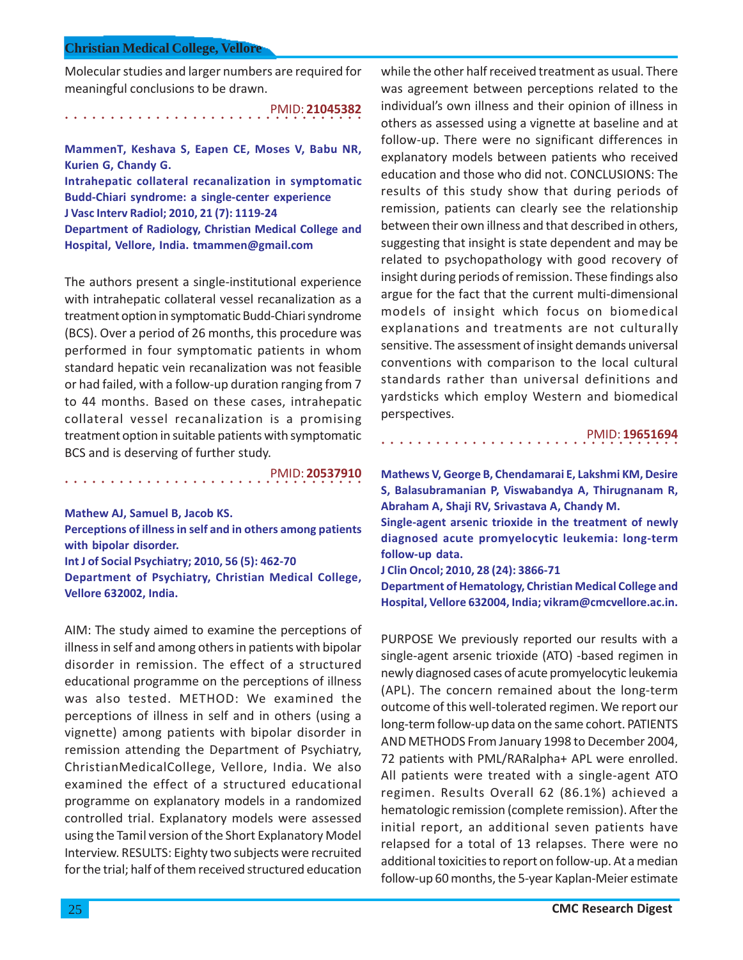Molecular studies and larger numbers are required for meaningful conclusions to be drawn.

○○○○○○○○○○○○○○○○○○○○○○○○○○○○ ○○○○○ PMID: **21045382**

**MammenT, Keshava S, Eapen CE, Moses V, Babu NR, Kurien G, Chandy G.**

**Intrahepatic collateral recanalization in symptomatic Budd-Chiari syndrome: a single-center experience J Vasc Interv Radiol; 2010, 21 (7): 1119-24 Department of Radiology, Christian Medical College and Hospital, Vellore, India. tmammen@gmail.com**

The authors present a single-institutional experience with intrahepatic collateral vessel recanalization as a treatment option in symptomatic Budd-Chiari syndrome (BCS). Over a period of 26 months, this procedure was performed in four symptomatic patients in whom standard hepatic vein recanalization was not feasible or had failed, with a follow-up duration ranging from 7 to 44 months. Based on these cases, intrahepatic collateral vessel recanalization is a promising treatment option in suitable patients with symptomatic BCS and is deserving of further study.

PMID: **20537910**

**Mathew AJ, Samuel B, Jacob KS.**

○○○○○○○○○○○○○○○○○○○○○○○○○○○○ ○○○○○

**Perceptions of illness in self and in others among patients with bipolar disorder.**

**Int J of Social Psychiatry; 2010, 56 (5): 462-70 Department of Psychiatry, Christian Medical College, Vellore 632002, India.**

AIM: The study aimed to examine the perceptions of illness in self and among others in patients with bipolar disorder in remission. The effect of a structured educational programme on the perceptions of illness was also tested. METHOD: We examined the perceptions of illness in self and in others (using a vignette) among patients with bipolar disorder in remission attending the Department of Psychiatry, ChristianMedicalCollege, Vellore, India. We also examined the effect of a structured educational programme on explanatory models in a randomized controlled trial. Explanatory models were assessed using the Tamil version of the Short Explanatory Model Interview. RESULTS: Eighty two subjects were recruited for the trial; half of them received structured education

while the other half received treatment as usual. There was agreement between perceptions related to the individual's own illness and their opinion of illness in others as assessed using a vignette at baseline and at follow-up. There were no significant differences in explanatory models between patients who received education and those who did not. CONCLUSIONS: The results of this study show that during periods of remission, patients can clearly see the relationship between their own illness and that described in others, suggesting that insight is state dependent and may be related to psychopathology with good recovery of insight during periods of remission. These findings also argue for the fact that the current multi-dimensional models of insight which focus on biomedical explanations and treatments are not culturally sensitive. The assessment of insight demands universal conventions with comparison to the local cultural standards rather than universal definitions and yardsticks which employ Western and biomedical perspectives.

PMID: **19651694**

**Mathews V, George B, Chendamarai E, Lakshmi KM, Desire S, Balasubramanian P, Viswabandya A, Thirugnanam R, Abraham A, Shaji RV, Srivastava A, Chandy M.**

○○○○○○○○○○○○○○○○○○○○○○○○○○○○○○○○○

**Single-agent arsenic trioxide in the treatment of newly diagnosed acute promyelocytic leukemia: long-term follow-up data.**

**J Clin Oncol; 2010, 28 (24): 3866-71**

**Department of Hematology, Christian Medical College and Hospital, Vellore 632004, India; vikram@cmcvellore.ac.in.**

PURPOSE We previously reported our results with a single-agent arsenic trioxide (ATO) -based regimen in newly diagnosed cases of acute promyelocytic leukemia (APL). The concern remained about the long-term outcome of this well-tolerated regimen. We report our long-term follow-up data on the same cohort. PATIENTS AND METHODS From January 1998 to December 2004, 72 patients with PML/RARalpha+ APL were enrolled. All patients were treated with a single-agent ATO regimen. Results Overall 62 (86.1%) achieved a hematologic remission (complete remission). After the initial report, an additional seven patients have relapsed for a total of 13 relapses. There were no additional toxicities to report on follow-up. At a median follow-up 60 months, the 5-year Kaplan-Meier estimate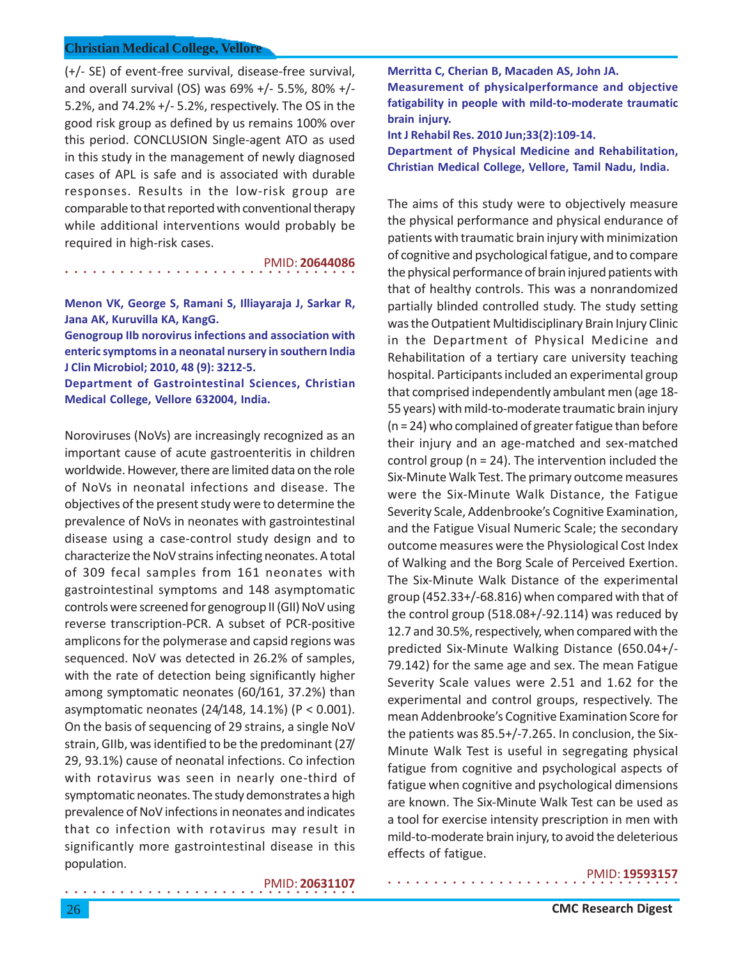○○○○○○○○○○○○○○○○ ○○○○○○○○○○○○○○○○

(+/- SE) of event-free survival, disease-free survival, and overall survival (OS) was 69% +/- 5.5%, 80% +/- 5.2%, and 74.2% +/- 5.2%, respectively. The OS in the good risk group as defined by us remains 100% over this period. CONCLUSION Single-agent ATO as used in this study in the management of newly diagnosed cases of APL is safe and is associated with durable responses. Results in the low-risk group are comparable to that reported with conventional therapy while additional interventions would probably be required in high-risk cases.

PMID: **20644086**

**Menon VK, George S, Ramani S, Illiayaraja J, Sarkar R, Jana AK, Kuruvilla KA, KangG.**

**Genogroup IIb norovirus infections and association with enteric symptoms in a neonatal nursery in southern India J Clin Microbiol; 2010, 48 (9): 3212-5.**

**Department of Gastrointestinal Sciences, Christian Medical College, Vellore 632004, India.**

Noroviruses (NoVs) are increasingly recognized as an important cause of acute gastroenteritis in children worldwide. However, there are limited data on the role of NoVs in neonatal infections and disease. The objectives of the present study were to determine the prevalence of NoVs in neonates with gastrointestinal disease using a case-control study design and to characterize the NoV strains infecting neonates. A total of 309 fecal samples from 161 neonates with gastrointestinal symptoms and 148 asymptomatic controls were screened for genogroup II (GII) NoV using reverse transcription-PCR. A subset of PCR-positive amplicons for the polymerase and capsid regions was sequenced. NoV was detected in 26.2% of samples, with the rate of detection being significantly higher among symptomatic neonates (60/161, 37.2%) than asymptomatic neonates (24/148, 14.1%) (P < 0.001). On the basis of sequencing of 29 strains, a single NoV strain, GIIb, was identified to be the predominant (27/ 29, 93.1%) cause of neonatal infections. Co infection with rotavirus was seen in nearly one-third of symptomatic neonates. The study demonstrates a high prevalence of NoV infections in neonates and indicates that co infection with rotavirus may result in significantly more gastrointestinal disease in this population.

**Merritta C, Cherian B, Macaden AS, John JA. Measurement of physicalperformance and objective fatigability in people with mild-to-moderate traumatic brain injury.**

**Int J Rehabil Res. 2010 Jun;33(2):109-14. Department of Physical Medicine and Rehabilitation, Christian Medical College, Vellore, Tamil Nadu, India.**

The aims of this study were to objectively measure the physical performance and physical endurance of patients with traumatic brain injury with minimization of cognitive and psychological fatigue, and to compare the physical performance of brain injured patients with that of healthy controls. This was a nonrandomized partially blinded controlled study. The study setting was the Outpatient Multidisciplinary Brain Injury Clinic in the Department of Physical Medicine and Rehabilitation of a tertiary care university teaching hospital. Participants included an experimental group that comprised independently ambulant men (age 18- 55 years) with mild-to-moderate traumatic brain injury (n = 24) who complained of greater fatigue than before their injury and an age-matched and sex-matched control group ( $n = 24$ ). The intervention included the Six-Minute Walk Test. The primary outcome measures were the Six-Minute Walk Distance, the Fatigue Severity Scale, Addenbrooke's Cognitive Examination, and the Fatigue Visual Numeric Scale; the secondary outcome measures were the Physiological Cost Index of Walking and the Borg Scale of Perceived Exertion. The Six-Minute Walk Distance of the experimental group (452.33+/-68.816) when compared with that of the control group (518.08+/-92.114) was reduced by 12.7 and 30.5%, respectively, when compared with the predicted Six-Minute Walking Distance (650.04+/- 79.142) for the same age and sex. The mean Fatigue Severity Scale values were 2.51 and 1.62 for the experimental and control groups, respectively. The mean Addenbrooke's Cognitive Examination Score for the patients was 85.5+/-7.265. In conclusion, the Six-Minute Walk Test is useful in segregating physical fatigue from cognitive and psychological aspects of fatigue when cognitive and psychological dimensions are known. The Six-Minute Walk Test can be used as a tool for exercise intensity prescription in men with mild-to-moderate brain injury, to avoid the deleterious effects of fatigue.

○○○○○○○○○○○○○○○○ ○○○○○○○○○○○○○○○○

# ○○○○○○○○○○○○○○○○ ○○○○○○○○○○○○○○○○ PMID: **20631107**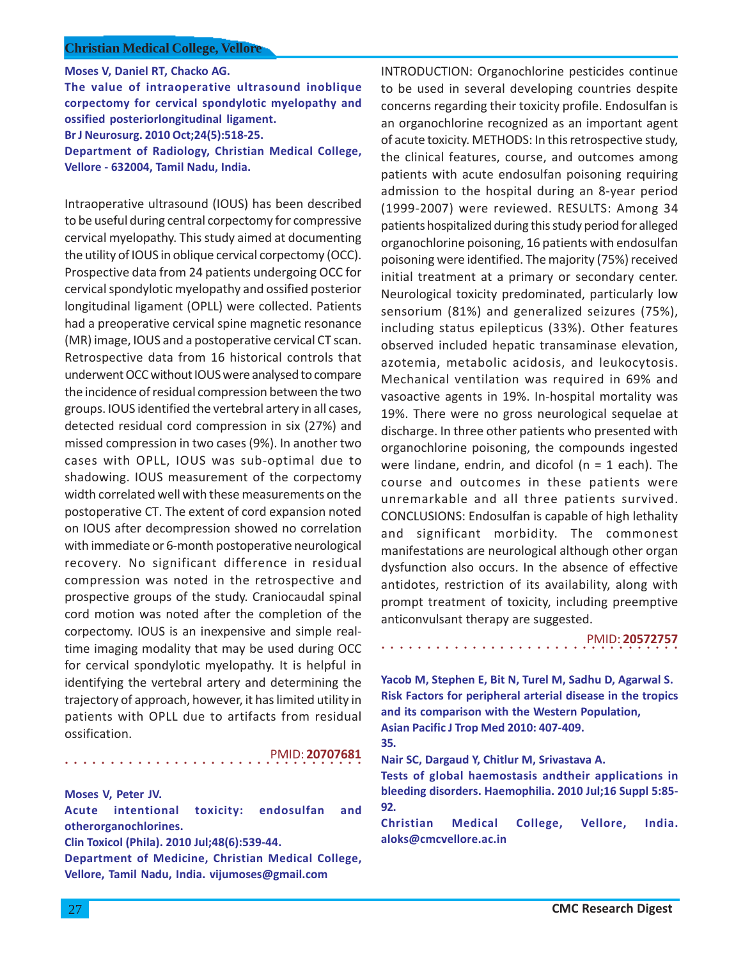**Moses V, Daniel RT, Chacko AG.**

**The value of intraoperative ultrasound inoblique corpectomy for cervical spondylotic myelopathy and ossified posteriorlongitudinal ligament. Br J Neurosurg. 2010 Oct;24(5):518-25.**

**Department of Radiology, Christian Medical College, Vellore - 632004, Tamil Nadu, India.**

Intraoperative ultrasound (IOUS) has been described to be useful during central corpectomy for compressive cervical myelopathy. This study aimed at documenting the utility of IOUS in oblique cervical corpectomy (OCC). Prospective data from 24 patients undergoing OCC for cervical spondylotic myelopathy and ossified posterior longitudinal ligament (OPLL) were collected. Patients had a preoperative cervical spine magnetic resonance (MR) image, IOUS and a postoperative cervical CT scan. Retrospective data from 16 historical controls that underwent OCC without IOUS were analysed to compare the incidence of residual compression between the two groups. IOUS identified the vertebral artery in all cases, detected residual cord compression in six (27%) and missed compression in two cases (9%). In another two cases with OPLL, IOUS was sub-optimal due to shadowing. IOUS measurement of the corpectomy width correlated well with these measurements on the postoperative CT. The extent of cord expansion noted on IOUS after decompression showed no correlation with immediate or 6-month postoperative neurological recovery. No significant difference in residual compression was noted in the retrospective and prospective groups of the study. Craniocaudal spinal cord motion was noted after the completion of the corpectomy. IOUS is an inexpensive and simple realtime imaging modality that may be used during OCC for cervical spondylotic myelopathy. It is helpful in identifying the vertebral artery and determining the trajectory of approach, however, it has limited utility in patients with OPLL due to artifacts from residual ossification.

# PMID: **20707681**

# **Moses V, Peter JV.**

○○○○○○○○○○○○○○○○○○○○○○○○○○○○ ○○○○○

**Acute intentional toxicity: endosulfan and otherorganochlorines.**

**Clin Toxicol (Phila). 2010 Jul;48(6):539-44.**

**Department of Medicine, Christian Medical College, Vellore, Tamil Nadu, India. vijumoses@gmail.com**

INTRODUCTION: Organochlorine pesticides continue to be used in several developing countries despite concerns regarding their toxicity profile. Endosulfan is an organochlorine recognized as an important agent of acute toxicity. METHODS: In this retrospective study, the clinical features, course, and outcomes among patients with acute endosulfan poisoning requiring admission to the hospital during an 8-year period (1999-2007) were reviewed. RESULTS: Among 34 patients hospitalized during this study period for alleged organochlorine poisoning, 16 patients with endosulfan poisoning were identified. The majority (75%) received initial treatment at a primary or secondary center. Neurological toxicity predominated, particularly low sensorium (81%) and generalized seizures (75%), including status epilepticus (33%). Other features observed included hepatic transaminase elevation, azotemia, metabolic acidosis, and leukocytosis. Mechanical ventilation was required in 69% and vasoactive agents in 19%. In-hospital mortality was 19%. There were no gross neurological sequelae at discharge. In three other patients who presented with organochlorine poisoning, the compounds ingested were lindane, endrin, and dicofol ( $n = 1$  each). The course and outcomes in these patients were unremarkable and all three patients survived. CONCLUSIONS: Endosulfan is capable of high lethality and significant morbidity. The commonest manifestations are neurological although other organ dysfunction also occurs. In the absence of effective antidotes, restriction of its availability, along with prompt treatment of toxicity, including preemptive anticonvulsant therapy are suggested.

### PMID: **20572757**

**Yacob M, Stephen E, Bit N, Turel M, Sadhu D, Agarwal S. Risk Factors for peripheral arterial disease in the tropics and its comparison with the Western Population, Asian Pacific J Trop Med 2010: 407-409. 35.**

**Nair SC, Dargaud Y, Chitlur M, Srivastava A.**

○○○○○○○○○○○○○○○○○○○○○○○○○○○○○○○○○

**Tests of global haemostasis andtheir applications in bleeding disorders. Haemophilia. 2010 Jul;16 Suppl 5:85- 92.**

**Christian Medical College, Vellore, India. aloks@cmcvellore.ac.in**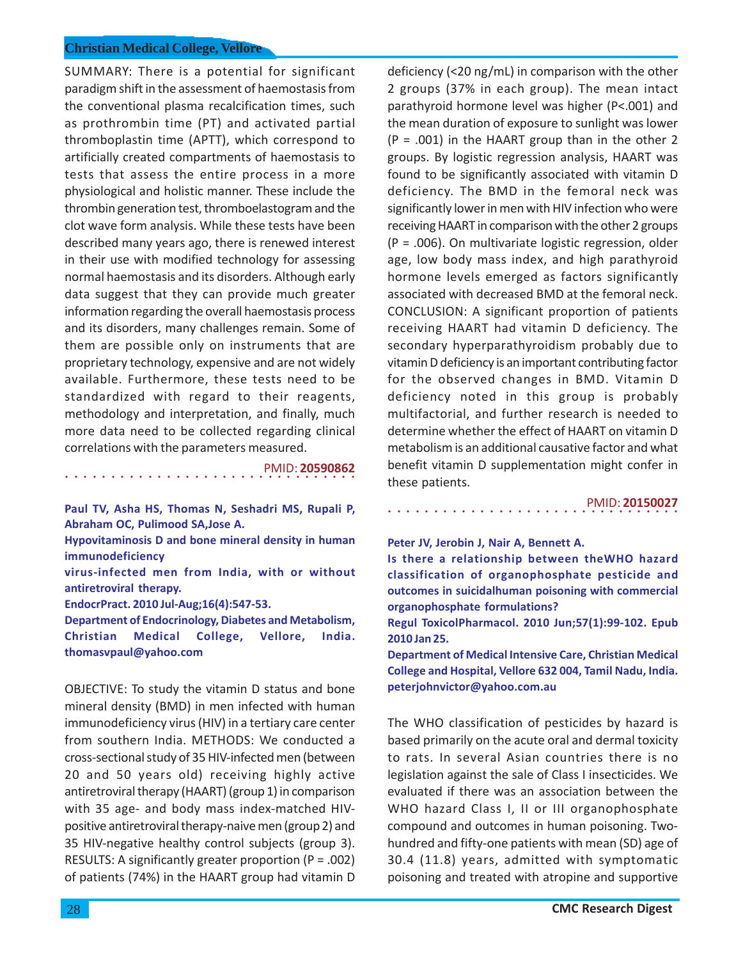SUMMARY: There is a potential for significant paradigm shift in the assessment of haemostasis from the conventional plasma recalcification times, such as prothrombin time (PT) and activated partial thromboplastin time (APTT), which correspond to artificially created compartments of haemostasis to tests that assess the entire process in a more physiological and holistic manner. These include the thrombin generation test, thromboelastogram and the clot wave form analysis. While these tests have been described many years ago, there is renewed interest in their use with modified technology for assessing normal haemostasis and its disorders. Although early data suggest that they can provide much greater information regarding the overall haemostasis process and its disorders, many challenges remain. Some of them are possible only on instruments that are proprietary technology, expensive and are not widely available. Furthermore, these tests need to be standardized with regard to their reagents, methodology and interpretation, and finally, much more data need to be collected regarding clinical correlations with the parameters measured.

PMID: **20590862**

**Paul TV, Asha HS, Thomas N, Seshadri MS, Rupali P, Abraham OC, Pulimood SA,Jose A.**

○○○○○○○○○○○○○○○○ ○○○○○○○○○○○○○○○○

**Hypovitaminosis D and bone mineral density in human immunodeficiency**

**virus-infected men from India, with or without antiretroviral therapy.**

**EndocrPract. 2010 Jul-Aug;16(4):547-53.**

**Department of Endocrinology, Diabetes and Metabolism, Christian Medical College, Vellore, India. thomasvpaul@yahoo.com**

OBJECTIVE: To study the vitamin D status and bone mineral density (BMD) in men infected with human immunodeficiency virus (HIV) in a tertiary care center from southern India. METHODS: We conducted a cross-sectional study of 35 HIV-infected men (between 20 and 50 years old) receiving highly active antiretroviral therapy (HAART) (group 1) in comparison with 35 age- and body mass index-matched HIVpositive antiretroviral therapy-naive men (group 2) and 35 HIV-negative healthy control subjects (group 3). RESULTS: A significantly greater proportion (P = .002) of patients (74%) in the HAART group had vitamin D

deficiency (<20 ng/mL) in comparison with the other 2 groups (37% in each group). The mean intact parathyroid hormone level was higher (P<.001) and the mean duration of exposure to sunlight was lower  $(P = .001)$  in the HAART group than in the other 2 groups. By logistic regression analysis, HAART was found to be significantly associated with vitamin D deficiency. The BMD in the femoral neck was significantly lower in men with HIV infection who were receiving HAART in comparison with the other 2 groups (P = .006). On multivariate logistic regression, older age, low body mass index, and high parathyroid hormone levels emerged as factors significantly associated with decreased BMD at the femoral neck. CONCLUSION: A significant proportion of patients receiving HAART had vitamin D deficiency. The secondary hyperparathyroidism probably due to vitamin D deficiency is an important contributing factor for the observed changes in BMD. Vitamin D deficiency noted in this group is probably multifactorial, and further research is needed to determine whether the effect of HAART on vitamin D metabolism is an additional causative factor and what benefit vitamin D supplementation might confer in these patients.

### PMID: **20150027**

**Peter JV, Jerobin J, Nair A, Bennett A.**

**Is there a relationship between theWHO hazard classification of organophosphate pesticide and outcomes in suicidalhuman poisoning with commercial organophosphate formulations?**

○○○○○○○○○○○○○○○○ ○○○○○○○○○○○○○○○○

**Regul ToxicolPharmacol. 2010 Jun;57(1):99-102. Epub 2010 Jan 25.**

**Department of Medical Intensive Care, Christian Medical College and Hospital, Vellore 632 004, Tamil Nadu, India. peterjohnvictor@yahoo.com.au**

The WHO classification of pesticides by hazard is based primarily on the acute oral and dermal toxicity to rats. In several Asian countries there is no legislation against the sale of Class I insecticides. We evaluated if there was an association between the WHO hazard Class I. II or III organophosphate compound and outcomes in human poisoning. Twohundred and fifty-one patients with mean (SD) age of 30.4 (11.8) years, admitted with symptomatic poisoning and treated with atropine and supportive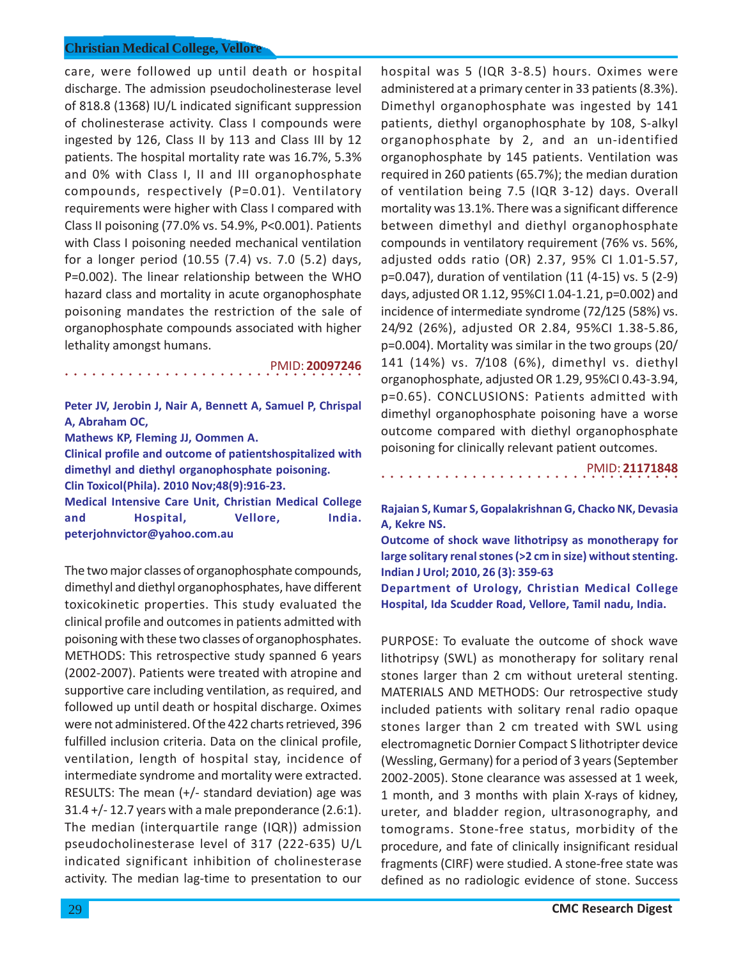care, were followed up until death or hospital discharge. The admission pseudocholinesterase level of 818.8 (1368) IU/L indicated significant suppression of cholinesterase activity. Class I compounds were ingested by 126, Class II by 113 and Class III by 12 patients. The hospital mortality rate was 16.7%, 5.3% and 0% with Class I, II and III organophosphate compounds, respectively (P=0.01). Ventilatory requirements were higher with Class I compared with Class II poisoning (77.0% vs. 54.9%, P<0.001). Patients with Class I poisoning needed mechanical ventilation for a longer period (10.55 (7.4) vs. 7.0 (5.2) days, P=0.002). The linear relationship between the WHO hazard class and mortality in acute organophosphate poisoning mandates the restriction of the sale of organophosphate compounds associated with higher lethality amongst humans.

○○○○○○○○○○○○○○○○○○○○○○○○○○○○ ○○○○○ PMID: **20097246**

**Peter JV, Jerobin J, Nair A, Bennett A, Samuel P, Chrispal A, Abraham OC, Mathews KP, Fleming JJ, Oommen A. Clinical profile and outcome of patientshospitalized with dimethyl and diethyl organophosphate poisoning. Clin Toxicol(Phila). 2010 Nov;48(9):916-23. Medical Intensive Care Unit, Christian Medical College and Hospital, Vellore, India. peterjohnvictor@yahoo.com.au**

The two major classes of organophosphate compounds, dimethyl and diethyl organophosphates, have different toxicokinetic properties. This study evaluated the clinical profile and outcomes in patients admitted with poisoning with these two classes of organophosphates. METHODS: This retrospective study spanned 6 years (2002-2007). Patients were treated with atropine and supportive care including ventilation, as required, and followed up until death or hospital discharge. Oximes were not administered. Of the 422 charts retrieved, 396 fulfilled inclusion criteria. Data on the clinical profile, ventilation, length of hospital stay, incidence of intermediate syndrome and mortality were extracted. RESULTS: The mean (+/- standard deviation) age was  $31.4 + (-12.7$  years with a male preponderance (2.6:1). The median (interquartile range (IQR)) admission pseudocholinesterase level of 317 (222-635) U/L indicated significant inhibition of cholinesterase activity. The median lag-time to presentation to our

hospital was 5 (IQR 3-8.5) hours. Oximes were administered at a primary center in 33 patients (8.3%). Dimethyl organophosphate was ingested by 141 patients, diethyl organophosphate by 108, S-alkyl organophosphate by 2, and an un-identified organophosphate by 145 patients. Ventilation was required in 260 patients (65.7%); the median duration of ventilation being 7.5 (IQR 3-12) days. Overall mortality was 13.1%. There was a significant difference between dimethyl and diethyl organophosphate compounds in ventilatory requirement (76% vs. 56%, adjusted odds ratio (OR) 2.37, 95% CI 1.01-5.57, p=0.047), duration of ventilation (11 (4-15) vs. 5 (2-9) days, adjusted OR 1.12, 95%CI 1.04-1.21, p=0.002) and incidence of intermediate syndrome (72/125 (58%) vs. 24/92 (26%), adjusted OR 2.84, 95%CI 1.38-5.86, p=0.004). Mortality was similar in the two groups (20/ 141 (14%) vs. 7/108 (6%), dimethyl vs. diethyl organophosphate, adjusted OR 1.29, 95%CI 0.43-3.94, p=0.65). CONCLUSIONS: Patients admitted with dimethyl organophosphate poisoning have a worse outcome compared with diethyl organophosphate poisoning for clinically relevant patient outcomes.

PMID: **21171848**

**Rajaian S, Kumar S, Gopalakrishnan G, Chacko NK, Devasia A, Kekre NS.**

○○○○○○○○○○○○○○○○○○○○○○○○○○○○○○○○○

**Outcome of shock wave lithotripsy as monotherapy for large solitary renal stones (>2 cm in size) without stenting. Indian J Urol; 2010, 26 (3): 359-63**

**Department of Urology, Christian Medical College Hospital, Ida Scudder Road, Vellore, Tamil nadu, India.**

PURPOSE: To evaluate the outcome of shock wave lithotripsy (SWL) as monotherapy for solitary renal stones larger than 2 cm without ureteral stenting. MATERIALS AND METHODS: Our retrospective study included patients with solitary renal radio opaque stones larger than 2 cm treated with SWL using electromagnetic Dornier Compact S lithotripter device (Wessling, Germany) for a period of 3 years (September 2002-2005). Stone clearance was assessed at 1 week, 1 month, and 3 months with plain X-rays of kidney, ureter, and bladder region, ultrasonography, and tomograms. Stone-free status, morbidity of the procedure, and fate of clinically insignificant residual fragments (CIRF) were studied. A stone-free state was defined as no radiologic evidence of stone. Success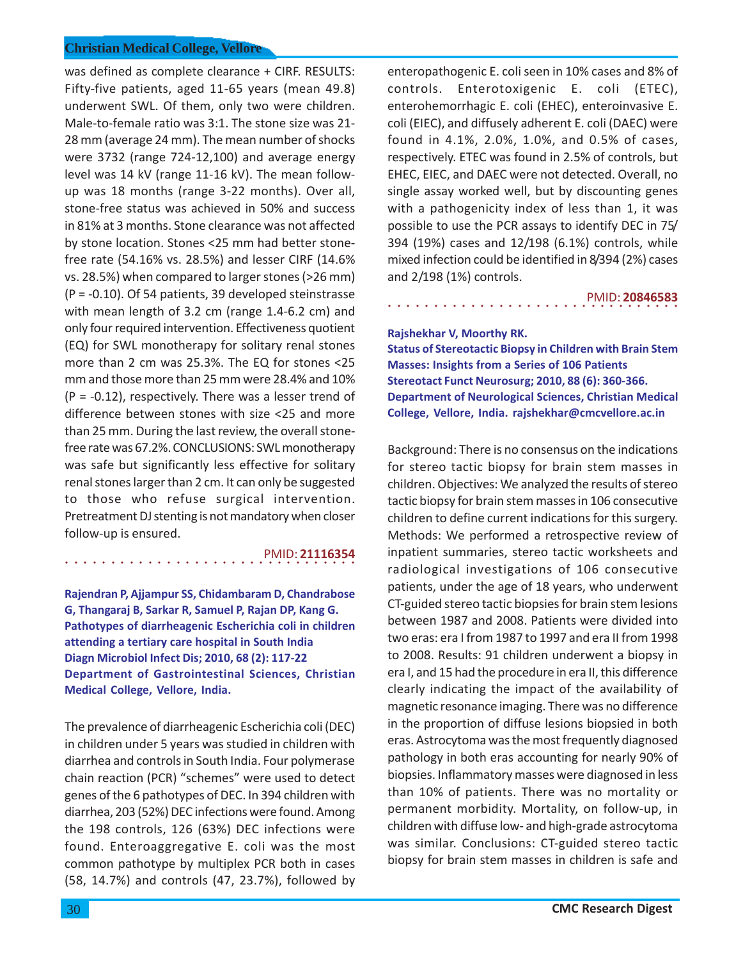was defined as complete clearance + CIRF. RESULTS: Fifty-five patients, aged 11-65 years (mean 49.8) underwent SWL. Of them, only two were children. Male-to-female ratio was 3:1. The stone size was 21- 28 mm (average 24 mm). The mean number of shocks were 3732 (range 724-12,100) and average energy level was 14 kV (range 11-16 kV). The mean followup was 18 months (range 3-22 months). Over all, stone-free status was achieved in 50% and success in 81% at 3 months. Stone clearance was not affected by stone location. Stones <25 mm had better stonefree rate (54.16% vs. 28.5%) and lesser CIRF (14.6% vs. 28.5%) when compared to larger stones (>26 mm) (P = -0.10). Of 54 patients, 39 developed steinstrasse with mean length of 3.2 cm (range 1.4-6.2 cm) and only four required intervention. Effectiveness quotient (EQ) for SWL monotherapy for solitary renal stones more than 2 cm was 25.3%. The EQ for stones <25 mm and those more than 25 mm were 28.4% and 10%  $(P = -0.12)$ , respectively. There was a lesser trend of difference between stones with size <25 and more than 25 mm. During the last review, the overall stonefree rate was 67.2%. CONCLUSIONS: SWL monotherapy was safe but significantly less effective for solitary renal stones larger than 2 cm. It can only be suggested to those who refuse surgical intervention. Pretreatment DJ stenting is not mandatory when closer follow-up is ensured.

## PMID: **21116354**

**Rajendran P, Ajjampur SS, Chidambaram D, Chandrabose G, Thangaraj B, Sarkar R, Samuel P, Rajan DP, Kang G. Pathotypes of diarrheagenic Escherichia coli in children attending a tertiary care hospital in South India Diagn Microbiol Infect Dis; 2010, 68 (2): 117-22 Department of Gastrointestinal Sciences, Christian Medical College, Vellore, India.**

○○○○○○○○○○○○○○○○ ○○○○○○○○○○○○○○○○

The prevalence of diarrheagenic Escherichia coli (DEC) in children under 5 years was studied in children with diarrhea and controls in South India. Four polymerase chain reaction (PCR) "schemes" were used to detect genes of the 6 pathotypes of DEC. In 394 children with diarrhea, 203 (52%) DEC infections were found. Among the 198 controls, 126 (63%) DEC infections were found. Enteroaggregative E. coli was the most common pathotype by multiplex PCR both in cases (58, 14.7%) and controls (47, 23.7%), followed by

enteropathogenic E. coli seen in 10% cases and 8% of controls. Enterotoxigenic E. coli (ETEC), enterohemorrhagic E. coli (EHEC), enteroinvasive E. coli (EIEC), and diffusely adherent E. coli (DAEC) were found in 4.1%, 2.0%, 1.0%, and 0.5% of cases, respectively. ETEC was found in 2.5% of controls, but EHEC, EIEC, and DAEC were not detected. Overall, no single assay worked well, but by discounting genes with a pathogenicity index of less than 1, it was possible to use the PCR assays to identify DEC in 75/ 394 (19%) cases and 12/198 (6.1%) controls, while mixed infection could be identified in 8/394 (2%) cases and 2/198 (1%) controls.

○○○○○○○○○○○○○○○○ ○○○○○○○○○○○○○○○○ PMID: **20846583**

#### **Rajshekhar V, Moorthy RK.**

**Status of Stereotactic Biopsy in Children with Brain Stem Masses: Insights from a Series of 106 Patients Stereotact Funct Neurosurg; 2010, 88 (6): 360-366. Department of Neurological Sciences, Christian Medical College, Vellore, India. rajshekhar@cmcvellore.ac.in**

Background: There is no consensus on the indications for stereo tactic biopsy for brain stem masses in children. Objectives: We analyzed the results of stereo tactic biopsy for brain stem masses in 106 consecutive children to define current indications for this surgery. Methods: We performed a retrospective review of inpatient summaries, stereo tactic worksheets and radiological investigations of 106 consecutive patients, under the age of 18 years, who underwent CT-guided stereo tactic biopsies for brain stem lesions between 1987 and 2008. Patients were divided into two eras: era I from 1987 to 1997 and era II from 1998 to 2008. Results: 91 children underwent a biopsy in era I, and 15 had the procedure in era II, this difference clearly indicating the impact of the availability of magnetic resonance imaging. There was no difference in the proportion of diffuse lesions biopsied in both eras. Astrocytoma was the most frequently diagnosed pathology in both eras accounting for nearly 90% of biopsies. Inflammatory masses were diagnosed in less than 10% of patients. There was no mortality or permanent morbidity. Mortality, on follow-up, in children with diffuse low- and high-grade astrocytoma was similar. Conclusions: CT-guided stereo tactic biopsy for brain stem masses in children is safe and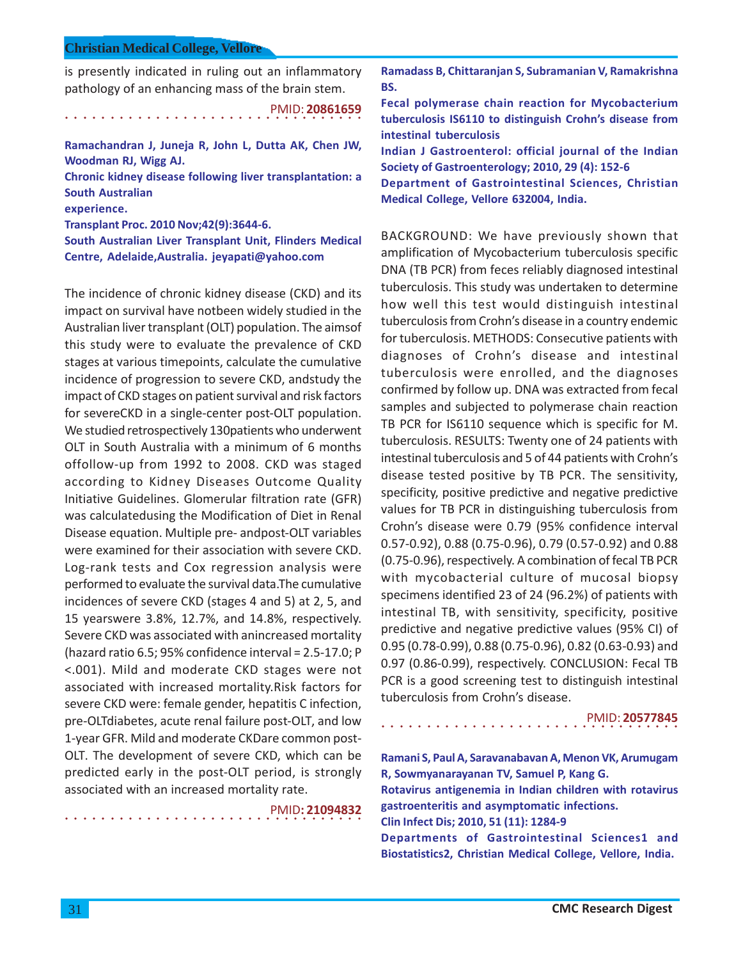is presently indicated in ruling out an inflammatory pathology of an enhancing mass of the brain stem.

○○○○○○○○○○○○○○○○○○○○○○○○○○○○ ○○○○○ PMID: **20861659 Ramachandran J, Juneja R, John L, Dutta AK, Chen JW,**

**Woodman RJ, Wigg AJ. Chronic kidney disease following liver transplantation: a South Australian**

**experience.**

**Transplant Proc. 2010 Nov;42(9):3644-6.**

**South Australian Liver Transplant Unit, Flinders Medical Centre, Adelaide,Australia. jeyapati@yahoo.com**

The incidence of chronic kidney disease (CKD) and its impact on survival have notbeen widely studied in the Australian liver transplant (OLT) population. The aimsof this study were to evaluate the prevalence of CKD stages at various timepoints, calculate the cumulative incidence of progression to severe CKD, andstudy the impact of CKD stages on patient survival and risk factors for severeCKD in a single-center post-OLT population. We studied retrospectively 130patients who underwent OLT in South Australia with a minimum of 6 months offollow-up from 1992 to 2008. CKD was staged according to Kidney Diseases Outcome Quality Initiative Guidelines. Glomerular filtration rate (GFR) was calculatedusing the Modification of Diet in Renal Disease equation. Multiple pre- andpost-OLT variables were examined for their association with severe CKD. Log-rank tests and Cox regression analysis were performed to evaluate the survival data.The cumulative incidences of severe CKD (stages 4 and 5) at 2, 5, and 15 yearswere 3.8%, 12.7%, and 14.8%, respectively. Severe CKD was associated with anincreased mortality (hazard ratio 6.5; 95% confidence interval = 2.5-17.0; P <.001). Mild and moderate CKD stages were not associated with increased mortality.Risk factors for severe CKD were: female gender, hepatitis C infection, pre-OLTdiabetes, acute renal failure post-OLT, and low 1-year GFR. Mild and moderate CKDare common post-OLT. The development of severe CKD, which can be predicted early in the post-OLT period, is strongly associated with an increased mortality rate.

○○○○○○○○○○○○○○○○○○○○○○○○○○○○ ○○○○○

PMID**: 21094832**

**Ramadass B, Chittaranjan S, Subramanian V, Ramakrishna BS.**

**Fecal polymerase chain reaction for Mycobacterium tuberculosis IS6110 to distinguish Crohn's disease from intestinal tuberculosis**

**Indian J Gastroenterol: official journal of the Indian Society of Gastroenterology; 2010, 29 (4): 152-6**

**Department of Gastrointestinal Sciences, Christian Medical College, Vellore 632004, India.**

BACKGROUND: We have previously shown that amplification of Mycobacterium tuberculosis specific DNA (TB PCR) from feces reliably diagnosed intestinal tuberculosis. This study was undertaken to determine how well this test would distinguish intestinal tuberculosis from Crohn's disease in a country endemic for tuberculosis. METHODS: Consecutive patients with diagnoses of Crohn's disease and intestinal tuberculosis were enrolled, and the diagnoses confirmed by follow up. DNA was extracted from fecal samples and subjected to polymerase chain reaction TB PCR for IS6110 sequence which is specific for M. tuberculosis. RESULTS: Twenty one of 24 patients with intestinal tuberculosis and 5 of 44 patients with Crohn's disease tested positive by TB PCR. The sensitivity, specificity, positive predictive and negative predictive values for TB PCR in distinguishing tuberculosis from Crohn's disease were 0.79 (95% confidence interval 0.57-0.92), 0.88 (0.75-0.96), 0.79 (0.57-0.92) and 0.88 (0.75-0.96), respectively. A combination of fecal TB PCR with mycobacterial culture of mucosal biopsy specimens identified 23 of 24 (96.2%) of patients with intestinal TB, with sensitivity, specificity, positive predictive and negative predictive values (95% CI) of 0.95 (0.78-0.99), 0.88 (0.75-0.96), 0.82 (0.63-0.93) and 0.97 (0.86-0.99), respectively. CONCLUSION: Fecal TB PCR is a good screening test to distinguish intestinal tuberculosis from Crohn's disease.

PMID: **20577845**

**Ramani S, Paul A, Saravanabavan A, Menon VK, Arumugam R, Sowmyanarayanan TV, Samuel P, Kang G. Rotavirus antigenemia in Indian children with rotavirus gastroenteritis and asymptomatic infections. Clin Infect Dis; 2010, 51 (11): 1284-9 Departments of Gastrointestinal Sciences1 and Biostatistics2, Christian Medical College, Vellore, India.**

○○○○○○○○○○○○○○○○○○○○○○○○○○○○○○○○○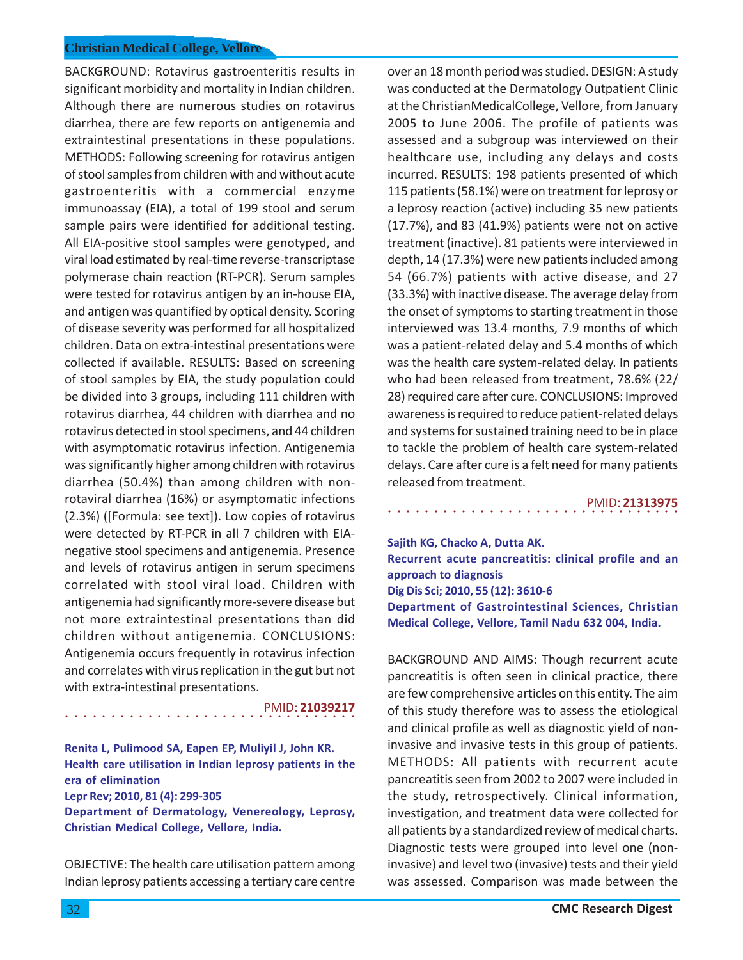BACKGROUND: Rotavirus gastroenteritis results in significant morbidity and mortality in Indian children. Although there are numerous studies on rotavirus diarrhea, there are few reports on antigenemia and extraintestinal presentations in these populations. METHODS: Following screening for rotavirus antigen of stool samples from children with and without acute gastroenteritis with a commercial enzyme immunoassay (EIA), a total of 199 stool and serum sample pairs were identified for additional testing. All EIA-positive stool samples were genotyped, and viral load estimated by real-time reverse-transcriptase polymerase chain reaction (RT-PCR). Serum samples were tested for rotavirus antigen by an in-house EIA, and antigen was quantified by optical density. Scoring of disease severity was performed for all hospitalized children. Data on extra-intestinal presentations were collected if available. RESULTS: Based on screening of stool samples by EIA, the study population could be divided into 3 groups, including 111 children with rotavirus diarrhea, 44 children with diarrhea and no rotavirus detected in stool specimens, and 44 children with asymptomatic rotavirus infection. Antigenemia was significantly higher among children with rotavirus diarrhea (50.4%) than among children with nonrotaviral diarrhea (16%) or asymptomatic infections (2.3%) ([Formula: see text]). Low copies of rotavirus were detected by RT-PCR in all 7 children with EIAnegative stool specimens and antigenemia. Presence and levels of rotavirus antigen in serum specimens correlated with stool viral load. Children with antigenemia had significantly more-severe disease but not more extraintestinal presentations than did children without antigenemia. CONCLUSIONS: Antigenemia occurs frequently in rotavirus infection and correlates with virus replication in the gut but not with extra-intestinal presentations.

○○○○○○○○○○○○○○○○ ○○○○○○○○○○○○○○○○ PMID: **21039217**

**Renita L, Pulimood SA, Eapen EP, Muliyil J, John KR. Health care utilisation in Indian leprosy patients in the era of elimination Lepr Rev; 2010, 81 (4): 299-305 Department of Dermatology, Venereology, Leprosy, Christian Medical College, Vellore, India.**

OBJECTIVE: The health care utilisation pattern among Indian leprosy patients accessing a tertiary care centre

over an 18 month period was studied. DESIGN: A study was conducted at the Dermatology Outpatient Clinic at the ChristianMedicalCollege, Vellore, from January 2005 to June 2006. The profile of patients was assessed and a subgroup was interviewed on their healthcare use, including any delays and costs incurred. RESULTS: 198 patients presented of which 115 patients (58.1%) were on treatment for leprosy or a leprosy reaction (active) including 35 new patients (17.7%), and 83 (41.9%) patients were not on active treatment (inactive). 81 patients were interviewed in depth, 14 (17.3%) were new patients included among 54 (66.7%) patients with active disease, and 27 (33.3%) with inactive disease. The average delay from the onset of symptoms to starting treatment in those interviewed was 13.4 months, 7.9 months of which was a patient-related delay and 5.4 months of which was the health care system-related delay. In patients who had been released from treatment, 78.6% (22/ 28) required care after cure. CONCLUSIONS: Improved awareness is required to reduce patient-related delays and systems for sustained training need to be in place to tackle the problem of health care system-related delays. Care after cure is a felt need for many patients released from treatment.

#### ○○○○○○○○○○○○○○○○ ○○○○○○○○○○○○○○○○ PMID: **21313975**

**Sajith KG, Chacko A, Dutta AK. Recurrent acute pancreatitis: clinical profile and an approach to diagnosis Dig Dis Sci; 2010, 55 (12): 3610-6 Department of Gastrointestinal Sciences, Christian Medical College, Vellore, Tamil Nadu 632 004, India.**

BACKGROUND AND AIMS: Though recurrent acute pancreatitis is often seen in clinical practice, there are few comprehensive articles on this entity. The aim of this study therefore was to assess the etiological and clinical profile as well as diagnostic yield of noninvasive and invasive tests in this group of patients. METHODS: All patients with recurrent acute pancreatitis seen from 2002 to 2007 were included in the study, retrospectively. Clinical information, investigation, and treatment data were collected for all patients by a standardized review of medical charts. Diagnostic tests were grouped into level one (noninvasive) and level two (invasive) tests and their yield was assessed. Comparison was made between the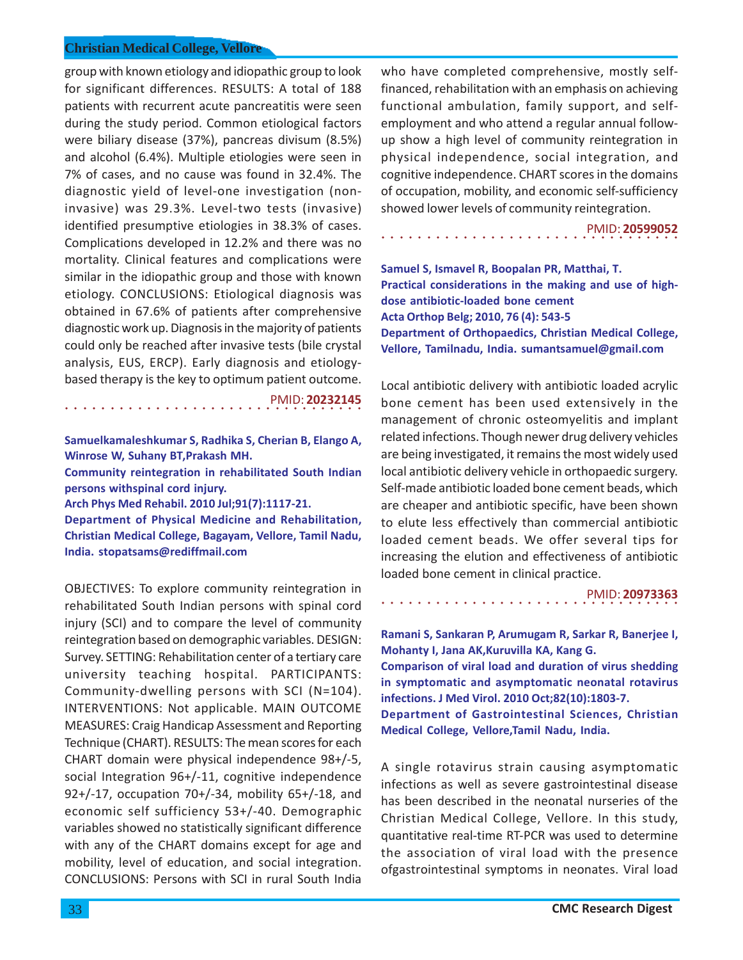group with known etiology and idiopathic group to look for significant differences. RESULTS: A total of 188 patients with recurrent acute pancreatitis were seen during the study period. Common etiological factors were biliary disease (37%), pancreas divisum (8.5%) and alcohol (6.4%). Multiple etiologies were seen in 7% of cases, and no cause was found in 32.4%. The diagnostic yield of level-one investigation (noninvasive) was 29.3%. Level-two tests (invasive) identified presumptive etiologies in 38.3% of cases. Complications developed in 12.2% and there was no mortality. Clinical features and complications were similar in the idiopathic group and those with known etiology. CONCLUSIONS: Etiological diagnosis was obtained in 67.6% of patients after comprehensive diagnostic work up. Diagnosis in the majority of patients could only be reached after invasive tests (bile crystal analysis, EUS, ERCP). Early diagnosis and etiologybased therapy is the key to optimum patient outcome.

○○○○○○○○○○○○○○○○○○○○○○○○○○○○ ○○○○○ PMID: **20232145**

**Samuelkamaleshkumar S, Radhika S, Cherian B, Elango A, Winrose W, Suhany BT,Prakash MH.**

**Community reintegration in rehabilitated South Indian persons withspinal cord injury.**

**Arch Phys Med Rehabil. 2010 Jul;91(7):1117-21.**

**Department of Physical Medicine and Rehabilitation, Christian Medical College, Bagayam, Vellore, Tamil Nadu, India. stopatsams@rediffmail.com**

OBJECTIVES: To explore community reintegration in rehabilitated South Indian persons with spinal cord injury (SCI) and to compare the level of community reintegration based on demographic variables. DESIGN: Survey. SETTING: Rehabilitation center of a tertiary care university teaching hospital. PARTICIPANTS: Community-dwelling persons with SCI (N=104). INTERVENTIONS: Not applicable. MAIN OUTCOME MEASURES: Craig Handicap Assessment and Reporting Technique (CHART). RESULTS: The mean scores for each CHART domain were physical independence 98+/-5, social Integration 96+/-11, cognitive independence 92+/-17, occupation 70+/-34, mobility 65+/-18, and economic self sufficiency 53+/-40. Demographic variables showed no statistically significant difference with any of the CHART domains except for age and mobility, level of education, and social integration. CONCLUSIONS: Persons with SCI in rural South India

who have completed comprehensive, mostly selffinanced, rehabilitation with an emphasis on achieving functional ambulation, family support, and selfemployment and who attend a regular annual followup show a high level of community reintegration in physical independence, social integration, and cognitive independence. CHART scores in the domains of occupation, mobility, and economic self-sufficiency showed lower levels of community reintegration.

PMID: **20599052**

**Samuel S, Ismavel R, Boopalan PR, Matthai, T. Practical considerations in the making and use of highdose antibiotic-loaded bone cement Acta Orthop Belg; 2010, 76 (4): 543-5 Department of Orthopaedics, Christian Medical College, Vellore, Tamilnadu, India. sumantsamuel@gmail.com**

○○○○○○○○○○○○○○○○○○○○○○○○○○○○○○○○○

Local antibiotic delivery with antibiotic loaded acrylic bone cement has been used extensively in the management of chronic osteomyelitis and implant related infections. Though newer drug delivery vehicles are being investigated, it remains the most widely used local antibiotic delivery vehicle in orthopaedic surgery. Self-made antibiotic loaded bone cement beads, which are cheaper and antibiotic specific, have been shown to elute less effectively than commercial antibiotic loaded cement beads. We offer several tips for increasing the elution and effectiveness of antibiotic loaded bone cement in clinical practice.

○○○○○○○○○○○○○○○○○○○○○○○○○○○○○○○○○ PMID: **20973363**

**Ramani S, Sankaran P, Arumugam R, Sarkar R, Banerjee I, Mohanty I, Jana AK,Kuruvilla KA, Kang G. Comparison of viral load and duration of virus shedding in symptomatic and asymptomatic neonatal rotavirus infections. J Med Virol. 2010 Oct;82(10):1803-7. Department of Gastrointestinal Sciences, Christian Medical College, Vellore,Tamil Nadu, India.**

A single rotavirus strain causing asymptomatic infections as well as severe gastrointestinal disease has been described in the neonatal nurseries of the Christian Medical College, Vellore. In this study, quantitative real-time RT-PCR was used to determine the association of viral load with the presence ofgastrointestinal symptoms in neonates. Viral load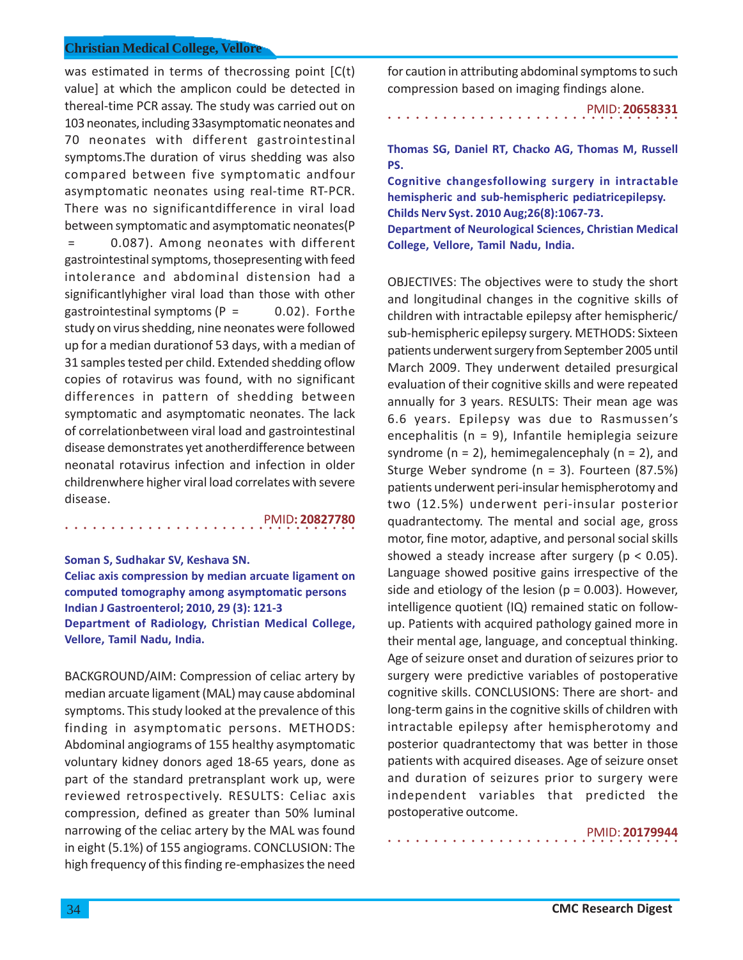was estimated in terms of thecrossing point [C(t) value] at which the amplicon could be detected in thereal-time PCR assay. The study was carried out on 103 neonates, including 33asymptomatic neonates and 70 neonates with different gastrointestinal symptoms.The duration of virus shedding was also compared between five symptomatic andfour asymptomatic neonates using real-time RT-PCR. There was no significantdifference in viral load between symptomatic and asymptomatic neonates(P = 0.087). Among neonates with different gastrointestinal symptoms, thosepresenting with feed intolerance and abdominal distension had a significantlyhigher viral load than those with other gastrointestinal symptoms ( $P = 0.02$ ). Forthe study on virus shedding, nine neonates were followed up for a median durationof 53 days, with a median of 31 samples tested per child. Extended shedding oflow copies of rotavirus was found, with no significant differences in pattern of shedding between symptomatic and asymptomatic neonates. The lack of correlationbetween viral load and gastrointestinal disease demonstrates yet anotherdifference between neonatal rotavirus infection and infection in older childrenwhere higher viral load correlates with severe disease.

PMID**: 20827780**

# **Soman S, Sudhakar SV, Keshava SN. Celiac axis compression by median arcuate ligament on**

**computed tomography among asymptomatic persons Indian J Gastroenterol; 2010, 29 (3): 121-3 Department of Radiology, Christian Medical College, Vellore, Tamil Nadu, India.**

○○○○○○○○○○○○○○○○ ○○○○○○○○○○○○○○○○

BACKGROUND/AIM: Compression of celiac artery by median arcuate ligament (MAL) may cause abdominal symptoms. This study looked at the prevalence of this finding in asymptomatic persons. METHODS: Abdominal angiograms of 155 healthy asymptomatic voluntary kidney donors aged 18-65 years, done as part of the standard pretransplant work up, were reviewed retrospectively. RESULTS: Celiac axis compression, defined as greater than 50% luminal narrowing of the celiac artery by the MAL was found in eight (5.1%) of 155 angiograms. CONCLUSION: The high frequency of this finding re-emphasizes the need for caution in attributing abdominal symptoms to such compression based on imaging findings alone.

○○○○○○○○○○○○○○○○ ○○○○○○○○○○○○○○○○ PMID: **20658331**

**Thomas SG, Daniel RT, Chacko AG, Thomas M, Russell PS.**

**Cognitive changesfollowing surgery in intractable hemispheric and sub-hemispheric pediatricepilepsy. Childs Nerv Syst. 2010 Aug;26(8):1067-73. Department of Neurological Sciences, Christian Medical College, Vellore, Tamil Nadu, India.**

OBJECTIVES: The objectives were to study the short and longitudinal changes in the cognitive skills of children with intractable epilepsy after hemispheric/ sub-hemispheric epilepsy surgery. METHODS: Sixteen patients underwent surgery from September 2005 until March 2009. They underwent detailed presurgical evaluation of their cognitive skills and were repeated annually for 3 years. RESULTS: Their mean age was 6.6 years. Epilepsy was due to Rasmussen's encephalitis (n = 9), Infantile hemiplegia seizure syndrome ( $n = 2$ ), hemimegalencephaly ( $n = 2$ ), and Sturge Weber syndrome (n = 3). Fourteen (87.5%) patients underwent peri-insular hemispherotomy and two (12.5%) underwent peri-insular posterior quadrantectomy. The mental and social age, gross motor, fine motor, adaptive, and personal social skills showed a steady increase after surgery ( $p < 0.05$ ). Language showed positive gains irrespective of the side and etiology of the lesion ( $p = 0.003$ ). However, intelligence quotient (IQ) remained static on followup. Patients with acquired pathology gained more in their mental age, language, and conceptual thinking. Age of seizure onset and duration of seizures prior to surgery were predictive variables of postoperative cognitive skills. CONCLUSIONS: There are short- and long-term gains in the cognitive skills of children with intractable epilepsy after hemispherotomy and posterior quadrantectomy that was better in those patients with acquired diseases. Age of seizure onset and duration of seizures prior to surgery were independent variables that predicted the postoperative outcome.

○○○○○○○○○○○○○○○○ ○○○○○○○○○○○○○○○○

PMID: **20179944**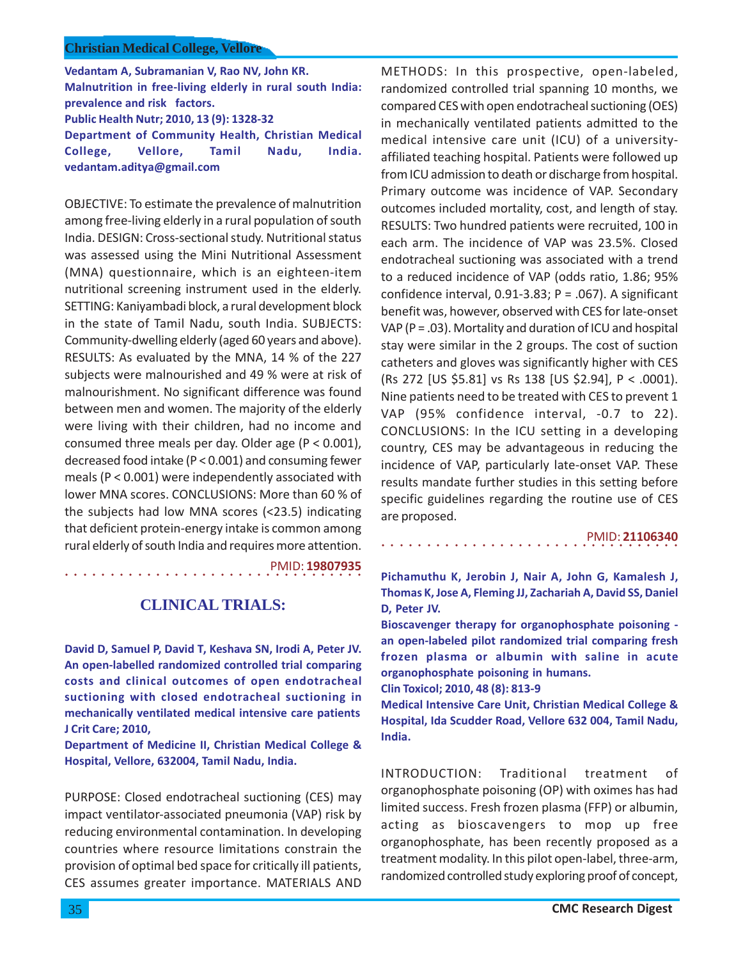**Vedantam A, Subramanian V, Rao NV, John KR. Malnutrition in free-living elderly in rural south India: prevalence and risk factors. Public Health Nutr; 2010, 13 (9): 1328-32 Department of Community Health, Christian Medical College, Vellore, Tamil Nadu, India. vedantam.aditya@gmail.com**

OBJECTIVE: To estimate the prevalence of malnutrition among free-living elderly in a rural population of south India. DESIGN: Cross-sectional study. Nutritional status was assessed using the Mini Nutritional Assessment (MNA) questionnaire, which is an eighteen-item nutritional screening instrument used in the elderly. SETTING: Kaniyambadi block, a rural development block in the state of Tamil Nadu, south India. SUBJECTS: Community-dwelling elderly (aged 60 years and above). RESULTS: As evaluated by the MNA, 14 % of the 227 subjects were malnourished and 49 % were at risk of malnourishment. No significant difference was found between men and women. The majority of the elderly were living with their children, had no income and consumed three meals per day. Older age (P < 0.001), decreased food intake (P < 0.001) and consuming fewer meals (P < 0.001) were independently associated with lower MNA scores. CONCLUSIONS: More than 60 % of the subjects had low MNA scores (<23.5) indicating that deficient protein-energy intake is common among rural elderly of south India and requires more attention.

PMID: **19807935**

# **CLINICAL TRIALS:**

○○○○○○○○○○○○○○○○○○○○○○○○○○○○ ○○○○○

**David D, Samuel P, David T, Keshava SN, Irodi A, Peter JV. An open-labelled randomized controlled trial comparing costs and clinical outcomes of open endotracheal suctioning with closed endotracheal suctioning in mechanically ventilated medical intensive care patients J Crit Care; 2010,**

**Department of Medicine II, Christian Medical College & Hospital, Vellore, 632004, Tamil Nadu, India.**

PURPOSE: Closed endotracheal suctioning (CES) may impact ventilator-associated pneumonia (VAP) risk by reducing environmental contamination. In developing countries where resource limitations constrain the provision of optimal bed space for critically ill patients, CES assumes greater importance. MATERIALS AND METHODS: In this prospective, open-labeled, randomized controlled trial spanning 10 months, we compared CES with open endotracheal suctioning (OES) in mechanically ventilated patients admitted to the medical intensive care unit (ICU) of a universityaffiliated teaching hospital. Patients were followed up from ICU admission to death or discharge from hospital. Primary outcome was incidence of VAP. Secondary outcomes included mortality, cost, and length of stay. RESULTS: Two hundred patients were recruited, 100 in each arm. The incidence of VAP was 23.5%. Closed endotracheal suctioning was associated with a trend to a reduced incidence of VAP (odds ratio, 1.86; 95% confidence interval,  $0.91-3.83$ ; P = .067). A significant benefit was, however, observed with CES for late-onset VAP ( $P = .03$ ). Mortality and duration of ICU and hospital stay were similar in the 2 groups. The cost of suction catheters and gloves was significantly higher with CES (Rs 272 [US \$5.81] vs Rs 138 [US \$2.94], P < .0001). Nine patients need to be treated with CES to prevent 1 VAP (95% confidence interval, -0.7 to 22). CONCLUSIONS: In the ICU setting in a developing country, CES may be advantageous in reducing the incidence of VAP, particularly late-onset VAP. These results mandate further studies in this setting before specific guidelines regarding the routine use of CES are proposed.

### PMID: **21106340**

**Pichamuthu K, Jerobin J, Nair A, John G, Kamalesh J, Thomas K, Jose A, Fleming JJ, Zachariah A, David SS, Daniel D, Peter JV.**

**Bioscavenger therapy for organophosphate poisoning an open-labeled pilot randomized trial comparing fresh frozen plasma or albumin with saline in acute organophosphate poisoning in humans.**

**Clin Toxicol; 2010, 48 (8): 813-9**

○○○○○○○○○○○○○○○○○○○○○○○○○○○○○○○○○

**Medical Intensive Care Unit, Christian Medical College & Hospital, Ida Scudder Road, Vellore 632 004, Tamil Nadu, India.**

INTRODUCTION: Traditional treatment of organophosphate poisoning (OP) with oximes has had limited success. Fresh frozen plasma (FFP) or albumin, acting as bioscavengers to mop up free organophosphate, has been recently proposed as a treatment modality. In this pilot open-label, three-arm, randomized controlled study exploring proof of concept,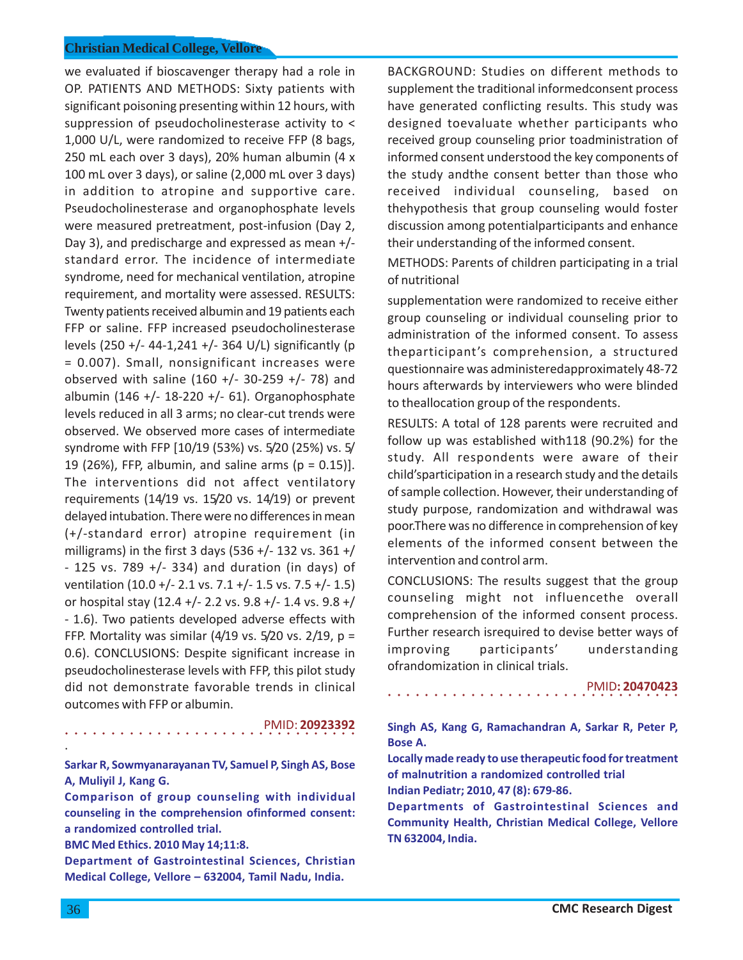we evaluated if bioscavenger therapy had a role in OP. PATIENTS AND METHODS: Sixty patients with significant poisoning presenting within 12 hours, with suppression of pseudocholinesterase activity to < 1,000 U/L, were randomized to receive FFP (8 bags, 250 mL each over 3 days), 20% human albumin (4 x 100 mL over 3 days), or saline (2,000 mL over 3 days) in addition to atropine and supportive care. Pseudocholinesterase and organophosphate levels were measured pretreatment, post-infusion (Day 2, Day 3), and predischarge and expressed as mean +/ standard error. The incidence of intermediate syndrome, need for mechanical ventilation, atropine requirement, and mortality were assessed. RESULTS: Twenty patients received albumin and 19 patients each FFP or saline. FFP increased pseudocholinesterase levels (250 +/- 44-1,241 +/- 364 U/L) significantly (p = 0.007). Small, nonsignificant increases were observed with saline  $(160 +/- 30-259 +/- 78)$  and albumin (146 +/- 18-220 +/- 61). Organophosphate levels reduced in all 3 arms; no clear-cut trends were observed. We observed more cases of intermediate syndrome with FFP [10/19 (53%) vs. 5/20 (25%) vs. 5/ 19 (26%), FFP, albumin, and saline arms ( $p = 0.15$ )]. The interventions did not affect ventilatory requirements (14/19 vs. 15/20 vs. 14/19) or prevent delayed intubation. There were no differences in mean (+/-standard error) atropine requirement (in milligrams) in the first 3 days (536 +/- 132 vs. 361 +/  $-$  125 vs. 789 +/ $-$  334) and duration (in days) of ventilation (10.0 +/- 2.1 vs. 7.1 +/- 1.5 vs. 7.5 +/- 1.5) or hospital stay (12.4 +/- 2.2 vs. 9.8 +/- 1.4 vs. 9.8 +/ - 1.6). Two patients developed adverse effects with FFP. Mortality was similar (4/19 vs.  $5/20$  vs.  $2/19$ , p = 0.6). CONCLUSIONS: Despite significant increase in pseudocholinesterase levels with FFP, this pilot study did not demonstrate favorable trends in clinical outcomes with FFP or albumin.

PMID: **20923392**

**Sarkar R, Sowmyanarayanan TV, Samuel P, Singh AS, Bose A, Muliyil J, Kang G.**

**Comparison of group counseling with individual counseling in the comprehension ofinformed consent: a randomized controlled trial.**

**BMC Med Ethics. 2010 May 14;11:8.**

○○○○○○○○○○○○○○○○ ○○○○○○○○○○○○○○○○

**Department of Gastrointestinal Sciences, Christian Medical College, Vellore – 632004, Tamil Nadu, India.**

BACKGROUND: Studies on different methods to supplement the traditional informedconsent process have generated conflicting results. This study was designed toevaluate whether participants who received group counseling prior toadministration of informed consent understood the key components of the study andthe consent better than those who received individual counseling, based on thehypothesis that group counseling would foster discussion among potentialparticipants and enhance their understanding of the informed consent.

METHODS: Parents of children participating in a trial of nutritional

supplementation were randomized to receive either group counseling or individual counseling prior to administration of the informed consent. To assess theparticipant's comprehension, a structured questionnaire was administeredapproximately 48-72 hours afterwards by interviewers who were blinded to theallocation group of the respondents.

RESULTS: A total of 128 parents were recruited and follow up was established with118 (90.2%) for the study. All respondents were aware of their child'sparticipation in a research study and the details of sample collection. However, their understanding of study purpose, randomization and withdrawal was poor.There was no difference in comprehension of key elements of the informed consent between the intervention and control arm.

CONCLUSIONS: The results suggest that the group counseling might not influencethe overall comprehension of the informed consent process. Further research isrequired to devise better ways of improving participants' understanding ofrandomization in clinical trials.

PMID**: 20470423**

**Singh AS, Kang G, Ramachandran A, Sarkar R, Peter P, Bose A.**

○○○○○○○○○○○○○○○○ ○○○○○○○○○○○○○○○○

**Locally made ready to use therapeutic food for treatment of malnutrition a randomized controlled trial Indian Pediatr; 2010, 47 (8): 679-86.**

**Departments of Gastrointestinal Sciences and Community Health, Christian Medical College, Vellore TN 632004, India.**

.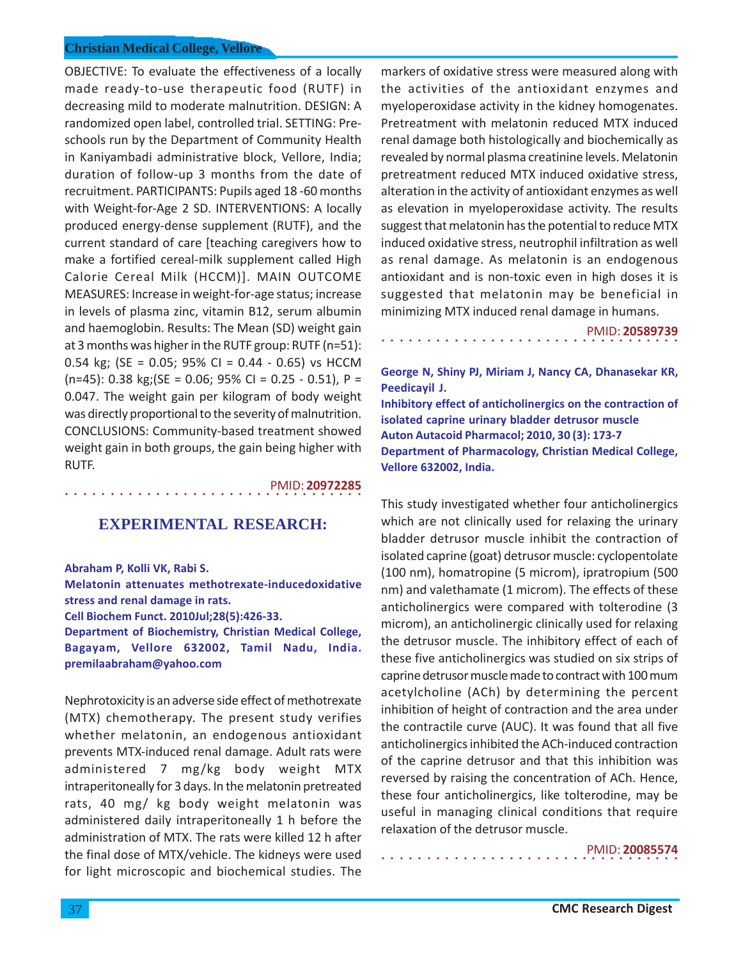OBJECTIVE: To evaluate the effectiveness of a locally made ready-to-use therapeutic food (RUTF) in decreasing mild to moderate malnutrition. DESIGN: A randomized open label, controlled trial. SETTING: Preschools run by the Department of Community Health in Kaniyambadi administrative block, Vellore, India; duration of follow-up 3 months from the date of recruitment. PARTICIPANTS: Pupils aged 18 -60 months with Weight-for-Age 2 SD. INTERVENTIONS: A locally produced energy-dense supplement (RUTF), and the current standard of care [teaching caregivers how to make a fortified cereal-milk supplement called High Calorie Cereal Milk (HCCM)]. MAIN OUTCOME MEASURES: Increase in weight-for-age status; increase in levels of plasma zinc, vitamin B12, serum albumin and haemoglobin. Results: The Mean (SD) weight gain at 3 months was higher in the RUTF group: RUTF (n=51): 0.54 kg; (SE = 0.05; 95% CI = 0.44 - 0.65) vs HCCM  $(n=45)$ : 0.38 kg;(SE = 0.06; 95% CI = 0.25 - 0.51), P = 0.047. The weight gain per kilogram of body weight was directly proportional to the severity of malnutrition. CONCLUSIONS: Community-based treatment showed weight gain in both groups, the gain being higher with RUTF.

PMID: **20972285**

# **EXPERIMENTAL RESEARCH:**

**Abraham P, Kolli VK, Rabi S.**

○○○○○○○○○○○○○○○○○○○○○○○○○○○○ ○○○○○

**Melatonin attenuates methotrexate-inducedoxidative stress and renal damage in rats.**

**Cell Biochem Funct. 2010Jul;28(5):426-33.**

**Department of Biochemistry, Christian Medical College, Bagayam, Vellore 632002, Tamil Nadu, India. premilaabraham@yahoo.com**

Nephrotoxicity is an adverse side effect of methotrexate (MTX) chemotherapy. The present study verifies whether melatonin, an endogenous antioxidant prevents MTX-induced renal damage. Adult rats were administered 7 mg/kg body weight MTX intraperitoneally for 3 days. In the melatonin pretreated rats, 40 mg/ kg body weight melatonin was administered daily intraperitoneally 1 h before the administration of MTX. The rats were killed 12 h after the final dose of MTX/vehicle. The kidneys were used for light microscopic and biochemical studies. The

markers of oxidative stress were measured along with the activities of the antioxidant enzymes and myeloperoxidase activity in the kidney homogenates. Pretreatment with melatonin reduced MTX induced renal damage both histologically and biochemically as revealed by normal plasma creatinine levels. Melatonin pretreatment reduced MTX induced oxidative stress, alteration in the activity of antioxidant enzymes as well as elevation in myeloperoxidase activity. The results suggest that melatonin has the potential to reduce MTX induced oxidative stress, neutrophil infiltration as well as renal damage. As melatonin is an endogenous antioxidant and is non-toxic even in high doses it is suggested that melatonin may be beneficial in minimizing MTX induced renal damage in humans.

○○○○○○○○○○○○○○○○○○○○○○○○○○○○○○○○○ PMID: **20589739**

**George N, Shiny PJ, Miriam J, Nancy CA, Dhanasekar KR, Peedicayil J.**

**Inhibitory effect of anticholinergics on the contraction of isolated caprine urinary bladder detrusor muscle Auton Autacoid Pharmacol; 2010, 30 (3): 173-7 Department of Pharmacology, Christian Medical College, Vellore 632002, India.**

This study investigated whether four anticholinergics which are not clinically used for relaxing the urinary bladder detrusor muscle inhibit the contraction of isolated caprine (goat) detrusor muscle: cyclopentolate (100 nm), homatropine (5 microm), ipratropium (500 nm) and valethamate (1 microm). The effects of these anticholinergics were compared with tolterodine (3 microm), an anticholinergic clinically used for relaxing the detrusor muscle. The inhibitory effect of each of these five anticholinergics was studied on six strips of caprine detrusor muscle made to contract with 100 mum acetylcholine (ACh) by determining the percent inhibition of height of contraction and the area under the contractile curve (AUC). It was found that all five anticholinergics inhibited the ACh-induced contraction of the caprine detrusor and that this inhibition was reversed by raising the concentration of ACh. Hence, these four anticholinergics, like tolterodine, may be useful in managing clinical conditions that require relaxation of the detrusor muscle.

○○○○○○○○○○○○○○○○○○○○○○○○○○○○○○○○○

PMID: **20085574**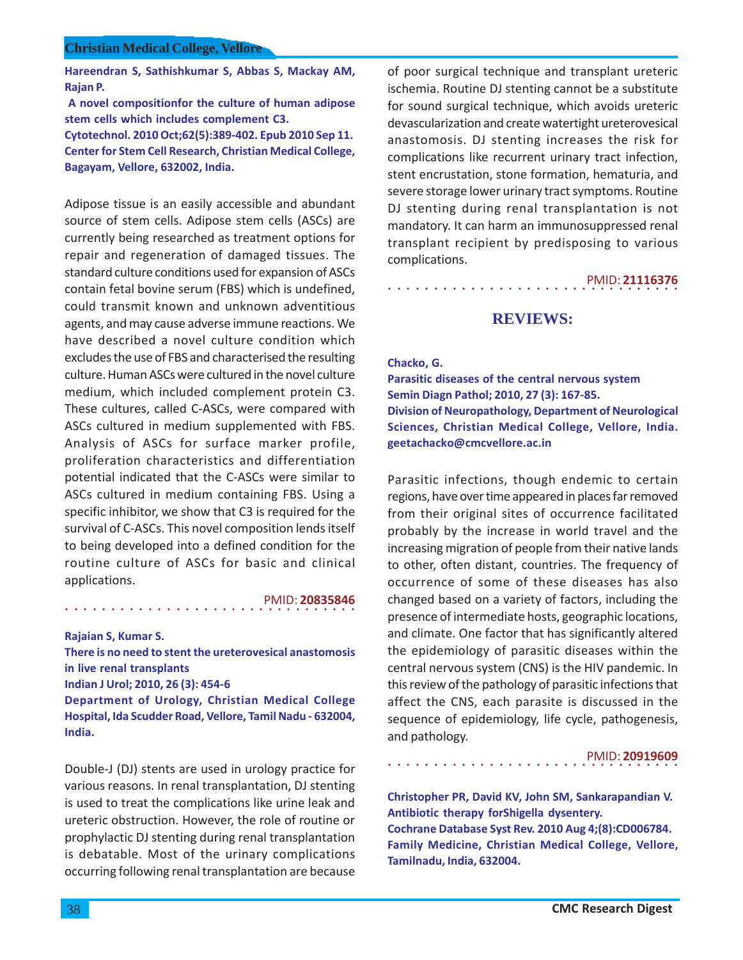**Hareendran S, Sathishkumar S, Abbas S, Mackay AM, Rajan P.**

 **A novel compositionfor the culture of human adipose stem cells which includes complement C3. Cytotechnol. 2010 Oct;62(5):389-402. Epub 2010 Sep 11. Center for Stem Cell Research, Christian Medical College,**

**Bagayam, Vellore, 632002, India.**

Adipose tissue is an easily accessible and abundant source of stem cells. Adipose stem cells (ASCs) are currently being researched as treatment options for repair and regeneration of damaged tissues. The standard culture conditions used for expansion of ASCs contain fetal bovine serum (FBS) which is undefined, could transmit known and unknown adventitious agents, and may cause adverse immune reactions. We have described a novel culture condition which excludes the use of FBS and characterised the resulting culture. Human ASCs were cultured in the novel culture medium, which included complement protein C3. These cultures, called C-ASCs, were compared with ASCs cultured in medium supplemented with FBS. Analysis of ASCs for surface marker profile, proliferation characteristics and differentiation potential indicated that the C-ASCs were similar to ASCs cultured in medium containing FBS. Using a specific inhibitor, we show that C3 is required for the survival of C-ASCs. This novel composition lends itself to being developed into a defined condition for the routine culture of ASCs for basic and clinical applications.

#### PMID: **20835846**

**Rajaian S, Kumar S.**

**There is no need to stent the ureterovesical anastomosis in live renal transplants**

**Indian J Urol; 2010, 26 (3): 454-6**

○○○○○○○○○○○○○○○○ ○○○○○○○○○○○○○○○○

**Department of Urology, Christian Medical College Hospital, Ida Scudder Road, Vellore, Tamil Nadu - 632004, India.**

Double-J (DJ) stents are used in urology practice for various reasons. In renal transplantation, DJ stenting is used to treat the complications like urine leak and ureteric obstruction. However, the role of routine or prophylactic DJ stenting during renal transplantation is debatable. Most of the urinary complications occurring following renal transplantation are because

of poor surgical technique and transplant ureteric ischemia. Routine DJ stenting cannot be a substitute for sound surgical technique, which avoids ureteric devascularization and create watertight ureterovesical anastomosis. DJ stenting increases the risk for complications like recurrent urinary tract infection, stent encrustation, stone formation, hematuria, and severe storage lower urinary tract symptoms. Routine DJ stenting during renal transplantation is not mandatory. It can harm an immunosuppressed renal transplant recipient by predisposing to various complications.

> ○○○○○○○○○○○○○○○○ ○○○○○○○○○○○○○○○○ PMID: **21116376**

# **REVIEWS:**

## **Chacko, G.**

**Parasitic diseases of the central nervous system Semin Diagn Pathol; 2010, 27 (3): 167-85. Division of Neuropathology, Department of Neurological Sciences, Christian Medical College, Vellore, India. geetachacko@cmcvellore.ac.in**

Parasitic infections, though endemic to certain regions, have over time appeared in places far removed from their original sites of occurrence facilitated probably by the increase in world travel and the increasing migration of people from their native lands to other, often distant, countries. The frequency of occurrence of some of these diseases has also changed based on a variety of factors, including the presence of intermediate hosts, geographic locations, and climate. One factor that has significantly altered the epidemiology of parasitic diseases within the central nervous system (CNS) is the HIV pandemic. In this review of the pathology of parasitic infections that affect the CNS, each parasite is discussed in the sequence of epidemiology, life cycle, pathogenesis, and pathology.

### PMID: **20919609**

**Christopher PR, David KV, John SM, Sankarapandian V. Antibiotic therapy forShigella dysentery. Cochrane Database Syst Rev. 2010 Aug 4;(8):CD006784. Family Medicine, Christian Medical College, Vellore, Tamilnadu, India, 632004.**

○○○○○○○○○○○○○○○○ ○○○○○○○○○○○○○○○○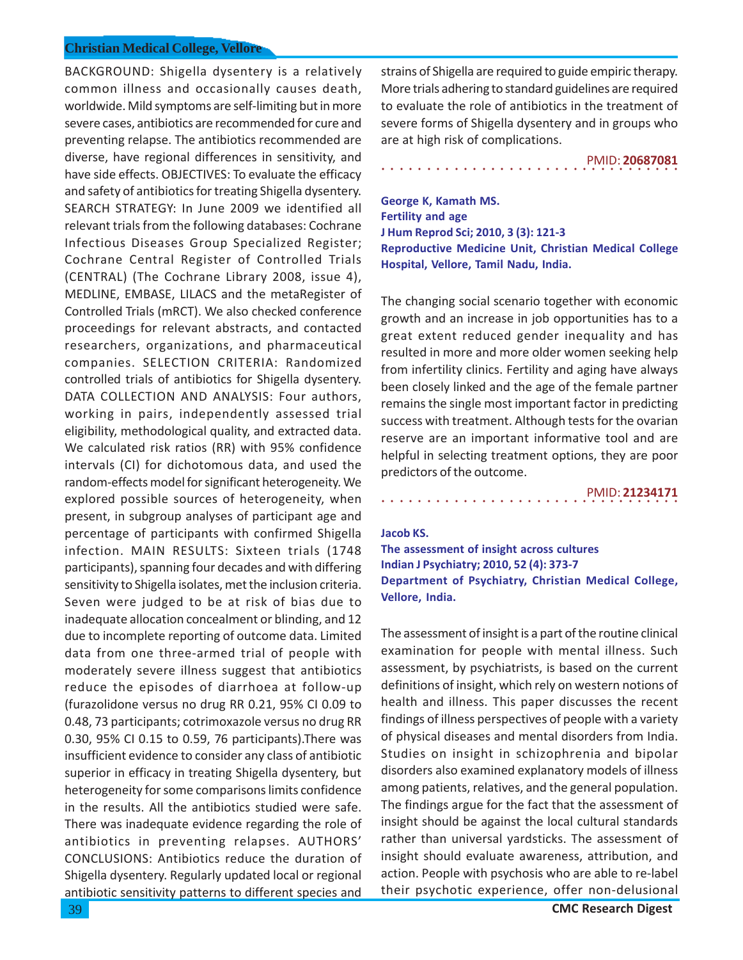BACKGROUND: Shigella dysentery is a relatively common illness and occasionally causes death, worldwide. Mild symptoms are self-limiting but in more severe cases, antibiotics are recommended for cure and preventing relapse. The antibiotics recommended are diverse, have regional differences in sensitivity, and have side effects. OBJECTIVES: To evaluate the efficacy and safety of antibiotics for treating Shigella dysentery. SEARCH STRATEGY: In June 2009 we identified all relevant trials from the following databases: Cochrane Infectious Diseases Group Specialized Register; Cochrane Central Register of Controlled Trials (CENTRAL) (The Cochrane Library 2008, issue 4), MEDLINE, EMBASE, LILACS and the metaRegister of Controlled Trials (mRCT). We also checked conference proceedings for relevant abstracts, and contacted researchers, organizations, and pharmaceutical companies. SELECTION CRITERIA: Randomized controlled trials of antibiotics for Shigella dysentery. DATA COLLECTION AND ANALYSIS: Four authors, working in pairs, independently assessed trial eligibility, methodological quality, and extracted data. We calculated risk ratios (RR) with 95% confidence intervals (CI) for dichotomous data, and used the random-effects model for significant heterogeneity. We explored possible sources of heterogeneity, when present, in subgroup analyses of participant age and percentage of participants with confirmed Shigella infection. MAIN RESULTS: Sixteen trials (1748 participants), spanning four decades and with differing sensitivity to Shigella isolates, met the inclusion criteria. Seven were judged to be at risk of bias due to inadequate allocation concealment or blinding, and 12 due to incomplete reporting of outcome data. Limited data from one three-armed trial of people with moderately severe illness suggest that antibiotics reduce the episodes of diarrhoea at follow-up (furazolidone versus no drug RR 0.21, 95% CI 0.09 to 0.48, 73 participants; cotrimoxazole versus no drug RR 0.30, 95% CI 0.15 to 0.59, 76 participants).There was insufficient evidence to consider any class of antibiotic superior in efficacy in treating Shigella dysentery, but heterogeneity for some comparisons limits confidence in the results. All the antibiotics studied were safe. There was inadequate evidence regarding the role of antibiotics in preventing relapses. AUTHORS' CONCLUSIONS: Antibiotics reduce the duration of Shigella dysentery. Regularly updated local or regional antibiotic sensitivity patterns to different species and

strains of Shigella are required to guide empiric therapy. More trials adhering to standard guidelines are required to evaluate the role of antibiotics in the treatment of severe forms of Shigella dysentery and in groups who are at high risk of complications.

## PMID: **20687081**

**George K, Kamath MS. Fertility and age J Hum Reprod Sci; 2010, 3 (3): 121-3 Reproductive Medicine Unit, Christian Medical College Hospital, Vellore, Tamil Nadu, India.**

○○○○○○○○○○○○○○○○○○○○○○○○○○○○○○○○○

The changing social scenario together with economic growth and an increase in job opportunities has to a great extent reduced gender inequality and has resulted in more and more older women seeking help from infertility clinics. Fertility and aging have always been closely linked and the age of the female partner remains the single most important factor in predicting success with treatment. Although tests for the ovarian reserve are an important informative tool and are helpful in selecting treatment options, they are poor predictors of the outcome.

○○○○○○○○○○○○○○○○○○○○○○○○○○○○○○○○○ PMID: **21234171**

#### **Jacob KS.**

**The assessment of insight across cultures Indian J Psychiatry; 2010, 52 (4): 373-7 Department of Psychiatry, Christian Medical College, Vellore, India.**

The assessment of insight is a part of the routine clinical examination for people with mental illness. Such assessment, by psychiatrists, is based on the current definitions of insight, which rely on western notions of health and illness. This paper discusses the recent findings of illness perspectives of people with a variety of physical diseases and mental disorders from India. Studies on insight in schizophrenia and bipolar disorders also examined explanatory models of illness among patients, relatives, and the general population. The findings argue for the fact that the assessment of insight should be against the local cultural standards rather than universal yardsticks. The assessment of insight should evaluate awareness, attribution, and action. People with psychosis who are able to re-label their psychotic experience, offer non-delusional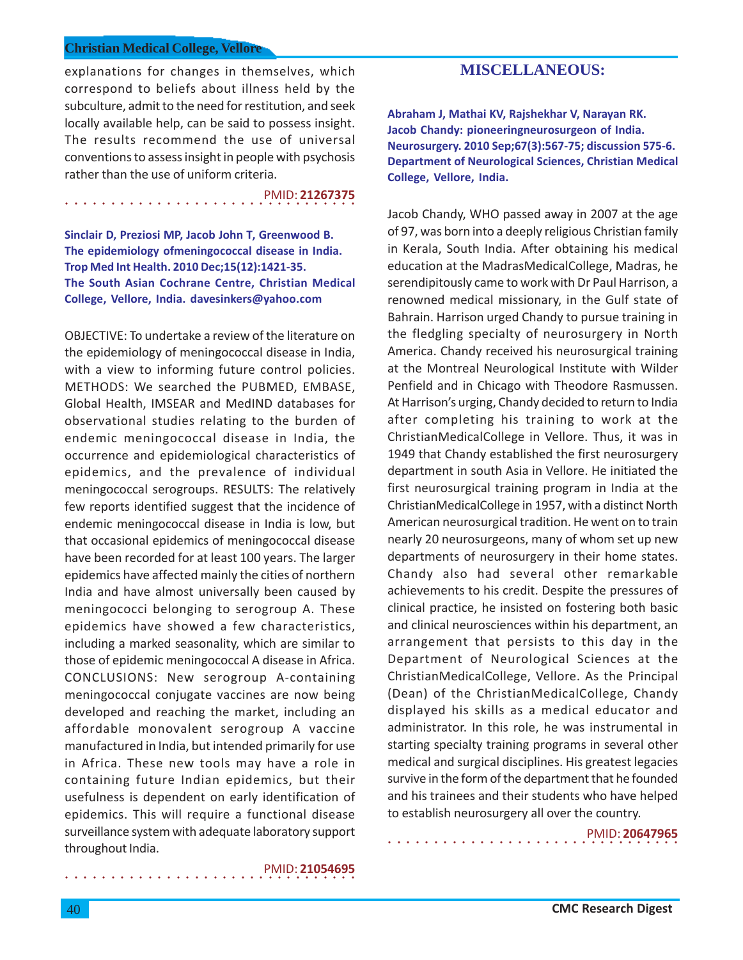explanations for changes in themselves, which correspond to beliefs about illness held by the subculture, admit to the need for restitution, and seek locally available help, can be said to possess insight. The results recommend the use of universal conventions to assess insight in people with psychosis rather than the use of uniform criteria.

○○○○○○○○○○○○○○○○ ○○○○○○○○○○○○○○○○ PMID: **21267375**

**Sinclair D, Preziosi MP, Jacob John T, Greenwood B. The epidemiology ofmeningococcal disease in India. Trop Med Int Health. 2010 Dec;15(12):1421-35. The South Asian Cochrane Centre, Christian Medical College, Vellore, India. davesinkers@yahoo.com**

OBJECTIVE: To undertake a review of the literature on the epidemiology of meningococcal disease in India, with a view to informing future control policies. METHODS: We searched the PUBMED, EMBASE, Global Health, IMSEAR and MedIND databases for observational studies relating to the burden of endemic meningococcal disease in India, the occurrence and epidemiological characteristics of epidemics, and the prevalence of individual meningococcal serogroups. RESULTS: The relatively few reports identified suggest that the incidence of endemic meningococcal disease in India is low, but that occasional epidemics of meningococcal disease have been recorded for at least 100 years. The larger epidemics have affected mainly the cities of northern India and have almost universally been caused by meningococci belonging to serogroup A. These epidemics have showed a few characteristics, including a marked seasonality, which are similar to those of epidemic meningococcal A disease in Africa. CONCLUSIONS: New serogroup A-containing meningococcal conjugate vaccines are now being developed and reaching the market, including an affordable monovalent serogroup A vaccine manufactured in India, but intended primarily for use in Africa. These new tools may have a role in containing future Indian epidemics, but their usefulness is dependent on early identification of epidemics. This will require a functional disease surveillance system with adequate laboratory support throughout India.

○○○○○○○○○○○○○○○○ ○○○○○○○○○○○○○○○○ PMID: **21054695**

# **MISCELLANEOUS:**

**Abraham J, Mathai KV, Rajshekhar V, Narayan RK. Jacob Chandy: pioneeringneurosurgeon of India. Neurosurgery. 2010 Sep;67(3):567-75; discussion 575-6. Department of Neurological Sciences, Christian Medical College, Vellore, India.**

Jacob Chandy, WHO passed away in 2007 at the age of 97, was born into a deeply religious Christian family in Kerala, South India. After obtaining his medical education at the MadrasMedicalCollege, Madras, he serendipitously came to work with Dr Paul Harrison, a renowned medical missionary, in the Gulf state of Bahrain. Harrison urged Chandy to pursue training in the fledgling specialty of neurosurgery in North America. Chandy received his neurosurgical training at the Montreal Neurological Institute with Wilder Penfield and in Chicago with Theodore Rasmussen. At Harrison's urging, Chandy decided to return to India after completing his training to work at the ChristianMedicalCollege in Vellore. Thus, it was in 1949 that Chandy established the first neurosurgery department in south Asia in Vellore. He initiated the first neurosurgical training program in India at the ChristianMedicalCollege in 1957, with a distinct North American neurosurgical tradition. He went on to train nearly 20 neurosurgeons, many of whom set up new departments of neurosurgery in their home states. Chandy also had several other remarkable achievements to his credit. Despite the pressures of clinical practice, he insisted on fostering both basic and clinical neurosciences within his department, an arrangement that persists to this day in the Department of Neurological Sciences at the ChristianMedicalCollege, Vellore. As the Principal (Dean) of the ChristianMedicalCollege, Chandy displayed his skills as a medical educator and administrator. In this role, he was instrumental in starting specialty training programs in several other medical and surgical disciplines. His greatest legacies survive in the form of the department that he founded and his trainees and their students who have helped to establish neurosurgery all over the country.

○○○○○○○○○○○○○○○○ ○○○○○○○○○○○○○○○○

PMID: **20647965**

40 **CMC Research Digest**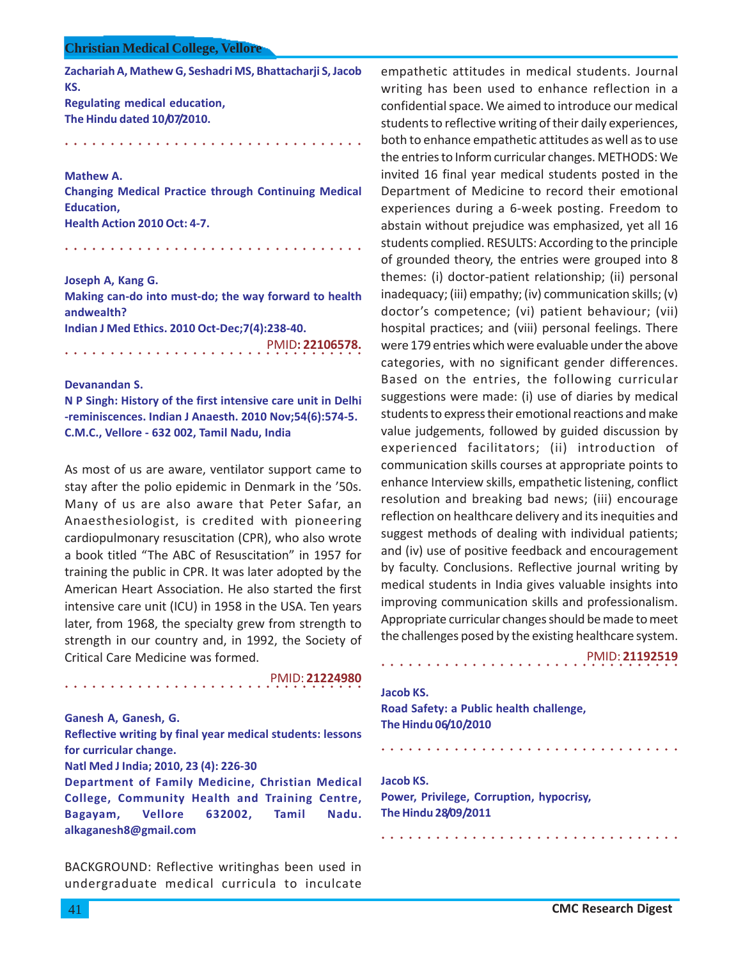**Zachariah A, Mathew G, Seshadri MS, Bhattacharji S, Jacob KS. Regulating medical education, The Hindu dated 10/07/2010.**

○○○○○○○○○○○○○○○○○○○○○○○○○○○○ ○○○○○

#### **Mathew A.**

**Changing Medical Practice through Continuing Medical Education, Health Action 2010 Oct: 4-7.**

○○○○○○○○○○○○○○○○○○○○○○○○○○○○ ○○○○○

**Joseph A, Kang G. Making can-do into must-do; the way forward to health andwealth? Indian J Med Ethics. 2010 Oct-Dec;7(4):238-40.**

○○○○○○○○○○○○○○○○○○○○○○○○○○○○ ○○○○○ PMID**: 22106578.**

**Devanandan S.**

**N P Singh: History of the first intensive care unit in Delhi -reminiscences. Indian J Anaesth. 2010 Nov;54(6):574-5. C.M.C., Vellore - 632 002, Tamil Nadu, India**

As most of us are aware, ventilator support came to stay after the polio epidemic in Denmark in the '50s. Many of us are also aware that Peter Safar, an Anaesthesiologist, is credited with pioneering cardiopulmonary resuscitation (CPR), who also wrote a book titled "The ABC of Resuscitation" in 1957 for training the public in CPR. It was later adopted by the American Heart Association. He also started the first intensive care unit (ICU) in 1958 in the USA. Ten years later, from 1968, the specialty grew from strength to strength in our country and, in 1992, the Society of Critical Care Medicine was formed.

PMID: **21224980**

#### **Ganesh A, Ganesh, G.**

**Reflective writing by final year medical students: lessons for curricular change.**

# **Natl Med J India; 2010, 23 (4): 226-30**

○○○○○○○○○○○○○○○○○○○○○○○○○○○○ ○○○○○

**Department of Family Medicine, Christian Medical College, Community Health and Training Centre, Bagayam, Vellore 632002, Tamil Nadu. alkaganesh8@gmail.com**

BACKGROUND: Reflective writinghas been used in undergraduate medical curricula to inculcate

empathetic attitudes in medical students. Journal writing has been used to enhance reflection in a confidential space. We aimed to introduce our medical students to reflective writing of their daily experiences, both to enhance empathetic attitudes as well as to use the entries to Inform curricular changes. METHODS: We invited 16 final year medical students posted in the Department of Medicine to record their emotional experiences during a 6-week posting. Freedom to abstain without prejudice was emphasized, yet all 16 students complied. RESULTS: According to the principle of grounded theory, the entries were grouped into 8 themes: (i) doctor-patient relationship; (ii) personal inadequacy; (iii) empathy; (iv) communication skills; (v) doctor's competence; (vi) patient behaviour; (vii) hospital practices; and (viii) personal feelings. There were 179 entries which were evaluable under the above categories, with no significant gender differences. Based on the entries, the following curricular suggestions were made: (i) use of diaries by medical students to express their emotional reactions and make value judgements, followed by guided discussion by experienced facilitators; (ii) introduction of communication skills courses at appropriate points to enhance Interview skills, empathetic listening, conflict resolution and breaking bad news; (iii) encourage reflection on healthcare delivery and its inequities and suggest methods of dealing with individual patients; and (iv) use of positive feedback and encouragement by faculty. Conclusions. Reflective journal writing by medical students in India gives valuable insights into improving communication skills and professionalism. Appropriate curricular changes should be made to meet the challenges posed by the existing healthcare system.

### PMID: **21192519**

# **Jacob KS. Road Safety: a Public health challenge, The Hindu 06/10/2010**

○○○○○○○○○○○○○○○○○○○○○○○○○○○○○○○○○

○○○○○○○○○○○○○○○○○○○○○○○○○○○○○○○○○

○○○○○○○○○○○○○○○○○○○○○○○○○○○○○○○○○

**Jacob KS. Power, Privilege, Corruption, hypocrisy, The Hindu 28/09/2011**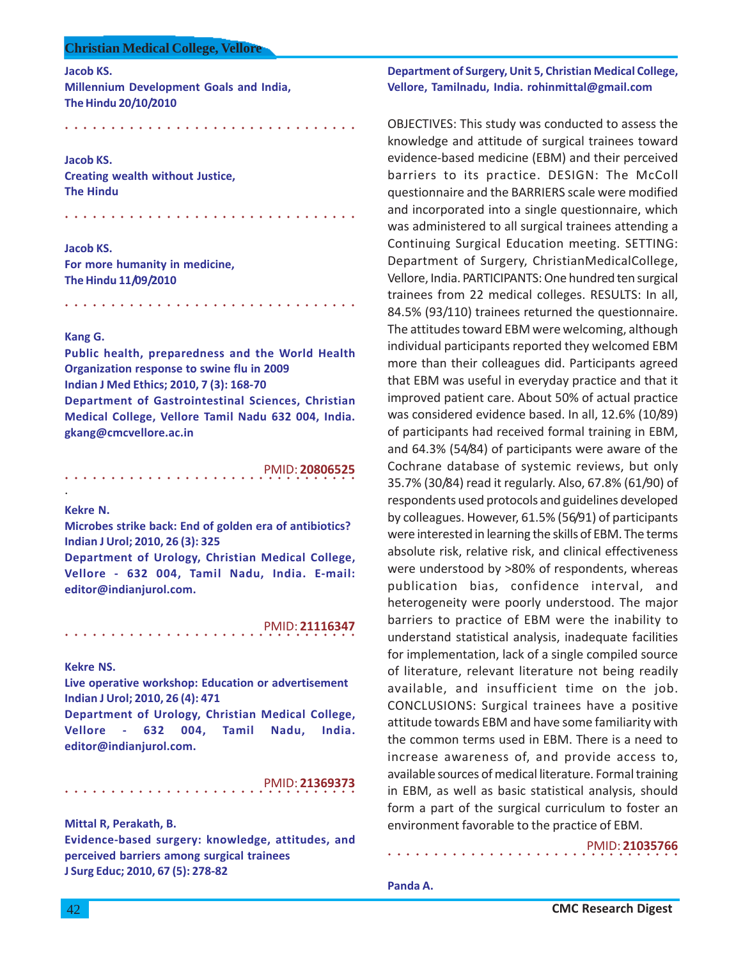**Jacob KS.**

**Millennium Development Goals and India, The Hindu 20/10/2010**

○○○○○○○○○○○○○○○○ ○○○○○○○○○○○○○○○○

○○○○○○○○○○○○○○○○ ○○○○○○○○○○○○○○○○

**Jacob KS. Creating wealth without Justice, The Hindu**

**Jacob KS. For more humanity in medicine, The Hindu 11/09/2010**

#### **Kang G.**

**Public health, preparedness and the World Health Organization response to swine flu in 2009 Indian J Med Ethics; 2010, 7 (3): 168-70 Department of Gastrointestinal Sciences, Christian Medical College, Vellore Tamil Nadu 632 004, India. gkang@cmcvellore.ac.in**

○○○○○○○○○○○○○○○○ ○○○○○○○○○○○○○○○○

○○○○○○○○○○○○○○○○ ○○○○○○○○○○○○○○○○ PMID: **20806525**

### **Kekre N.**

.

**Microbes strike back: End of golden era of antibiotics? Indian J Urol; 2010, 26 (3): 325**

**Department of Urology, Christian Medical College, Vellore - 632 004, Tamil Nadu, India. E-mail: editor@indianjurol.com.**

○○○○○○○○○○○○○○○○ ○○○○○○○○○○○○○○○○ PMID: **21116347**

#### **Kekre NS.**

**Live operative workshop: Education or advertisement Indian J Urol; 2010, 26 (4): 471**

**Department of Urology, Christian Medical College, Vellore - 632 004, Tamil Nadu, India. editor@indianjurol.com.**

○○○○○○○○○○○○○○○○ ○○○○○○○○○○○○○○○○ PMID: **21369373**

**Mittal R, Perakath, B.**

**Evidence-based surgery: knowledge, attitudes, and perceived barriers among surgical trainees J Surg Educ; 2010, 67 (5): 278-82**

# **Department of Surgery, Unit 5, Christian Medical College, Vellore, Tamilnadu, India. rohinmittal@gmail.com**

OBJECTIVES: This study was conducted to assess the knowledge and attitude of surgical trainees toward evidence-based medicine (EBM) and their perceived barriers to its practice. DESIGN: The McColl questionnaire and the BARRIERS scale were modified and incorporated into a single questionnaire, which was administered to all surgical trainees attending a Continuing Surgical Education meeting. SETTING: Department of Surgery, ChristianMedicalCollege, Vellore, India. PARTICIPANTS: One hundred ten surgical trainees from 22 medical colleges. RESULTS: In all, 84.5% (93/110) trainees returned the questionnaire. The attitudes toward EBM were welcoming, although individual participants reported they welcomed EBM more than their colleagues did. Participants agreed that EBM was useful in everyday practice and that it improved patient care. About 50% of actual practice was considered evidence based. In all, 12.6% (10/89) of participants had received formal training in EBM, and 64.3% (54/84) of participants were aware of the Cochrane database of systemic reviews, but only 35.7% (30/84) read it regularly. Also, 67.8% (61/90) of respondents used protocols and guidelines developed by colleagues. However, 61.5% (56/91) of participants were interested in learning the skills of EBM. The terms absolute risk, relative risk, and clinical effectiveness were understood by >80% of respondents, whereas publication bias, confidence interval, and heterogeneity were poorly understood. The major barriers to practice of EBM were the inability to understand statistical analysis, inadequate facilities for implementation, lack of a single compiled source of literature, relevant literature not being readily available, and insufficient time on the job. CONCLUSIONS: Surgical trainees have a positive attitude towards EBM and have some familiarity with the common terms used in EBM. There is a need to increase awareness of, and provide access to, available sources of medical literature. Formal training in EBM, as well as basic statistical analysis, should form a part of the surgical curriculum to foster an environment favorable to the practice of EBM.

○○○○○○○○○○○○○○○○ ○○○○○○○○○○○○○○○○

PMID: **21035766**

**Panda A.**